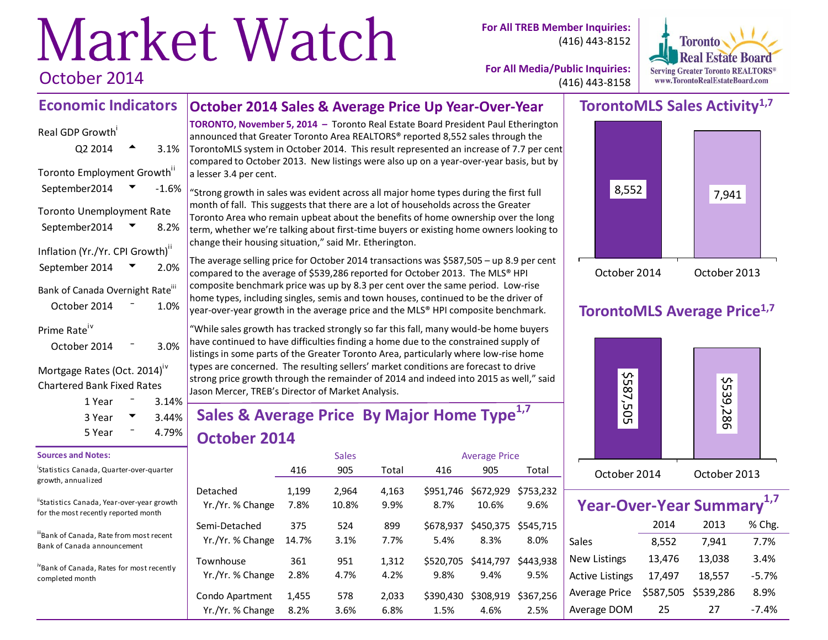# Market Watch October 2014

**For All TREB Member Inquiries:** (416) 443-8152



**For All Media/Public Inquiries:** (416) 443-8158

#### **October 2014 Sales & Average Price Up Year-Over-Year Economic Indicators**

# Real GDP Growth  $Q2\,2014$   $\rightarrow$  3.1% Toronto Employment Growth<sup>ii</sup> September2014  $\blacktriangledown$  -1.6% Toronto Unemployment Rate September2014  $\blacktriangledown$  8.2% Inflation (Yr./Yr. CPI Growth)<sup>ii</sup> September 2014  $\sqrt{2}$  2.0% Bank of Canada Overnight Rate<sup>iii</sup> October 2014 <sup>-</sup> 1.0% Prime Rate<sup>iv</sup>

# October 2014  $-$  3.0%

#### Mortgage Rates (Oct. 2014)<sup>iv</sup> Chartered Bank Fixed Rates

| 1 Year | $3.14\%$ |  |
|--------|----------|--|
|        |          |  |
| 3 Year | $3.44\%$ |  |
| 5 Year | 4.79%    |  |

#### **Sources and Notes:**

i Statistics Canada, Quarter-over-quarter growth, annualized

"Statistics Canada, Year-over-year growth for the most recently reported month

iiiBank of Canada, Rate from most recent Bank of Canada announcement

ivBank of Canada, Rates for most recently completed month

**TORONTO, November 5, 2014 –** Toronto Real Estate Board President Paul Etherington announced that Greater Toronto Area REALTORS® reported 8,552 sales through the TorontoMLS system in October 2014. This result represented an increase of 7.7 per cent compared to October 2013. New listings were also up on a year-over-year basis, but by a lesser 3.4 per cent.

"Strong growth in sales was evident across all major home types during the first full month of fall. This suggests that there are a lot of households across the Greater Toronto Area who remain upbeat about the benefits of home ownership over the long term, whether we're talking about first-time buyers or existing home owners looking to change their housing situation," said Mr. Etherington.

The average selling price for October 2014 transactions was \$587,505 – up 8.9 per cent compared to the average of \$539,286 reported for October 2013. The MLS® HPI composite benchmark price was up by 8.3 per cent over the same period. Low-rise home types, including singles, semis and town houses, continued to be the driver of year-over-year growth in the average price and the MLS® HPI composite benchmark.

"While sales growth has tracked strongly so far this fall, many would-be home buyers have continued to have difficulties finding a home due to the constrained supply of listings in some parts of the Greater Toronto Area, particularly where low-rise home types are concerned. The resulting sellers' market conditions are forecast to drive strong price growth through the remainder of 2014 and indeed into 2015 as well," said Jason Mercer, TREB's Director of Market Analysis.

# **Sales & Average Price By Major Home Type1,7 October 2014**

|                                     |               | <b>Sales</b>   |               | <b>Average Price</b>        |                    |                             |  |
|-------------------------------------|---------------|----------------|---------------|-----------------------------|--------------------|-----------------------------|--|
|                                     | 416           | 905            | Total         | 416                         | 905                | Total                       |  |
| Detached<br>Yr./Yr. % Change        | 1,199<br>7.8% | 2,964<br>10.8% | 4,163<br>9.9% | \$951.746<br>8.7%           | \$672,929<br>10.6% | \$753,232<br>9.6%           |  |
| Semi-Detached<br>Yr./Yr. % Change   | 375<br>14.7%  | 524<br>3.1%    | 899<br>7.7%   | \$678.937<br>5.4%           | 8.3%               | \$450,375 \$545,715<br>8.0% |  |
| Townhouse<br>Yr./Yr. % Change       | 361<br>2.8%   | 951<br>4.7%    | 1,312<br>4.2% | \$520,705 \$414,797<br>9.8% | 9.4%               | \$443.938<br>9.5%           |  |
| Condo Apartment<br>Yr./Yr. % Change | 1,455<br>8.2% | 578<br>3.6%    | 2,033<br>6.8% | \$390.430<br>1.5%           | \$308,919<br>4.6%  | \$367.256<br>2.5%           |  |

# **TorontoMLS Sales Activity1,7**



# **TorontoMLS Average Price1,7**



| Year-Over-Year Summary <sup>1,7</sup> |           |           |         |
|---------------------------------------|-----------|-----------|---------|
|                                       | 2014      | 2013      | % Chg.  |
| Sales                                 | 8,552     | 7,941     | 7.7%    |
| <b>New Listings</b>                   | 13,476    | 13,038    | 3.4%    |
| <b>Active Listings</b>                | 17,497    | 18,557    | $-5.7%$ |
| Average Price                         | \$587,505 | \$539,286 | 8.9%    |
| Average DOM                           | 25        | 27        | -7.4%   |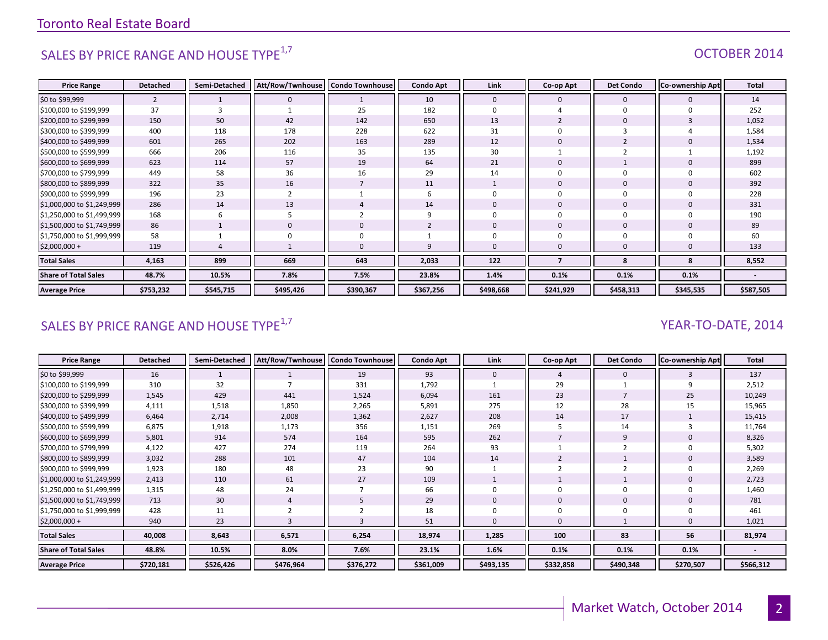# SALES BY PRICE RANGE AND HOUSE TYPE<sup>1,7</sup> And the set of the set of the set of the set of the set of the set of the set of the set of the set of the set of the set of the set of the set of the set of the set of the set of t

| <b>Price Range</b>          | <b>Detached</b> | Semi-Detached | Att/Row/Twnhouse   Condo Townhouse |                | <b>Condo Apt</b> | Link         | Co-op Apt      | <b>Det Condo</b> | <b>Co-ownership Apt</b> | <b>Total</b> |
|-----------------------------|-----------------|---------------|------------------------------------|----------------|------------------|--------------|----------------|------------------|-------------------------|--------------|
| \$0 to \$99,999             | $\overline{2}$  |               | $\mathbf{0}$                       |                | 10               | $\mathbf{0}$ | $\mathbf{0}$   | $\Omega$         |                         | 14           |
| \$100,000 to \$199,999      | 37              | 3             |                                    | 25             | 182              | $\Omega$     |                | $\Omega$         |                         | 252          |
| \$200,000 to \$299,999      | 150             | 50            | 42                                 | 142            | 650              | 13           | $\overline{2}$ | $\Omega$         |                         | 1,052        |
| \$300,000 to \$399,999      | 400             | 118           | 178                                | 228            | 622              | 31           |                |                  |                         | 1,584        |
| \$400,000 to \$499,999      | 601             | 265           | 202                                | 163            | 289              | 12           | $\Omega$       |                  |                         | 1,534        |
| \$500,000 to \$599,999      | 666             | 206           | 116                                | 35             | 135              | 30           |                |                  |                         | 1,192        |
| \$600,000 to \$699,999      | 623             | 114           | 57                                 | 19             | 64               | 21           | $\overline{0}$ |                  |                         | 899          |
| \$700,000 to \$799,999      | 449             | 58            | 36                                 | 16             | 29               | 14           |                |                  |                         | 602          |
| \$800,000 to \$899,999      | 322             | 35            | 16                                 | $\overline{7}$ | 11               |              | $\overline{0}$ | $\mathbf 0$      |                         | 392          |
| \$900,000 to \$999,999      | 196             | 23            |                                    |                |                  |              |                |                  |                         | 228          |
| \$1,000,000 to \$1,249,999  | 286             | 14            | 13                                 | 4              | 14               | $\Omega$     | $\overline{0}$ | $\Omega$         |                         | 331          |
| \$1,250,000 to \$1,499,999  | 168             | 6             |                                    | 2              |                  |              | $\Omega$       |                  |                         | 190          |
| \$1,500,000 to \$1,749,999  | 86              |               | $\mathbf 0$                        | 0              |                  | $\mathbf{0}$ | $\overline{0}$ | $\mathbf 0$      |                         | 89           |
| \$1,750,000 to \$1,999,999  | 58              |               |                                    | $\mathbf 0$    |                  |              |                |                  |                         | 60           |
| $$2,000,000+$               | 119             |               |                                    | $\Omega$       |                  |              | n              |                  |                         | 133          |
| <b>Total Sales</b>          | 4,163           | 899           | 669                                | 643            | 2,033            | 122          |                | 8                | я                       | 8,552        |
| <b>Share of Total Sales</b> | 48.7%           | 10.5%         | 7.8%                               | 7.5%           | 23.8%            | 1.4%         | 0.1%           | 0.1%             | 0.1%                    |              |
| <b>Average Price</b>        | \$753,232       | \$545,715     | \$495,426                          | \$390,367      | \$367,256        | \$498,668    | \$241,929      | \$458,313        | \$345,535               | \$587,505    |

# SALES BY PRICE RANGE AND HOUSE TYPE<sup>1,7</sup> And the set of the set of the set of the set of the set of the set of the set of the set of the set of the set of the set of the set of the set of the set of the set of the set of t

| <b>Price Range</b>          | <b>Detached</b> | Semi-Detached | Att/Row/Twnhouse   Condo Townhouse |           | <b>Condo Apt</b> | Link         | Co-op Apt | <b>Det Condo</b> | <b>Co-ownership Apt</b> | Total     |
|-----------------------------|-----------------|---------------|------------------------------------|-----------|------------------|--------------|-----------|------------------|-------------------------|-----------|
| \$0 to \$99,999             | 16              |               |                                    | 19        | 93               | $\mathbf{0}$ |           | $\mathbf 0$      |                         | 137       |
| \$100,000 to \$199,999      | 310             | 32            |                                    | 331       | 1,792            |              | 29        |                  |                         | 2,512     |
| \$200,000 to \$299,999      | 1,545           | 429           | 441                                | 1,524     | 6,094            | 161          | 23        |                  | 25                      | 10,249    |
| \$300,000 to \$399,999      | 4,111           | 1,518         | 1,850                              | 2,265     | 5,891            | 275          | 12        | 28               | 15                      | 15,965    |
| \$400,000 to \$499,999      | 6,464           | 2,714         | 2,008                              | 1,362     | 2,627            | 208          | 14        | 17               |                         | 15,415    |
| \$500,000 to \$599,999      | 6,875           | 1,918         | 1,173                              | 356       | 1,151            | 269          |           | 14               |                         | 11,764    |
| \$600,000 to \$699,999      | 5,801           | 914           | 574                                | 164       | 595              | 262          |           | 9                |                         | 8,326     |
| \$700,000 to \$799,999      | 4,122           | 427           | 274                                | 119       | 264              | 93           |           |                  |                         | 5,302     |
| \$800,000 to \$899,999      | 3,032           | 288           | 101                                | 47        | 104              | 14           |           |                  |                         | 3,589     |
| \$900,000 to \$999,999      | 1,923           | 180           | 48                                 | 23        | 90               |              |           |                  |                         | 2,269     |
| \$1,000,000 to \$1,249,999  | 2,413           | 110           | 61                                 | 27        | 109              |              |           |                  |                         | 2,723     |
| \$1,250,000 to \$1,499,999  | 1,315           | 48            | 24                                 |           | 66               |              |           |                  |                         | 1,460     |
| \$1,500,000 to \$1,749,999  | 713             | 30            |                                    |           | 29               | 0            | 0         | 0                |                         | 781       |
| \$1,750,000 to \$1,999,999  | 428             | 11            |                                    |           | 18               |              |           |                  |                         | 461       |
| $$2,000,000+$               | 940             | 23            |                                    |           | 51               | $\Omega$     |           |                  |                         | 1,021     |
| <b>Total Sales</b>          | 40,008          | 8,643         | 6,571                              | 6,254     | 18,974           | 1,285        | 100       | 83               | 56                      | 81,974    |
| <b>Share of Total Sales</b> | 48.8%           | 10.5%         | 8.0%                               | 7.6%      | 23.1%            | 1.6%         | 0.1%      | 0.1%             | 0.1%                    |           |
| <b>Average Price</b>        | \$720,181       | \$526,426     | \$476,964                          | \$376,272 | \$361,009        | \$493,135    | \$332,858 | \$490,348        | \$270,507               | \$566,312 |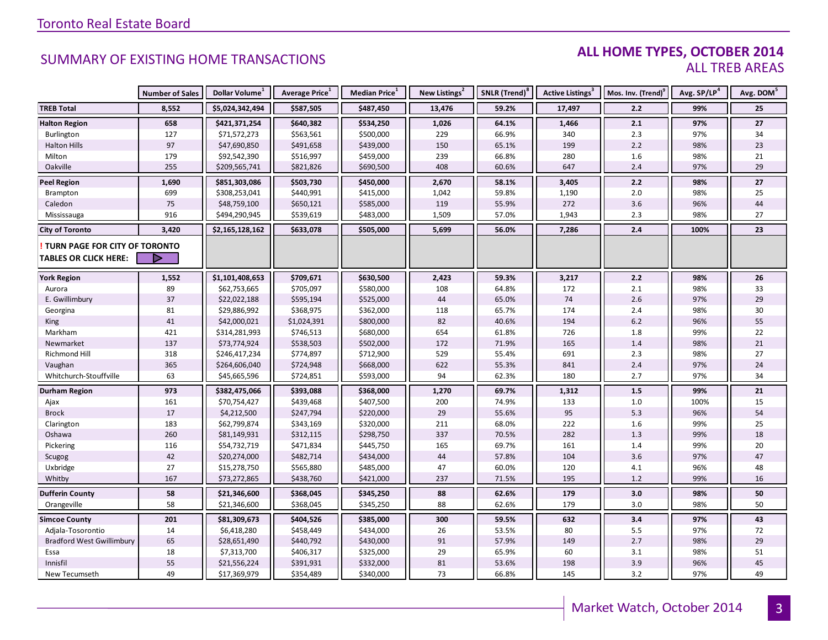#### **ALL HOME TYPES, OCTOBER 2014** ALL TREB AREAS

|                                  | <b>Number of Sales</b> | Dollar Volume <sup>1</sup> | Average Price <sup>1</sup> | Median Price <sup>1</sup> | New Listings <sup>2</sup> | SNLR (Trend) <sup>8</sup> | Active Listings <sup>3</sup> | Mos. Inv. (Trend) <sup>9</sup> | Avg. SP/LP <sup>4</sup> | Avg. DOM <sup>5</sup> |
|----------------------------------|------------------------|----------------------------|----------------------------|---------------------------|---------------------------|---------------------------|------------------------------|--------------------------------|-------------------------|-----------------------|
| <b>TREB Total</b>                | 8,552                  | \$5,024,342,494            | \$587,505                  | \$487,450                 | 13,476                    | 59.2%                     | 17,497                       | 2.2                            | 99%                     | 25                    |
| <b>Halton Region</b>             | 658                    | \$421,371,254              | \$640,382                  | \$534,250                 | 1,026                     | 64.1%                     | 1,466                        | 2.1                            | 97%                     | 27                    |
| Burlington                       | 127                    | \$71,572,273               | \$563,561                  | \$500,000                 | 229                       | 66.9%                     | 340                          | 2.3                            | 97%                     | 34                    |
| <b>Halton Hills</b>              | 97                     | \$47,690,850               | \$491,658                  | \$439,000                 | 150                       | 65.1%                     | 199                          | 2.2                            | 98%                     | 23                    |
| Milton                           | 179                    | \$92,542,390               | \$516,997                  | \$459,000                 | 239                       | 66.8%                     | 280                          | 1.6                            | 98%                     | 21                    |
| Oakville                         | 255                    | \$209,565,741              | \$821,826                  | \$690,500                 | 408                       | 60.6%                     | 647                          | 2.4                            | 97%                     | 29                    |
| <b>Peel Region</b>               | 1,690                  | \$851,303,086              | \$503,730                  | \$450,000                 | 2,670                     | 58.1%                     | 3,405                        | 2.2                            | 98%                     | 27                    |
| Brampton                         | 699                    | \$308,253,041              | \$440,991                  | \$415,000                 | 1,042                     | 59.8%                     | 1,190                        | 2.0                            | 98%                     | 25                    |
| Caledon                          | $75\,$                 | \$48,759,100               | \$650,121                  | \$585,000                 | 119                       | 55.9%                     | 272                          | 3.6                            | 96%                     | 44                    |
| Mississauga                      | 916                    | \$494,290,945              | \$539,619                  | \$483,000                 | 1,509                     | 57.0%                     | 1,943                        | 2.3                            | 98%                     | 27                    |
| <b>City of Toronto</b>           | 3,420                  | \$2,165,128,162            | \$633,078                  | \$505,000                 | 5,699                     | 56.0%                     | 7,286                        | 2.4                            | 100%                    | 23                    |
| TURN PAGE FOR CITY OF TORONTO    |                        |                            |                            |                           |                           |                           |                              |                                |                         |                       |
| <b>TABLES OR CLICK HERE:</b>     |                        |                            |                            |                           |                           |                           |                              |                                |                         |                       |
| <b>York Region</b>               | 1,552                  | \$1,101,408,653            | \$709,671                  | \$630,500                 | 2,423                     | 59.3%                     | 3,217                        | 2.2                            | 98%                     | 26                    |
| Aurora                           | 89                     | \$62,753,665               | \$705,097                  | \$580,000                 | 108                       | 64.8%                     | 172                          | 2.1                            | 98%                     | 33                    |
| E. Gwillimbury                   | 37                     | \$22,022,188               | \$595,194                  | \$525,000                 | 44                        | 65.0%                     | 74                           | 2.6                            | 97%                     | 29                    |
| Georgina                         | 81                     | \$29,886,992               | \$368,975                  | \$362,000                 | 118                       | 65.7%                     | 174                          | 2.4                            | 98%                     | $30\,$                |
| <b>King</b>                      | 41                     | \$42,000,021               | \$1,024,391                | \$800,000                 | 82                        | 40.6%                     | 194                          | $6.2$                          | 96%                     | 55                    |
| Markham                          | 421                    | \$314,281,993              | \$746,513                  | \$680,000                 | 654                       | 61.8%                     | 726                          | 1.8                            | 99%                     | 22                    |
| Newmarket                        | 137                    | \$73,774,924               | \$538,503                  | \$502,000                 | 172                       | 71.9%                     | 165                          | $1.4$                          | 98%                     | 21                    |
| Richmond Hill                    | 318                    | \$246,417,234              | \$774,897                  | \$712,900                 | 529                       | 55.4%                     | 691                          | 2.3                            | 98%                     | 27                    |
| Vaughan                          | 365                    | \$264,606,040              | \$724,948                  | \$668,000                 | 622                       | 55.3%                     | 841                          | 2.4                            | 97%                     | 24                    |
| Whitchurch-Stouffville           | 63                     | \$45,665,596               | \$724,851                  | \$593,000                 | 94                        | 62.3%                     | 180                          | 2.7                            | 97%                     | 34                    |
| <b>Durham Region</b>             | 973                    | \$382,475,066              | \$393,088                  | \$368,000                 | 1,270                     | 69.7%                     | 1,312                        | 1.5                            | 99%                     | 21                    |
| Ajax                             | 161                    | \$70,754,427               | \$439,468                  | \$407,500                 | 200                       | 74.9%                     | 133                          | 1.0                            | 100%                    | 15                    |
| <b>Brock</b>                     | $17$                   | \$4,212,500                | \$247,794                  | \$220,000                 | 29                        | 55.6%                     | 95                           | 5.3                            | 96%                     | 54                    |
| Clarington                       | 183                    | \$62,799,874               | \$343,169                  | \$320,000                 | 211                       | 68.0%                     | 222                          | 1.6                            | 99%                     | 25                    |
| Oshawa                           | 260                    | \$81,149,931               | \$312,115                  | \$298,750                 | 337                       | 70.5%                     | 282                          | 1.3                            | 99%                     | 18                    |
| Pickering                        | 116                    | \$54,732,719               | \$471,834                  | \$445,750                 | 165                       | 69.7%                     | 161                          | 1.4                            | 99%                     | 20                    |
| Scugog                           | 42                     | \$20,274,000               | \$482,714                  | \$434,000                 | 44                        | 57.8%                     | 104                          | 3.6                            | 97%                     | 47                    |
| Uxbridge                         | 27                     | \$15,278,750               | \$565,880                  | \$485,000                 | 47                        | 60.0%                     | 120                          | 4.1                            | 96%                     | 48                    |
| Whitby                           | 167                    | \$73,272,865               | \$438,760                  | \$421,000                 | 237                       | 71.5%                     | 195                          | 1.2                            | 99%                     | 16                    |
| <b>Dufferin County</b>           | 58                     | \$21,346,600               | \$368,045                  | \$345,250                 | 88                        | 62.6%                     | 179                          | 3.0                            | 98%                     | 50                    |
| Orangeville                      | 58                     | \$21,346,600               | \$368,045                  | \$345,250                 | 88                        | 62.6%                     | 179                          | 3.0                            | 98%                     | 50                    |
| <b>Simcoe County</b>             | 201                    | \$81,309,673               | \$404,526                  | \$385,000                 | 300                       | 59.5%                     | 632                          | 3.4                            | 97%                     | 43                    |
| Adjala-Tosorontio                | 14                     | \$6,418,280                | \$458,449                  | \$434,000                 | 26                        | 53.5%                     | 80                           | 5.5                            | 97%                     | 72                    |
| <b>Bradford West Gwillimbury</b> | 65                     | \$28,651,490               | \$440,792                  | \$430,000                 | 91                        | 57.9%                     | 149                          | 2.7                            | 98%                     | 29                    |
| Essa                             | 18                     | \$7,313,700                | \$406,317                  | \$325,000                 | 29                        | 65.9%                     | 60                           | 3.1                            | 98%                     | 51                    |
| Innisfil                         | 55                     | \$21,556,224               | \$391,931                  | \$332,000                 | 81                        | 53.6%                     | 198                          | 3.9                            | 96%                     | 45                    |
| New Tecumseth                    | 49                     | \$17,369,979               | \$354,489                  | \$340,000                 | 73                        | 66.8%                     | 145                          | 3.2                            | 97%                     | 49                    |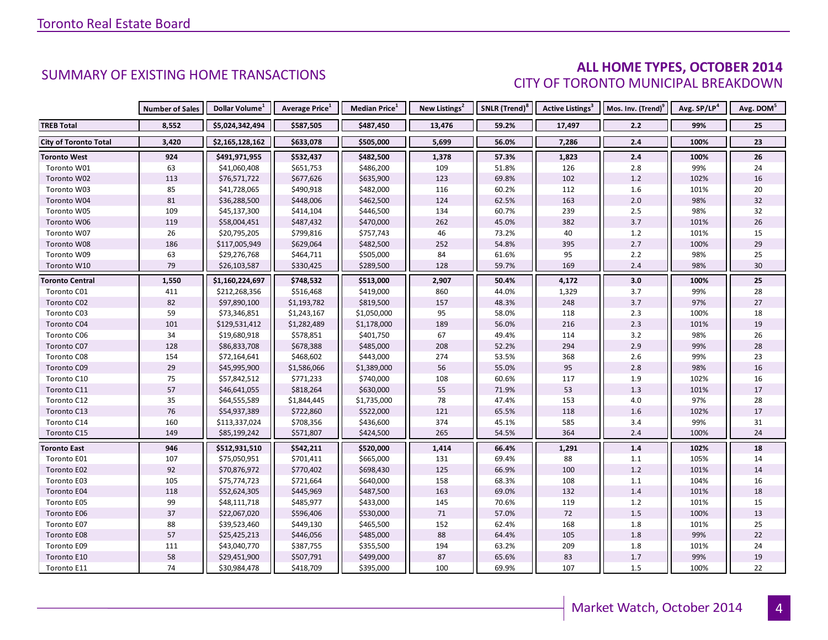### **ALL HOME TYPES, OCTOBER 2014** CITY OF TORONTO MUNICIPAL BREAKDOWN

|                              | <b>Number of Sales</b> | Dollar Volume <sup>1</sup> | Average Price <sup>1</sup> | Median Price <sup>1</sup> | <b>New Listings<sup>2</sup></b> | SNLR (Trend) <sup>8</sup> | Active Listings <sup>3</sup> | Mos. Inv. (Trend) <sup>9</sup> | Avg. SP/LP <sup>4</sup> | Avg. DOM <sup>5</sup> |
|------------------------------|------------------------|----------------------------|----------------------------|---------------------------|---------------------------------|---------------------------|------------------------------|--------------------------------|-------------------------|-----------------------|
| <b>TREB Total</b>            | 8,552                  | \$5,024,342,494            | \$587,505                  | \$487,450                 | 13,476                          | 59.2%                     | 17,497                       | 2.2                            | 99%                     | 25                    |
| <b>City of Toronto Total</b> | 3,420                  | \$2,165,128,162            | \$633,078                  | \$505,000                 | 5,699                           | 56.0%                     | 7,286                        | 2.4                            | 100%                    | 23                    |
| Toronto West                 | 924                    | \$491,971,955              | \$532,437                  | \$482,500                 | 1,378                           | 57.3%                     | 1,823                        | 2.4                            | 100%                    | 26                    |
| Toronto W01                  | 63                     | \$41,060,408               | \$651,753                  | \$486,200                 | 109                             | 51.8%                     | 126                          | 2.8                            | 99%                     | 24                    |
| Toronto W02                  | 113                    | \$76,571,722               | \$677,626                  | \$635,900                 | 123                             | 69.8%                     | 102                          | 1.2                            | 102%                    | 16                    |
| Toronto W03                  | 85                     | \$41,728,065               | \$490,918                  | \$482,000                 | 116                             | 60.2%                     | 112                          | 1.6                            | 101%                    | 20                    |
| Toronto W04                  | 81                     | \$36,288,500               | \$448,006                  | \$462,500                 | 124                             | 62.5%                     | 163                          | 2.0                            | 98%                     | 32                    |
| Toronto W05                  | 109                    | \$45,137,300               | \$414,104                  | \$446,500                 | 134                             | 60.7%                     | 239                          | 2.5                            | 98%                     | 32                    |
| Toronto W06                  | 119                    | \$58,004,451               | \$487,432                  | \$470,000                 | 262                             | 45.0%                     | 382                          | 3.7                            | 101%                    | 26                    |
| Toronto W07                  | 26                     | \$20,795,205               | \$799,816                  | \$757,743                 | 46                              | 73.2%                     | 40                           | 1.2                            | 101%                    | 15                    |
| Toronto W08                  | 186                    | \$117,005,949              | \$629,064                  | \$482,500                 | 252                             | 54.8%                     | 395                          | 2.7                            | 100%                    | 29                    |
| Toronto W09                  | 63                     | \$29,276,768               | \$464,711                  | \$505,000                 | 84                              | 61.6%                     | 95                           | 2.2                            | 98%                     | 25                    |
| Toronto W10                  | 79                     | \$26,103,587               | \$330,425                  | \$289,500                 | 128                             | 59.7%                     | 169                          | 2.4                            | 98%                     | 30                    |
| <b>Toronto Central</b>       | 1,550                  | \$1,160,224,697            | \$748,532                  | \$513,000                 | 2,907                           | 50.4%                     | 4,172                        | 3.0                            | 100%                    | 25                    |
| Toronto C01                  | 411                    | \$212,268,356              | \$516,468                  | \$419,000                 | 860                             | 44.0%                     | 1,329                        | 3.7                            | 99%                     | 28                    |
| Toronto C02                  | 82                     | \$97,890,100               | \$1,193,782                | \$819,500                 | 157                             | 48.3%                     | 248                          | 3.7                            | 97%                     | 27                    |
| Toronto C03                  | 59                     | \$73,346,851               | \$1,243,167                | \$1,050,000               | 95                              | 58.0%                     | 118                          | 2.3                            | 100%                    | 18                    |
| Toronto C04                  | 101                    | \$129,531,412              | \$1,282,489                | \$1,178,000               | 189                             | 56.0%                     | 216                          | 2.3                            | 101%                    | 19                    |
| Toronto C06                  | 34                     | \$19,680,918               | \$578,851                  | \$401,750                 | 67                              | 49.4%                     | 114                          | $3.2$                          | 98%                     | 26                    |
| Toronto C07                  | 128                    | \$86,833,708               | \$678,388                  | \$485,000                 | 208                             | 52.2%                     | 294                          | 2.9                            | 99%                     | 28                    |
| Toronto C08                  | 154                    | \$72,164,641               | \$468,602                  | \$443,000                 | 274                             | 53.5%                     | 368                          | 2.6                            | 99%                     | 23                    |
| Toronto C09                  | 29                     | \$45,995,900               | \$1,586,066                | \$1,389,000               | 56                              | 55.0%                     | 95                           | 2.8                            | 98%                     | 16                    |
| Toronto C10                  | 75                     | \$57,842,512               | \$771,233                  | \$740,000                 | 108                             | 60.6%                     | 117                          | 1.9                            | 102%                    | 16                    |
| Toronto C11                  | 57                     | \$46,641,055               | \$818,264                  | \$630,000                 | 55                              | 71.9%                     | 53                           | 1.3                            | 101%                    | 17                    |
| Toronto C12                  | 35                     | \$64,555,589               | \$1,844,445                | \$1,735,000               | 78                              | 47.4%                     | 153                          | 4.0                            | 97%                     | 28                    |
| Toronto C13                  | 76                     | \$54,937,389               | \$722,860                  | \$522,000                 | 121                             | 65.5%                     | 118                          | 1.6                            | 102%                    | 17                    |
| Toronto C14                  | 160                    | \$113,337,024              | \$708,356                  | \$436,600                 | 374                             | 45.1%                     | 585                          | 3.4                            | 99%                     | 31                    |
| Toronto C15                  | 149                    | \$85,199,242               | \$571,807                  | \$424,500                 | 265                             | 54.5%                     | 364                          | 2.4                            | 100%                    | 24                    |
| <b>Toronto East</b>          | 946                    | \$512,931,510              | \$542,211                  | \$520,000                 | 1,414                           | 66.4%                     | 1,291                        | 1.4                            | 102%                    | 18                    |
| Toronto E01                  | 107                    | \$75,050,951               | \$701,411                  | \$665,000                 | 131                             | 69.4%                     | 88                           | 1.1                            | 105%                    | 14                    |
| Toronto E02                  | 92                     | \$70,876,972               | \$770,402                  | \$698,430                 | 125                             | 66.9%                     | 100                          | $1.2$                          | 101%                    | 14                    |
| Toronto E03                  | 105                    | \$75,774,723               | \$721,664                  | \$640,000                 | 158                             | 68.3%                     | 108                          | 1.1                            | 104%                    | 16                    |
| Toronto E04                  | 118                    | \$52,624,305               | \$445,969                  | \$487,500                 | 163                             | 69.0%                     | 132                          | 1.4                            | 101%                    | 18                    |
| Toronto E05                  | 99                     | \$48,111,718               | \$485,977                  | \$433,000                 | 145                             | 70.6%                     | 119                          | 1.2                            | 101%                    | 15                    |
| Toronto E06                  | 37                     | \$22,067,020               | \$596,406                  | \$530,000                 | 71                              | 57.0%                     | 72                           | 1.5                            | 100%                    | 13                    |
| Toronto E07                  | 88                     | \$39,523,460               | \$449,130                  | \$465,500                 | 152                             | 62.4%                     | 168                          | 1.8                            | 101%                    | 25                    |
| Toronto E08                  | 57                     | \$25,425,213               | \$446,056                  | \$485,000                 | 88                              | 64.4%                     | 105                          | 1.8                            | 99%                     | 22                    |
| Toronto E09                  | 111                    | \$43,040,770               | \$387,755                  | \$355,500                 | 194                             | 63.2%                     | 209                          | 1.8                            | 101%                    | 24                    |
| Toronto E10                  | 58                     | \$29,451,900               | \$507,791                  | \$499,000                 | 87                              | 65.6%                     | 83                           | 1.7                            | 99%                     | 19                    |
| Toronto E11                  | 74                     | \$30,984,478               | \$418,709                  | \$395,000                 | 100                             | 69.9%                     | 107                          | 1.5                            | 100%                    | 22                    |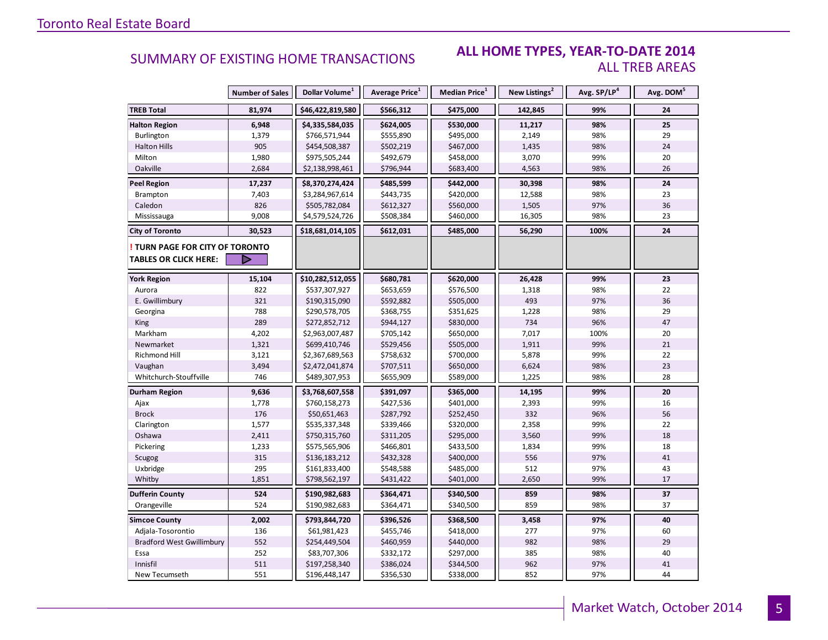#### **ALL HOME TYPES, YEAR-TO-DATE 2014** ALL TREB AREAS

|                                  | <b>Number of Sales</b> | Dollar Volume <sup>1</sup> | Average Price <sup>1</sup> | <b>Median Price</b> <sup>1</sup> | New Listings <sup>2</sup> | Avg. SP/LP <sup>4</sup> | Avg. DOM <sup>5</sup> |
|----------------------------------|------------------------|----------------------------|----------------------------|----------------------------------|---------------------------|-------------------------|-----------------------|
| <b>TREB Total</b>                | 81,974                 | \$46,422,819,580           | \$566,312                  | \$475,000                        | 142,845                   | 99%                     | 24                    |
| <b>Halton Region</b>             | 6,948                  | \$4,335,584,035            | \$624,005                  | \$530,000                        | 11,217                    | 98%                     | 25                    |
| Burlington                       | 1,379                  | \$766,571,944              | \$555,890                  | \$495,000                        | 2,149                     | 98%                     | 29                    |
| <b>Halton Hills</b>              | 905                    | \$454,508,387              | \$502,219                  | \$467,000                        | 1,435                     | 98%                     | 24                    |
| Milton                           | 1,980                  | \$975,505,244              | \$492,679                  | \$458,000                        | 3,070                     | 99%                     | 20                    |
| Oakville                         | 2,684                  | \$2,138,998,461            | \$796,944                  | \$683,400                        | 4,563                     | 98%                     | 26                    |
| <b>Peel Region</b>               | 17,237                 | \$8,370,274,424            | \$485,599                  | \$442,000                        | 30,398                    | 98%                     | 24                    |
| Brampton                         | 7,403                  | \$3,284,967,614            | \$443,735                  | \$420,000                        | 12,588                    | 98%                     | 23                    |
| Caledon                          | 826                    | \$505,782,084              | \$612,327                  | \$560,000                        | 1,505                     | 97%                     | 36                    |
| Mississauga                      | 9,008                  | \$4,579,524,726            | \$508,384                  | \$460,000                        | 16,305                    | 98%                     | 23                    |
| <b>City of Toronto</b>           | 30,523                 | \$18,681,014,105           | \$612,031                  | \$485,000                        | 56,290                    | 100%                    | 24                    |
| TURN PAGE FOR CITY OF TORONTO    |                        |                            |                            |                                  |                           |                         |                       |
| <b>TABLES OR CLICK HERE:</b>     | D                      |                            |                            |                                  |                           |                         |                       |
| <b>York Region</b>               | 15,104                 | \$10,282,512,055           | \$680,781                  | \$620,000                        | 26,428                    | 99%                     | 23                    |
| Aurora                           | 822                    | \$537,307,927              | \$653,659                  | \$576,500                        | 1,318                     | 98%                     | 22                    |
| E. Gwillimbury                   | 321                    | \$190,315,090              | \$592,882                  | \$505,000                        | 493                       | 97%                     | 36                    |
| Georgina                         | 788                    | \$290,578,705              | \$368,755                  | \$351,625                        | 1,228                     | 98%                     | 29                    |
| King                             | 289                    | \$272,852,712              | \$944,127                  | \$830,000                        | 734                       | 96%                     | 47                    |
| Markham                          | 4,202                  | \$2,963,007,487            | \$705,142                  | \$650,000                        | 7,017                     | 100%                    | 20                    |
| Newmarket                        | 1,321                  | \$699,410,746              | \$529,456                  | \$505,000                        | 1,911                     | 99%                     | 21                    |
| Richmond Hill                    | 3,121                  | \$2,367,689,563            | \$758,632                  | \$700,000                        | 5,878                     | 99%                     | 22                    |
| Vaughan                          | 3,494                  | \$2,472,041,874            | \$707,511                  | \$650,000                        | 6,624                     | 98%                     | 23                    |
| Whitchurch-Stouffville           | 746                    | \$489,307,953              | \$655,909                  | \$589,000                        | 1,225                     | 98%                     | 28                    |
| Durham Region                    | 9,636                  | \$3,768,607,558            | \$391,097                  | \$365,000                        | 14,195                    | 99%                     | 20                    |
| Ajax                             | 1,778                  | \$760,158,273              | \$427,536                  | \$401,000                        | 2,393                     | 99%                     | 16                    |
| <b>Brock</b>                     | 176                    | \$50,651,463               | \$287,792                  | \$252,450                        | 332                       | 96%                     | 56                    |
| Clarington                       | 1,577                  | \$535,337,348              | \$339,466                  | \$320,000                        | 2,358                     | 99%                     | 22                    |
| Oshawa                           | 2,411                  | \$750,315,760              | \$311,205                  | \$295,000                        | 3,560                     | 99%                     | 18                    |
| Pickering                        | 1,233                  | \$575,565,906              | \$466,801                  | \$433,500                        | 1,834                     | 99%                     | 18                    |
| Scugog                           | 315                    | \$136,183,212              | \$432,328                  | \$400,000                        | 556                       | 97%                     | 41                    |
| Uxbridge                         | 295                    | \$161,833,400              | \$548,588                  | \$485,000                        | 512                       | 97%                     | 43                    |
| Whitby                           | 1,851                  | \$798,562,197              | \$431,422                  | \$401,000                        | 2,650                     | 99%                     | 17                    |
| <b>Dufferin County</b>           | 524                    | \$190,982,683              | \$364,471                  | \$340,500                        | 859                       | 98%                     | 37                    |
| Orangeville                      | 524                    | \$190,982,683              | \$364,471                  | \$340,500                        | 859                       | 98%                     | 37                    |
| <b>Simcoe County</b>             | 2,002                  | \$793,844,720              | \$396,526                  | \$368,500                        | 3,458                     | 97%                     | 40                    |
| Adjala-Tosorontio                | 136                    | \$61,981,423               | \$455,746                  | \$418,000                        | 277                       | 97%                     | 60                    |
| <b>Bradford West Gwillimbury</b> | 552                    | \$254,449,504              | \$460,959                  | \$440,000                        | 982                       | 98%                     | 29                    |
| Essa                             | 252                    | \$83,707,306               | \$332,172                  | \$297,000                        | 385                       | 98%                     | 40                    |
| Innisfil                         | 511                    | \$197,258,340              | \$386,024                  | \$344,500                        | 962                       | 97%                     | 41                    |
| New Tecumseth                    | 551                    | \$196,448,147              | \$356,530                  | \$338,000                        | 852                       | 97%                     | 44                    |

5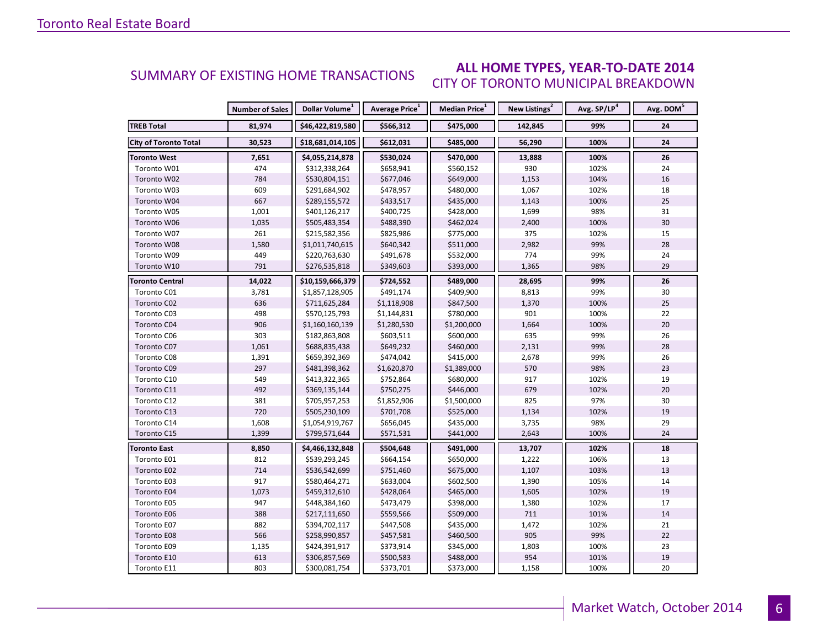#### **ALL HOME TYPES, YEAR-TO-DATE 2014** CITY OF TORONTO MUNICIPAL BREAKDOWN SUMMARY OF EXISTING HOME TRANSACTIONS

|                              | <b>Number of Sales</b> | Dollar Volume <sup>1</sup> | Average Price <sup>1</sup> | Median Price <sup>1</sup> | New Listings <sup>2</sup> | Avg. SP/LP <sup>4</sup> | Avg. DOM <sup>5</sup> |
|------------------------------|------------------------|----------------------------|----------------------------|---------------------------|---------------------------|-------------------------|-----------------------|
| <b>TREB Total</b>            | 81,974                 | \$46,422,819,580           | \$566,312                  | \$475,000                 | 142,845                   | 99%                     | 24                    |
| <b>City of Toronto Total</b> | 30,523                 | \$18,681,014,105           | \$612,031                  | \$485,000                 | 56,290                    | 100%                    | 24                    |
| Toronto West                 | 7,651                  | \$4,055,214,878            | \$530,024                  | \$470,000                 | 13,888                    | 100%                    | 26                    |
| Toronto W01                  | 474                    | \$312,338,264              | \$658,941                  | \$560,152                 | 930                       | 102%                    | 24                    |
| Toronto W02                  | 784                    | \$530,804,151              | \$677,046                  | \$649,000                 | 1,153                     | 104%                    | 16                    |
| Toronto W03                  | 609                    | \$291,684,902              | \$478,957                  | \$480,000                 | 1,067                     | 102%                    | 18                    |
| Toronto W04                  | 667                    | \$289,155,572              | \$433,517                  | \$435,000                 | 1,143                     | 100%                    | 25                    |
| Toronto W05                  | 1,001                  | \$401,126,217              | \$400,725                  | \$428,000                 | 1,699                     | 98%                     | 31                    |
| Toronto W06                  | 1,035                  | \$505,483,354              | \$488,390                  | \$462,024                 | 2,400                     | 100%                    | 30                    |
| Toronto W07                  | 261                    | \$215,582,356              | \$825,986                  | \$775,000                 | 375                       | 102%                    | 15                    |
| Toronto W08                  | 1,580                  | \$1,011,740,615            | \$640,342                  | \$511,000                 | 2,982                     | 99%                     | 28                    |
| Toronto W09                  | 449                    | \$220,763,630              | \$491,678                  | \$532,000                 | 774                       | 99%                     | 24                    |
| Toronto W10                  | 791                    | \$276,535,818              | \$349,603                  | \$393,000                 | 1,365                     | 98%                     | 29                    |
| <b>Toronto Central</b>       | 14,022                 | \$10,159,666,379           | \$724,552                  | \$489,000                 | 28,695                    | 99%                     | 26                    |
| Toronto C01                  | 3,781                  | \$1,857,128,905            | \$491,174                  | \$409,900                 | 8,813                     | 99%                     | 30                    |
| Toronto C02                  | 636                    | \$711,625,284              | \$1,118,908                | \$847,500                 | 1,370                     | 100%                    | 25                    |
| Toronto C03                  | 498                    | \$570,125,793              | \$1,144,831                | \$780,000                 | 901                       | 100%                    | 22                    |
| Toronto C04                  | 906                    | \$1,160,160,139            | \$1,280,530                | \$1,200,000               | 1,664                     | 100%                    | 20                    |
| Toronto C06                  | 303                    | \$182,863,808              | \$603,511                  | \$600,000                 | 635                       | 99%                     | 26                    |
| Toronto C07                  | 1,061                  | \$688,835,438              | \$649,232                  | \$460,000                 | 2,131                     | 99%                     | 28                    |
| Toronto C08                  | 1,391                  | \$659,392,369              | \$474,042                  | \$415,000                 | 2,678                     | 99%                     | 26                    |
| Toronto C09                  | 297                    | \$481,398,362              | \$1,620,870                | \$1,389,000               | 570                       | 98%                     | 23                    |
| Toronto C10                  | 549                    | \$413,322,365              | \$752,864                  | \$680,000                 | 917                       | 102%                    | 19                    |
| Toronto C11                  | 492                    | \$369,135,144              | \$750,275                  | \$446,000                 | 679                       | 102%                    | 20                    |
| Toronto C12                  | 381                    | \$705,957,253              | \$1,852,906                | \$1,500,000               | 825                       | 97%                     | 30                    |
| Toronto C13                  | 720                    | \$505,230,109              | \$701,708                  | \$525,000                 | 1,134                     | 102%                    | 19                    |
| Toronto C14                  | 1,608                  | \$1,054,919,767            | \$656,045                  | \$435,000                 | 3,735                     | 98%                     | 29                    |
| Toronto C15                  | 1,399                  | \$799,571,644              | \$571,531                  | \$441,000                 | 2,643                     | 100%                    | 24                    |
| Toronto East                 | 8,850                  | \$4,466,132,848            | \$504,648                  | \$491,000                 | 13,707                    | 102%                    | 18                    |
| Toronto E01                  | 812                    | \$539,293,245              | \$664,154                  | \$650,000                 | 1,222                     | 106%                    | 13                    |
| Toronto E02                  | 714                    | \$536,542,699              | \$751,460                  | \$675,000                 | 1,107                     | 103%                    | 13                    |
| Toronto E03                  | 917                    | \$580,464,271              | \$633,004                  | \$602,500                 | 1,390                     | 105%                    | 14                    |
| Toronto E04                  | 1,073                  | \$459,312,610              | \$428,064                  | \$465,000                 | 1,605                     | 102%                    | 19                    |
| Toronto E05                  | 947                    | \$448,384,160              | \$473,479                  | \$398,000                 | 1,380                     | 102%                    | 17                    |
| Toronto E06                  | 388                    | \$217,111,650              | \$559,566                  | \$509,000                 | 711                       | 101%                    | 14                    |
| Toronto E07                  | 882                    | \$394,702,117              | \$447,508                  | \$435,000                 | 1,472                     | 102%                    | 21                    |
| Toronto E08                  | 566                    | \$258,990,857              | \$457,581                  | \$460,500                 | 905                       | 99%                     | 22                    |
| Toronto E09                  | 1,135                  | \$424,391,917              | \$373,914                  | \$345,000                 | 1,803                     | 100%                    | 23                    |
| Toronto E10                  | 613                    | \$306,857,569              | \$500,583                  | \$488,000                 | 954                       | 101%                    | 19                    |
| Toronto E11                  | 803                    | \$300,081,754              | \$373,701                  | \$373,000                 | 1,158                     | 100%                    | 20                    |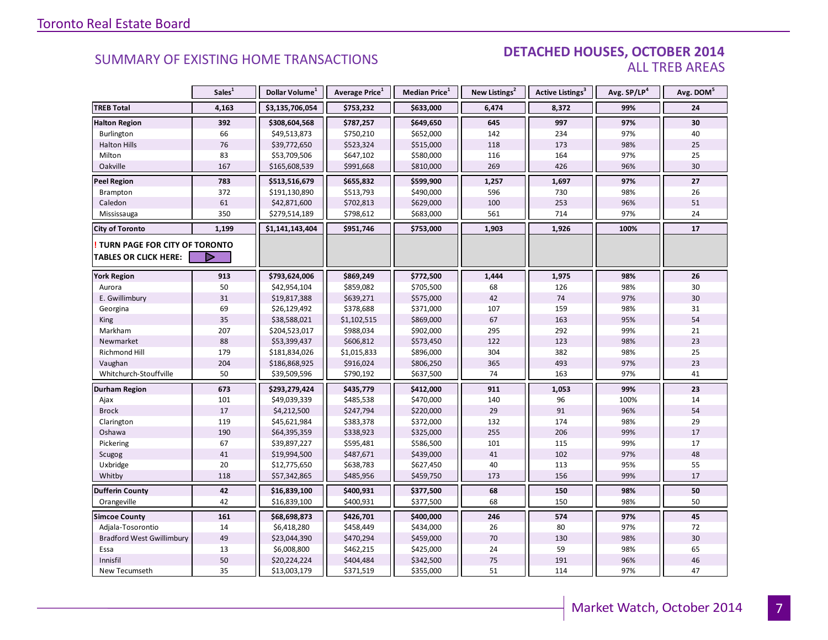### DETACHED HOUSES, OCTOBER 2014 ALL TREB AREAS

|                                      | Sales <sup>1</sup> | Dollar Volume <sup>1</sup> | Average Price <sup>1</sup> | Median Price <sup>1</sup> | New Listings <sup>2</sup> | Active Listings <sup>3</sup> | Avg. SP/LP <sup>4</sup> | Avg. DOM <sup>5</sup> |
|--------------------------------------|--------------------|----------------------------|----------------------------|---------------------------|---------------------------|------------------------------|-------------------------|-----------------------|
| <b>TREB Total</b>                    | 4,163              | \$3,135,706,054            | \$753,232                  | \$633,000                 | 6,474                     | 8,372                        | 99%                     | 24                    |
| <b>Halton Region</b>                 | 392                | \$308,604,568              | \$787,257                  | \$649,650                 | 645                       | 997                          | 97%                     | 30                    |
| Burlington                           | 66                 | \$49,513,873               | \$750,210                  | \$652,000                 | 142                       | 234                          | 97%                     | 40                    |
| <b>Halton Hills</b>                  | 76                 | \$39,772,650               | \$523,324                  | \$515,000                 | 118                       | 173                          | 98%                     | 25                    |
| Milton                               | 83                 | \$53,709,506               | \$647,102                  | \$580,000                 | 116                       | 164                          | 97%                     | 25                    |
| Oakville                             | 167                | \$165,608,539              | \$991,668                  | \$810,000                 | 269                       | 426                          | 96%                     | 30                    |
| <b>Peel Region</b>                   | 783                | \$513,516,679              | \$655,832                  | \$599,900                 | 1,257                     | 1,697                        | 97%                     | 27                    |
| <b>Brampton</b>                      | 372                | \$191,130,890              | \$513,793                  | \$490,000                 | 596                       | 730                          | 98%                     | 26                    |
| Caledon                              | 61                 | \$42,871,600               | \$702,813                  | \$629,000                 | 100                       | 253                          | 96%                     | 51                    |
| Mississauga                          | 350                | \$279,514,189              | \$798,612                  | \$683,000                 | 561                       | 714                          | 97%                     | 24                    |
| <b>City of Toronto</b>               | 1,199              | \$1,141,143,404            | \$951,746                  | \$753,000                 | 1,903                     | 1,926                        | 100%                    | 17                    |
| <b>TURN PAGE FOR CITY OF TORONTO</b> |                    |                            |                            |                           |                           |                              |                         |                       |
| <b>TABLES OR CLICK HERE:</b>         |                    |                            |                            |                           |                           |                              |                         |                       |
| <b>York Region</b>                   | 913                | \$793,624,006              | \$869,249                  | \$772,500                 | 1,444                     | 1,975                        | 98%                     | 26                    |
| Aurora                               | 50                 | \$42,954,104               | \$859,082                  | \$705,500                 | 68                        | 126                          | 98%                     | 30                    |
| E. Gwillimbury                       | 31                 | \$19,817,388               | \$639,271                  | \$575,000                 | 42                        | 74                           | 97%                     | 30                    |
| Georgina                             | 69                 | \$26,129,492               | \$378,688                  | \$371,000                 | 107                       | 159                          | 98%                     | 31                    |
| King                                 | 35                 | \$38,588,021               | \$1,102,515                | \$869,000                 | 67                        | 163                          | 95%                     | 54                    |
| Markham                              | 207                | \$204,523,017              | \$988,034                  | \$902,000                 | 295                       | 292                          | 99%                     | 21                    |
| Newmarket                            | 88                 | \$53,399,437               | \$606,812                  | \$573,450                 | 122                       | 123                          | 98%                     | 23                    |
| Richmond Hill                        | 179                | \$181,834,026              | \$1,015,833                | \$896,000                 | 304                       | 382                          | 98%                     | 25                    |
| Vaughan                              | 204                | \$186,868,925              | \$916,024                  | \$806,250                 | 365                       | 493                          | 97%                     | 23                    |
| Whitchurch-Stouffville               | 50                 | \$39,509,596               | \$790,192                  | \$637,500                 | 74                        | 163                          | 97%                     | 41                    |
| <b>Durham Region</b>                 | 673                | \$293,279,424              | \$435,779                  | \$412,000                 | 911                       | 1,053                        | 99%                     | 23                    |
| Ajax                                 | 101                | \$49,039,339               | \$485,538                  | \$470,000                 | 140                       | 96                           | 100%                    | 14                    |
| <b>Brock</b>                         | 17                 | \$4,212,500                | \$247,794                  | \$220,000                 | 29                        | 91                           | 96%                     | 54                    |
| Clarington                           | 119                | \$45,621,984               | \$383,378                  | \$372,000                 | 132                       | 174                          | 98%                     | 29                    |
| Oshawa                               | 190                | \$64,395,359               | \$338,923                  | \$325,000                 | 255                       | 206                          | 99%                     | 17                    |
| Pickering                            | 67                 | \$39,897,227               | \$595,481                  | \$586,500                 | 101                       | 115                          | 99%                     | 17                    |
| Scugog                               | 41                 | \$19,994,500               | \$487,671                  | \$439,000                 | 41                        | 102                          | 97%                     | 48                    |
| Uxbridge                             | 20                 | \$12,775,650               | \$638,783                  | \$627,450                 | 40                        | 113                          | 95%                     | 55                    |
| Whitby                               | 118                | \$57,342,865               | \$485,956                  | \$459,750                 | 173                       | 156                          | 99%                     | 17                    |
| <b>Dufferin County</b>               | 42                 | \$16,839,100               | \$400,931                  | \$377,500                 | 68                        | 150                          | 98%                     | 50                    |
| Orangeville                          | 42                 | \$16,839,100               | \$400,931                  | \$377,500                 | 68                        | 150                          | 98%                     | 50                    |
| <b>Simcoe County</b>                 | 161                | \$68,698,873               | \$426,701                  | \$400,000                 | 246                       | 574                          | 97%                     | 45                    |
| Adjala-Tosorontio                    | 14                 | \$6,418,280                | \$458,449                  | \$434,000                 | 26                        | 80                           | 97%                     | 72                    |
| <b>Bradford West Gwillimbury</b>     | 49                 | \$23,044,390               | \$470,294                  | \$459,000                 | 70                        | 130                          | 98%                     | 30                    |
| Essa                                 | 13                 | \$6,008,800                | \$462,215                  | \$425,000                 | 24                        | 59                           | 98%                     | 65                    |
| Innisfil                             | 50                 | \$20,224,224               | \$404,484                  | \$342,500                 | 75                        | 191                          | 96%                     | 46                    |
| New Tecumseth                        | 35                 | \$13,003,179               | \$371,519                  | \$355,000                 | 51                        | 114                          | 97%                     | 47                    |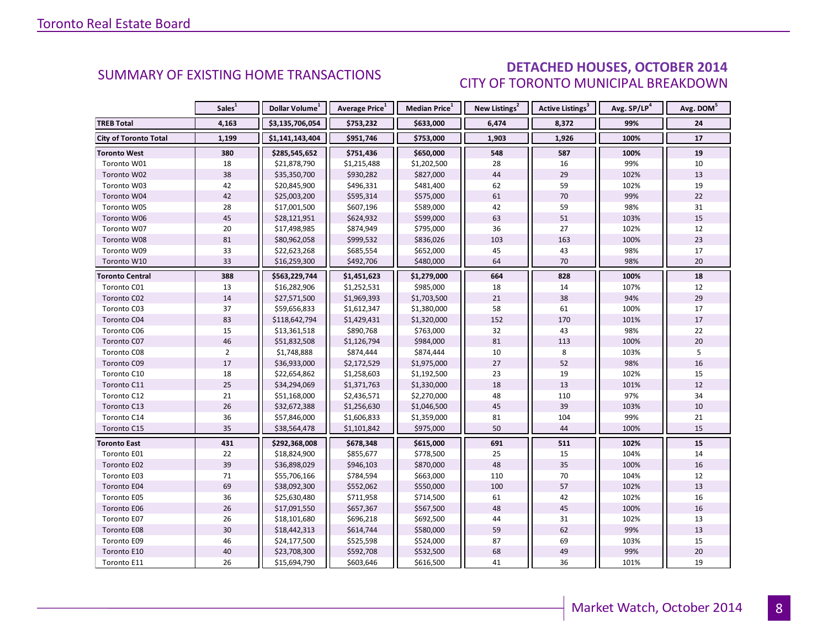# DETACHED HOUSES, OCTOBER 2014 CITY OF TORONTO MUNICIPAL BREAKDOWN

<span id="page-7-0"></span>

|                              | Sales <sup>1</sup> | Dollar Volume <sup>1</sup> | <b>Average Price</b> <sup>1</sup> | Median Price <sup>1</sup> | New Listings <sup>2</sup> | <b>Active Listings<sup>3</sup></b> | Avg. SP/LP <sup>4</sup> | Avg. DOM <sup>5</sup> |
|------------------------------|--------------------|----------------------------|-----------------------------------|---------------------------|---------------------------|------------------------------------|-------------------------|-----------------------|
| <b>TREB Total</b>            | 4,163              | \$3,135,706,054            | \$753,232                         | \$633,000                 | 6,474                     | 8,372                              | 99%                     | 24                    |
| <b>City of Toronto Total</b> | 1,199              | \$1,141,143,404            | \$951,746                         | \$753,000                 | 1,903                     | 1,926                              | 100%                    | 17                    |
| <b>Toronto West</b>          | 380                | \$285,545,652              | \$751,436                         | \$650,000                 | 548                       | 587                                | 100%                    | 19                    |
| Toronto W01                  | 18                 | \$21,878,790               | \$1,215,488                       | \$1,202,500               | 28                        | 16                                 | 99%                     | 10                    |
| Toronto W02                  | 38                 | \$35,350,700               | \$930,282                         | \$827,000                 | 44                        | 29                                 | 102%                    | 13                    |
| Toronto W03                  | 42                 | \$20,845,900               | \$496,331                         | \$481,400                 | 62                        | 59                                 | 102%                    | 19                    |
| Toronto W04                  | 42                 | \$25,003,200               | \$595,314                         | \$575,000                 | 61                        | 70                                 | 99%                     | 22                    |
| Toronto W05                  | 28                 | \$17,001,500               | \$607,196                         | \$589,000                 | 42                        | 59                                 | 98%                     | 31                    |
| Toronto W06                  | 45                 | \$28,121,951               | \$624,932                         | \$599,000                 | 63                        | 51                                 | 103%                    | 15                    |
| Toronto W07                  | 20                 | \$17,498,985               | \$874,949                         | \$795,000                 | 36                        | 27                                 | 102%                    | 12                    |
| Toronto W08                  | 81                 | \$80,962,058               | \$999,532                         | \$836,026                 | 103                       | 163                                | 100%                    | 23                    |
| Toronto W09                  | 33                 | \$22,623,268               | \$685,554                         | \$652,000                 | 45                        | 43                                 | 98%                     | 17                    |
| Toronto W10                  | 33                 | \$16,259,300               | \$492,706                         | \$480,000                 | 64                        | 70                                 | 98%                     | 20                    |
| <b>Toronto Central</b>       | 388                | \$563,229,744              | \$1,451,623                       | \$1,279,000               | 664                       | 828                                | 100%                    | 18                    |
| Toronto C01                  | 13                 | \$16,282,906               | \$1,252,531                       | \$985,000                 | 18                        | 14                                 | 107%                    | 12                    |
| Toronto C02                  | 14                 | \$27,571,500               | \$1,969,393                       | \$1,703,500               | 21                        | 38                                 | 94%                     | 29                    |
| Toronto C03                  | 37                 | \$59,656,833               | \$1,612,347                       | \$1,380,000               | 58                        | 61                                 | 100%                    | 17                    |
| Toronto C04                  | 83                 | \$118,642,794              | \$1,429,431                       | \$1,320,000               | 152                       | 170                                | 101%                    | 17                    |
| Toronto C06                  | 15                 | \$13,361,518               | \$890,768                         | \$763,000                 | 32                        | 43                                 | 98%                     | 22                    |
| Toronto C07                  | 46                 | \$51,832,508               | \$1,126,794                       | \$984,000                 | 81                        | 113                                | 100%                    | 20                    |
| Toronto C08                  | $\overline{2}$     | \$1,748,888                | \$874,444                         | \$874,444                 | 10                        | 8                                  | 103%                    | 5                     |
| Toronto C09                  | 17                 | \$36,933,000               | \$2,172,529                       | \$1,975,000               | 27                        | 52                                 | 98%                     | 16                    |
| Toronto C10                  | 18                 | \$22,654,862               | \$1,258,603                       | \$1,192,500               | 23                        | 19                                 | 102%                    | 15                    |
| Toronto C11                  | 25                 | \$34,294,069               | \$1,371,763                       | \$1,330,000               | 18                        | 13                                 | 101%                    | 12                    |
| Toronto C12                  | 21                 | \$51,168,000               | \$2,436,571                       | \$2,270,000               | 48                        | 110                                | 97%                     | 34                    |
| Toronto C13                  | 26                 | \$32,672,388               | \$1,256,630                       | \$1,046,500               | 45                        | 39                                 | 103%                    | 10                    |
| Toronto C14                  | 36                 | \$57,846,000               | \$1,606,833                       | \$1,359,000               | 81                        | 104                                | 99%                     | 21                    |
| Toronto C15                  | 35                 | \$38,564,478               | \$1,101,842                       | \$975,000                 | 50                        | 44                                 | 100%                    | 15                    |
| <b>Toronto East</b>          | 431                | \$292,368,008              | \$678,348                         | \$615,000                 | 691                       | 511                                | 102%                    | 15                    |
| Toronto E01                  | 22                 | \$18,824,900               | \$855,677                         | \$778,500                 | 25                        | 15                                 | 104%                    | 14                    |
| Toronto E02                  | 39                 | \$36,898,029               | \$946,103                         | \$870,000                 | 48                        | 35                                 | 100%                    | 16                    |
| Toronto E03                  | 71                 | \$55,706,166               | \$784,594                         | \$663,000                 | 110                       | 70                                 | 104%                    | 12                    |
| Toronto E04                  | 69                 | \$38,092,300               | \$552,062                         | \$550,000                 | 100                       | 57                                 | 102%                    | 13                    |
| Toronto E05                  | 36                 | \$25,630,480               | \$711,958                         | \$714,500                 | 61                        | 42                                 | 102%                    | 16                    |
| Toronto E06                  | 26                 | \$17,091,550               | \$657,367                         | \$567,500                 | 48                        | 45                                 | 100%                    | 16                    |
| Toronto E07                  | 26                 | \$18,101,680               | \$696,218                         | \$692,500                 | 44                        | 31                                 | 102%                    | 13                    |
| Toronto E08                  | 30                 | \$18,442,313               | \$614,744                         | \$580,000                 | 59                        | 62                                 | 99%                     | 13                    |
| Toronto E09                  | 46                 | \$24,177,500               | \$525,598                         | \$524,000                 | 87                        | 69                                 | 103%                    | 15                    |
| Toronto E10                  | 40                 | \$23,708,300               | \$592,708                         | \$532,500                 | 68                        | 49                                 | 99%                     | 20                    |
| Toronto E11                  | 26                 | \$15,694,790               | \$603,646                         | \$616,500                 | 41                        | 36                                 | 101%                    | 19                    |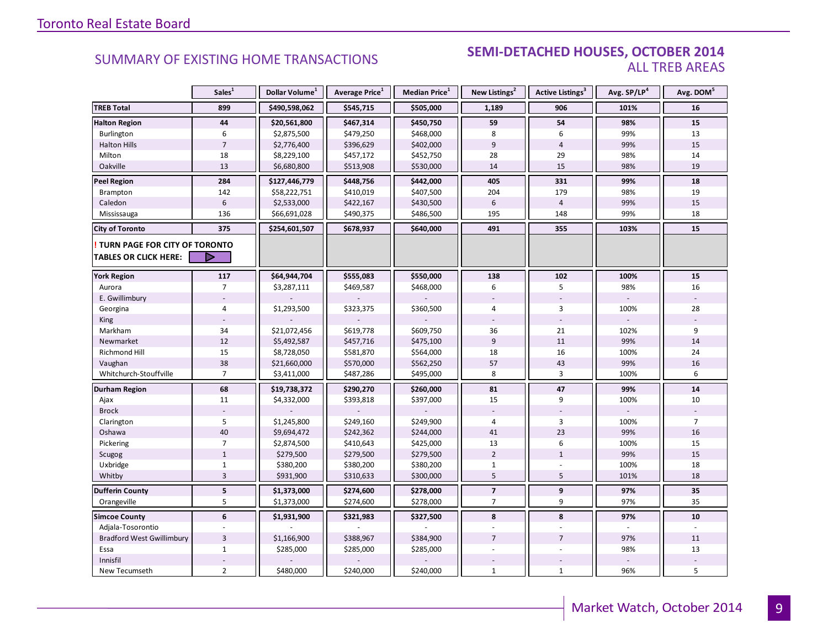#### **Industrial Leasing SUMMARY OF EXISTING HOME TRANSACTIONS SEMI-DETACHED HOUSES, OCTOBER 2014** ALL TREB AREAS

|                                      | Sales <sup>1</sup> | Dollar Volume <sup>1</sup> | Average Price <sup>1</sup> | Median Price <sup>1</sup> | New Listings <sup>2</sup> | Active Listings <sup>3</sup> | Avg. SP/LP <sup>4</sup> | Avg. DOM <sup>5</sup> |
|--------------------------------------|--------------------|----------------------------|----------------------------|---------------------------|---------------------------|------------------------------|-------------------------|-----------------------|
| <b>TREB Total</b>                    | 899                | \$490,598,062              | \$545,715                  | \$505,000                 | 1,189                     | 906                          | 101%                    | 16                    |
| <b>Halton Region</b>                 | 44                 | \$20,561,800               | \$467,314                  | \$450,750                 | 59                        | 54                           | 98%                     | 15                    |
| Burlington                           | 6                  | \$2,875,500                | \$479,250                  | \$468,000                 | 8                         | 6                            | 99%                     | 13                    |
| <b>Halton Hills</b>                  | $\overline{7}$     | \$2,776,400                | \$396,629                  | \$402,000                 | 9                         | $\overline{4}$               | 99%                     | 15                    |
| Milton                               | 18                 | \$8,229,100                | \$457,172                  | \$452,750                 | 28                        | 29                           | 98%                     | 14                    |
| Oakville                             | 13                 | \$6,680,800                | \$513,908                  | \$530,000                 | 14                        | 15                           | 98%                     | 19                    |
| <b>Peel Region</b>                   | 284                | \$127,446,779              | \$448,756                  | \$442,000                 | 405                       | 331                          | 99%                     | 18                    |
| Brampton                             | 142                | \$58,222,751               | \$410,019                  | \$407,500                 | 204                       | 179                          | 98%                     | 19                    |
| Caledon                              | $6\,$              | \$2,533,000                | \$422,167                  | \$430,500                 | $6\,$                     | $\overline{4}$               | 99%                     | 15                    |
| Mississauga                          | 136                | \$66,691,028               | \$490,375                  | \$486,500                 | 195                       | 148                          | 99%                     | 18                    |
| <b>City of Toronto</b>               | 375                | \$254,601,507              | \$678,937                  | \$640,000                 | 491                       | 355                          | 103%                    | 15                    |
| <b>TURN PAGE FOR CITY OF TORONTO</b> |                    |                            |                            |                           |                           |                              |                         |                       |
| <b>TABLES OR CLICK HERE:</b>         | D                  |                            |                            |                           |                           |                              |                         |                       |
| <b>York Region</b>                   | 117                | \$64,944,704               | \$555,083                  | \$550,000                 | 138                       | 102                          | 100%                    | 15                    |
| Aurora                               | $\overline{7}$     | \$3,287,111                | \$469,587                  | \$468,000                 | 6                         | 5                            | 98%                     | 16                    |
| E. Gwillimbury                       |                    |                            |                            |                           |                           |                              |                         |                       |
| Georgina                             | $\overline{4}$     | \$1,293,500                | \$323,375                  | \$360,500                 | $\overline{4}$            | $\overline{3}$               | 100%                    | 28                    |
| King                                 |                    |                            |                            |                           |                           | $\overline{a}$               |                         |                       |
| Markham                              | 34                 | \$21,072,456               | \$619,778                  | \$609,750                 | 36                        | 21                           | 102%                    | 9                     |
| Newmarket                            | 12                 | \$5,492,587                | \$457,716                  | \$475,100                 | $\overline{9}$            | 11                           | 99%                     | 14                    |
| Richmond Hill                        | 15                 | \$8,728,050                | \$581,870                  | \$564,000                 | 18                        | 16                           | 100%                    | 24                    |
| Vaughan                              | 38                 | \$21,660,000               | \$570,000                  | \$562,250                 | 57                        | 43                           | 99%                     | 16                    |
| Whitchurch-Stouffville               | $\overline{7}$     | \$3,411,000                | \$487,286                  | \$495,000                 | 8                         | $\overline{3}$               | 100%                    | 6                     |
| Durham Region                        | 68                 | \$19,738,372               | \$290,270                  | \$260,000                 | 81                        | 47                           | 99%                     | 14                    |
| Ajax                                 | 11                 | \$4,332,000                | \$393,818                  | \$397,000                 | 15                        | 9                            | 100%                    | 10                    |
| <b>Brock</b>                         |                    |                            |                            |                           | $\overline{\phantom{a}}$  |                              |                         |                       |
| Clarington                           | 5                  | \$1,245,800                | \$249,160                  | \$249,900                 | 4                         | 3                            | 100%                    | $\overline{7}$        |
| Oshawa                               | 40                 | \$9,694,472                | \$242,362                  | \$244,000                 | 41                        | 23                           | 99%                     | 16                    |
| Pickering                            | $\overline{7}$     | \$2,874,500                | \$410,643                  | \$425,000                 | 13                        | 6                            | 100%                    | 15                    |
| Scugog                               | $\mathbf{1}$       | \$279,500                  | \$279,500                  | \$279,500                 | $\overline{2}$            | $\mathbf{1}$                 | 99%                     | 15                    |
| Uxbridge                             | $\mathbf{1}$       | \$380,200                  | \$380,200                  | \$380,200                 | $\mathbf{1}$              |                              | 100%                    | 18                    |
| Whitby                               | $\overline{3}$     | \$931,900                  | \$310,633                  | \$300,000                 | 5                         | 5                            | 101%                    | 18                    |
| <b>Dufferin County</b>               | 5                  | \$1,373,000                | \$274,600                  | \$278,000                 | $\overline{7}$            | 9                            | 97%                     | 35                    |
| Orangeville                          | 5                  | \$1,373,000                | \$274,600                  | \$278,000                 | $\overline{7}$            | 9                            | 97%                     | 35                    |
| <b>Simcoe County</b>                 | 6                  | \$1,931,900                | \$321,983                  | \$327,500                 | 8                         | 8                            | 97%                     | 10                    |
| Adjala-Tosorontio                    |                    |                            |                            |                           |                           |                              |                         |                       |
| <b>Bradford West Gwillimbury</b>     | $\overline{3}$     | \$1,166,900                | \$388,967                  | \$384,900                 | $\overline{7}$            | $\overline{7}$               | 97%                     | 11                    |
| Essa                                 | $\mathbf{1}$       | \$285,000                  | \$285,000                  | \$285,000                 |                           |                              | 98%                     | 13                    |
| Innisfil                             |                    |                            |                            |                           |                           |                              |                         |                       |
| New Tecumseth                        | $\overline{2}$     | \$480,000                  | \$240,000                  | \$240,000                 | $\mathbf{1}$              | $\mathbf{1}$                 | 96%                     | 5                     |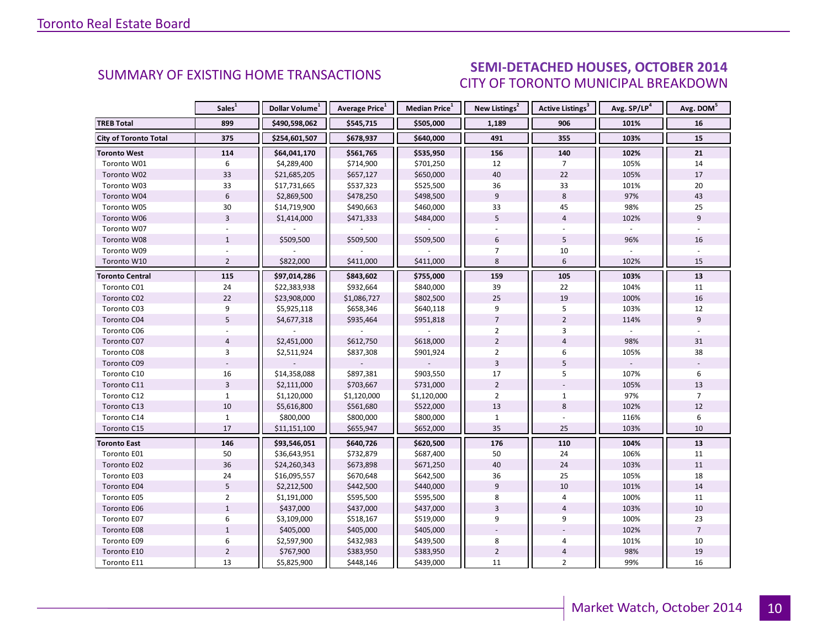# SEMI-DETACHED HOUSES, OCTOBER 2014 CITY OF TORONTO MUNICIPAL BREAKDOWN

<span id="page-9-0"></span>

|                              | Sales <sup>1</sup> | Dollar Volume <sup>1</sup> | Average Price <sup>1</sup> | Median Price <sup>1</sup> | New Listings <sup>2</sup> | Active Listings <sup>3</sup> | Avg. SP/LP <sup>4</sup> | Avg. DOM <sup>5</sup> |
|------------------------------|--------------------|----------------------------|----------------------------|---------------------------|---------------------------|------------------------------|-------------------------|-----------------------|
| <b>TREB Total</b>            | 899                | \$490,598,062              | \$545,715                  | \$505,000                 | 1,189                     | 906                          | 101%                    | 16                    |
| <b>City of Toronto Total</b> | 375                | \$254,601,507              | \$678,937                  | \$640,000                 | 491                       | 355                          | 103%                    | 15                    |
| <b>Toronto West</b>          | 114                | \$64,041,170               | \$561,765                  | \$535,950                 | 156                       | 140                          | 102%                    | 21                    |
| Toronto W01                  | 6                  | \$4,289,400                | \$714,900                  | \$701,250                 | 12                        | $\overline{7}$               | 105%                    | 14                    |
| Toronto W02                  | 33                 | \$21,685,205               | \$657,127                  | \$650,000                 | 40                        | 22                           | 105%                    | 17                    |
| Toronto W03                  | 33                 | \$17,731,665               | \$537,323                  | \$525,500                 | 36                        | 33                           | 101%                    | 20                    |
| Toronto W04                  | 6                  | \$2,869,500                | \$478,250                  | \$498,500                 | 9                         | 8                            | 97%                     | 43                    |
| Toronto W05                  | 30                 | \$14,719,900               | \$490,663                  | \$460,000                 | 33                        | 45                           | 98%                     | 25                    |
| Toronto W06                  | $\overline{3}$     | \$1,414,000                | \$471,333                  | \$484,000                 | 5                         | $\overline{4}$               | 102%                    | 9                     |
| Toronto W07                  |                    |                            |                            |                           |                           |                              |                         |                       |
| Toronto W08                  | $\mathbf{1}$       | \$509,500                  | \$509,500                  | \$509,500                 | 6                         | 5                            | 96%                     | 16                    |
| Toronto W09                  |                    |                            |                            |                           | $\overline{7}$            | 10                           |                         |                       |
| Toronto W10                  | $\overline{2}$     | \$822,000                  | \$411,000                  | \$411,000                 | 8                         | 6                            | 102%                    | 15                    |
| Toronto Central              | 115                | \$97,014,286               | \$843,602                  | \$755,000                 | 159                       | 105                          | 103%                    | 13                    |
| Toronto C01                  | 24                 | \$22,383,938               | \$932,664                  | \$840,000                 | 39                        | 22                           | 104%                    | 11                    |
| Toronto C02                  | 22                 | \$23,908,000               | \$1,086,727                | \$802,500                 | 25                        | 19                           | 100%                    | 16                    |
| Toronto C03                  | 9                  | \$5,925,118                | \$658,346                  | \$640,118                 | 9                         | 5                            | 103%                    | 12                    |
| Toronto C04                  | 5                  | \$4,677,318                | \$935,464                  | \$951,818                 | $\overline{7}$            | $\overline{2}$               | 114%                    | $\overline{9}$        |
| Toronto C06                  |                    |                            |                            |                           | $\overline{2}$            | 3                            |                         |                       |
| Toronto C07                  | $\overline{4}$     | \$2,451,000                | \$612,750                  | \$618,000                 | $\overline{2}$            | $\overline{4}$               | 98%                     | 31                    |
| Toronto C08                  | 3                  | \$2,511,924                | \$837,308                  | \$901,924                 | $\overline{2}$            | 6                            | 105%                    | 38                    |
| Toronto C09                  |                    |                            |                            |                           | $\overline{3}$            | 5                            |                         |                       |
| Toronto C10                  | 16                 | \$14,358,088               | \$897,381                  | \$903,550                 | 17                        | 5                            | 107%                    | 6                     |
| Toronto C11                  | $\overline{3}$     | \$2,111,000                | \$703,667                  | \$731,000                 | $\overline{2}$            |                              | 105%                    | 13                    |
| Toronto C12                  | 1                  | \$1,120,000                | \$1,120,000                | \$1,120,000               | $\overline{2}$            | $\mathbf{1}$                 | 97%                     | $\overline{7}$        |
| Toronto C13                  | 10                 | \$5,616,800                | \$561,680                  | \$522,000                 | 13                        | 8                            | 102%                    | 12                    |
| Toronto C14                  | $\mathbf{1}$       | \$800,000                  | \$800,000                  | \$800,000                 | $\mathbf{1}$              |                              | 116%                    | 6                     |
| Toronto C15                  | 17                 | \$11,151,100               | \$655,947                  | \$652,000                 | 35                        | 25                           | 103%                    | 10                    |
| <b>Toronto East</b>          | 146                | \$93,546,051               | \$640,726                  | \$620,500                 | 176                       | 110                          | 104%                    | 13                    |
| Toronto E01                  | 50                 | \$36,643,951               | \$732,879                  | \$687,400                 | 50                        | 24                           | 106%                    | 11                    |
| Toronto E02                  | 36                 | \$24,260,343               | \$673,898                  | \$671,250                 | 40                        | 24                           | 103%                    | 11                    |
| Toronto E03                  | 24                 | \$16,095,557               | \$670,648                  | \$642,500                 | 36                        | 25                           | 105%                    | 18                    |
| Toronto E04                  | 5                  | \$2,212,500                | \$442,500                  | \$440,000                 | 9                         | 10                           | 101%                    | 14                    |
| Toronto E05                  | $\overline{2}$     | \$1,191,000                | \$595,500                  | \$595,500                 | 8                         | 4                            | 100%                    | 11                    |
| Toronto E06                  | $\mathbf{1}$       | \$437,000                  | \$437,000                  | \$437,000                 | $\overline{3}$            | $\overline{4}$               | 103%                    | 10                    |
| Toronto E07                  | 6                  | \$3,109,000                | \$518,167                  | \$519,000                 | 9                         | 9                            | 100%                    | 23                    |
| Toronto E08                  | $\mathbf{1}$       | \$405,000                  | \$405,000                  | \$405,000                 |                           |                              | 102%                    | $\overline{7}$        |
| Toronto E09                  | 6                  | \$2,597,900                | \$432,983                  | \$439,500                 | 8                         | 4                            | 101%                    | 10                    |
| Toronto E10                  | $\overline{2}$     | \$767,900                  | \$383,950                  | \$383,950                 | $\overline{2}$            | 4                            | 98%                     | 19                    |
| Toronto E11                  | 13                 | \$5,825,900                | \$448,146                  | \$439,000                 | 11                        | $\overline{2}$               | 99%                     | 16                    |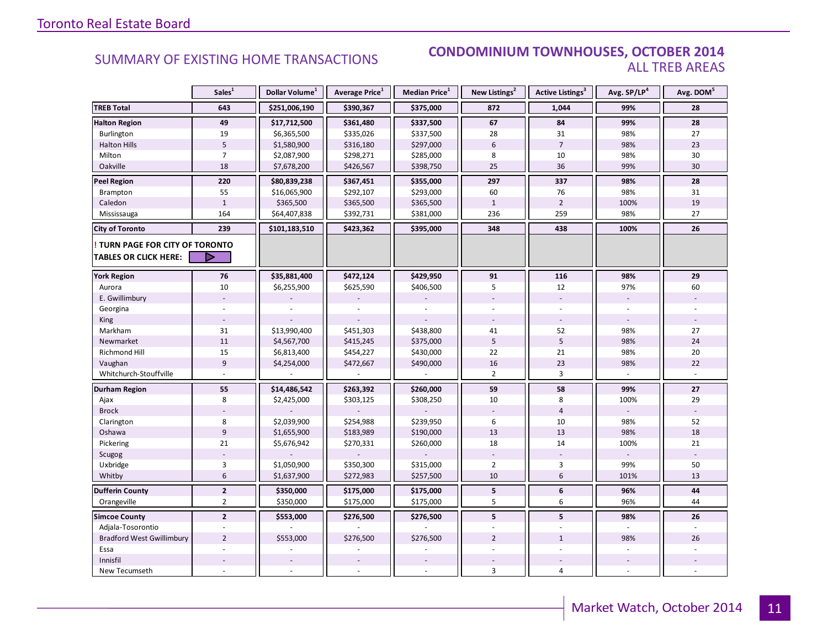#### **Industry Of EXISTING HOME TRANSACTIONS CONDOMINIUM TOWNHOUSES, OCTOBER 2014** ALL TREB AREAS

|                                  | Sales <sup>1</sup> | Dollar Volume <sup>1</sup> | Average Price <sup>1</sup> | Median Price <sup>1</sup> | New Listings <sup>2</sup> | <b>Active Listings</b> <sup>3</sup> | Avg. SP/LP <sup>4</sup> | Avg. DOM <sup>5</sup> |
|----------------------------------|--------------------|----------------------------|----------------------------|---------------------------|---------------------------|-------------------------------------|-------------------------|-----------------------|
| <b>TREB Total</b>                | 643                | \$251,006,190              | \$390,367                  | \$375,000                 | 872                       | 1,044                               | 99%                     | 28                    |
| <b>Halton Region</b>             | 49                 | \$17,712,500               | \$361,480                  | \$337,500                 | 67                        | 84                                  | 99%                     | 28                    |
| Burlington                       | 19                 | \$6,365,500                | \$335,026                  | \$337,500                 | 28                        | 31                                  | 98%                     | 27                    |
| <b>Halton Hills</b>              | $\sqrt{5}$         | \$1,580,900                | \$316,180                  | \$297,000                 | $6\phantom{.}$            | $\overline{7}$                      | 98%                     | 23                    |
| Milton                           | $\overline{7}$     | \$2,087,900                | \$298,271                  | \$285,000                 | 8                         | 10                                  | 98%                     | 30                    |
| Oakville                         | 18                 | \$7,678,200                | \$426,567                  | \$398,750                 | 25                        | 36                                  | 99%                     | 30                    |
| <b>Peel Region</b>               | 220                | \$80,839,238               | \$367,451                  | \$355,000                 | 297                       | 337                                 | 98%                     | 28                    |
| Brampton                         | 55                 | \$16,065,900               | \$292,107                  | \$293,000                 | 60                        | 76                                  | 98%                     | 31                    |
| Caledon                          | $\mathbf{1}$       | \$365,500                  | \$365,500                  | \$365,500                 | $\mathbf{1}$              | $\overline{2}$                      | 100%                    | 19                    |
| Mississauga                      | 164                | \$64,407,838               | \$392,731                  | \$381,000                 | 236                       | 259                                 | 98%                     | 27                    |
| <b>City of Toronto</b>           | 239                | \$101,183,510              | \$423,362                  | \$395,000                 | 348                       | 438                                 | 100%                    | 26                    |
| TURN PAGE FOR CITY OF TORONTO    |                    |                            |                            |                           |                           |                                     |                         |                       |
| <b>TABLES OR CLICK HERE:</b>     |                    |                            |                            |                           |                           |                                     |                         |                       |
| <b>York Region</b>               | 76                 | \$35,881,400               | \$472,124                  | \$429,950                 | 91                        | 116                                 | 98%                     | 29                    |
| Aurora                           | 10                 | \$6,255,900                | \$625,590                  | \$406,500                 | 5                         | 12                                  | 97%                     | 60                    |
| E. Gwillimbury                   |                    |                            |                            |                           |                           |                                     | $\blacksquare$          |                       |
| Georgina                         |                    |                            |                            |                           |                           |                                     |                         |                       |
| King                             |                    |                            |                            |                           |                           |                                     |                         |                       |
| Markham                          | 31                 | \$13,990,400               | \$451,303                  | \$438,800                 | 41                        | 52                                  | 98%                     | 27                    |
| Newmarket                        | $11\,$             | \$4,567,700                | \$415,245                  | \$375,000                 | 5                         | $\mathsf S$                         | 98%                     | 24                    |
| Richmond Hill                    | 15                 | \$6,813,400                | \$454,227                  | \$430,000                 | 22                        | 21                                  | 98%                     | 20                    |
| Vaughan                          | $\overline{9}$     | \$4,254,000                | \$472,667                  | \$490,000                 | 16                        | 23                                  | 98%                     | 22                    |
| Whitchurch-Stouffville           |                    |                            |                            |                           | $\overline{2}$            | $\overline{3}$                      |                         |                       |
| Durham Region                    | 55                 | \$14,486,542               | \$263,392                  | \$260,000                 | 59                        | 58                                  | 99%                     | 27                    |
| Ajax                             | 8                  | \$2,425,000                | \$303,125                  | \$308,250                 | 10                        | 8                                   | 100%                    | 29                    |
| <b>Brock</b>                     |                    |                            |                            |                           |                           | $\overline{4}$                      |                         |                       |
| Clarington                       | 8                  | \$2,039,900                | \$254,988                  | \$239,950                 | 6                         | 10                                  | 98%                     | 52                    |
| Oshawa                           | $\overline{9}$     | \$1,655,900                | \$183,989                  | \$190,000                 | 13                        | 13                                  | 98%                     | 18                    |
| Pickering                        | 21                 | \$5,676,942                | \$270,331                  | \$260,000                 | 18                        | 14                                  | 100%                    | 21                    |
| Scugog                           |                    |                            |                            |                           |                           |                                     |                         |                       |
| Uxbridge                         | 3                  | \$1,050,900                | \$350,300                  | \$315,000                 | $\overline{2}$            | 3                                   | 99%                     | 50                    |
| Whitby                           | $6\phantom{1}$     | \$1,637,900                | \$272,983                  | \$257,500                 | 10                        | $6\,$                               | 101%                    | 13                    |
| <b>Dufferin County</b>           | $\overline{2}$     | \$350,000                  | \$175,000                  | \$175,000                 | 5                         | 6                                   | 96%                     | 44                    |
| Orangeville                      | $\overline{2}$     | \$350,000                  | \$175,000                  | \$175,000                 | 5                         | 6                                   | 96%                     | 44                    |
| <b>Simcoe County</b>             | $\overline{2}$     | \$553,000                  | \$276,500                  | \$276,500                 | 5                         | 5                                   | 98%                     | 26                    |
| Adjala-Tosorontio                |                    |                            |                            |                           |                           |                                     |                         |                       |
| <b>Bradford West Gwillimbury</b> | $\overline{2}$     | \$553,000                  | \$276,500                  | \$276,500                 | $\overline{2}$            | $\mathbf{1}$                        | 98%                     | 26                    |
| Essa                             |                    |                            |                            |                           |                           |                                     |                         |                       |
| Innisfil                         |                    |                            |                            |                           |                           |                                     |                         |                       |
| New Tecumseth                    |                    |                            |                            |                           | 3                         | $\overline{4}$                      |                         |                       |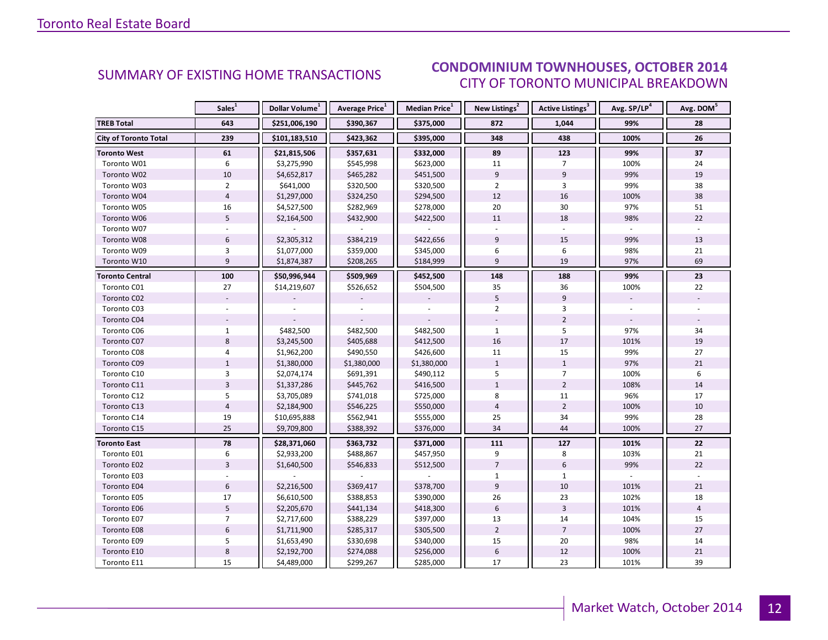#### $O(TORED 2014)$ CITY OF TORONTO MUNICIPAL BREAKDOWN **SUMMARY OF EXISTING HOME TRANSACTIONS**<br>CUTY OF TOPONTO MUNICIPAL RESAKDOMAL

<span id="page-11-0"></span>

|                              | Sales <sup>1</sup> | Dollar Volume <sup>1</sup> | Average Price <sup>1</sup> | Median Price <sup>1</sup> | New Listings <sup>2</sup> | Active Listings <sup>3</sup> | Avg. SP/LP <sup>4</sup> | Avg. DOM <sup>5</sup> |
|------------------------------|--------------------|----------------------------|----------------------------|---------------------------|---------------------------|------------------------------|-------------------------|-----------------------|
| <b>TREB Total</b>            | 643                | \$251,006,190              | \$390,367                  | \$375,000                 | 872                       | 1,044                        | 99%                     | 28                    |
| <b>City of Toronto Total</b> | 239                | \$101,183,510              | \$423,362                  | \$395,000                 | 348                       | 438                          | 100%                    | 26                    |
| <b>Toronto West</b>          | 61                 | \$21,815,506               | \$357,631                  | \$332,000                 | 89                        | 123                          | 99%                     | 37                    |
| Toronto W01                  | 6                  | \$3,275,990                | \$545,998                  | \$623,000                 | 11                        | $\overline{7}$               | 100%                    | 24                    |
| Toronto W02                  | $10\,$             | \$4,652,817                | \$465,282                  | \$451,500                 | $\overline{9}$            | 9                            | 99%                     | 19                    |
| Toronto W03                  | $\overline{2}$     | \$641,000                  | \$320,500                  | \$320,500                 | $\overline{2}$            | 3                            | 99%                     | 38                    |
| Toronto W04                  | $\overline{4}$     | \$1,297,000                | \$324,250                  | \$294,500                 | 12                        | 16                           | 100%                    | 38                    |
| Toronto W05                  | 16                 | \$4,527,500                | \$282,969                  | \$278,000                 | 20                        | 30                           | 97%                     | 51                    |
| Toronto W06                  | 5                  | \$2,164,500                | \$432,900                  | \$422,500                 | 11                        | 18                           | 98%                     | 22                    |
| Toronto W07                  |                    |                            |                            |                           |                           |                              |                         |                       |
| Toronto W08                  | $6\phantom{1}$     | \$2,305,312                | \$384,219                  | \$422,656                 | 9                         | 15                           | 99%                     | 13                    |
| Toronto W09                  | 3                  | \$1,077,000                | \$359,000                  | \$345,000                 | 6                         | 6                            | 98%                     | 21                    |
| Toronto W10                  | 9                  | \$1,874,387                | \$208,265                  | \$184,999                 | 9                         | 19                           | 97%                     | 69                    |
| <b>Toronto Central</b>       | 100                | \$50,996,944               | \$509,969                  | \$452,500                 | 148                       | 188                          | 99%                     | 23                    |
| Toronto C01                  | 27                 | \$14,219,607               | \$526,652                  | \$504,500                 | 35                        | 36                           | 100%                    | 22                    |
| Toronto C02                  |                    |                            |                            |                           | 5                         | 9                            |                         |                       |
| Toronto C03                  |                    |                            |                            |                           | $\overline{2}$            | 3                            |                         |                       |
| Toronto C04                  |                    |                            |                            |                           |                           | $\overline{2}$               |                         |                       |
| Toronto C06                  | $\mathbf{1}$       | \$482,500                  | \$482,500                  | \$482,500                 | $\mathbf{1}$              | 5                            | 97%                     | 34                    |
| Toronto C07                  | 8                  | \$3,245,500                | \$405,688                  | \$412,500                 | 16                        | 17                           | 101%                    | 19                    |
| Toronto C08                  | 4                  | \$1,962,200                | \$490,550                  | \$426,600                 | 11                        | 15                           | 99%                     | 27                    |
| Toronto C09                  | $\mathbf{1}$       | \$1,380,000                | \$1,380,000                | \$1,380,000               | $\mathbf{1}$              | $\mathbf{1}$                 | 97%                     | 21                    |
| Toronto C10                  | 3                  | \$2,074,174                | \$691,391                  | \$490,112                 | 5                         | $\overline{7}$               | 100%                    | 6                     |
| Toronto C11                  | $\overline{3}$     | \$1,337,286                | \$445,762                  | \$416,500                 | $\mathbf{1}$              | $\overline{2}$               | 108%                    | 14                    |
| Toronto C12                  | 5                  | \$3,705,089                | \$741,018                  | \$725,000                 | 8                         | 11                           | 96%                     | 17                    |
| Toronto C13                  | $\overline{4}$     | \$2,184,900                | \$546,225                  | \$550,000                 | $\overline{4}$            | $\overline{2}$               | 100%                    | 10                    |
| Toronto C14                  | 19                 | \$10,695,888               | \$562,941                  | \$555,000                 | 25                        | 34                           | 99%                     | 28                    |
| Toronto C15                  | 25                 | \$9,709,800                | \$388,392                  | \$376,000                 | 34                        | 44                           | 100%                    | 27                    |
| <b>Toronto East</b>          | 78                 | \$28,371,060               | \$363,732                  | \$371,000                 | 111                       | 127                          | 101%                    | 22                    |
| Toronto E01                  | 6                  | \$2,933,200                | \$488,867                  | \$457,950                 | 9                         | 8                            | 103%                    | 21                    |
| Toronto E02                  | $\overline{3}$     | \$1,640,500                | \$546,833                  | \$512,500                 | $\overline{7}$            | $6\,$                        | 99%                     | 22                    |
| Toronto E03                  |                    |                            |                            |                           | $\mathbf{1}$              | $\mathbf{1}$                 |                         |                       |
| Toronto E04                  | $6\phantom{1}6$    | \$2,216,500                | \$369,417                  | \$378,700                 | $\overline{9}$            | 10                           | 101%                    | 21                    |
| Toronto E05                  | 17                 | \$6,610,500                | \$388,853                  | \$390,000                 | 26                        | 23                           | 102%                    | 18                    |
| Toronto E06                  | 5                  | \$2,205,670                | \$441,134                  | \$418,300                 | 6                         | $\overline{3}$               | 101%                    | $\overline{4}$        |
| Toronto E07                  | $\overline{7}$     | \$2,717,600                | \$388,229                  | \$397,000                 | 13                        | 14                           | 104%                    | 15                    |
| Toronto E08                  | $\boldsymbol{6}$   | \$1,711,900                | \$285,317                  | \$305,500                 | $\overline{2}$            | $\overline{7}$               | 100%                    | 27                    |
| Toronto E09                  | 5                  | \$1,653,490                | \$330,698                  | \$340,000                 | 15                        | 20                           | 98%                     | 14                    |
| Toronto E10                  | $\bf 8$            | \$2,192,700                | \$274,088                  | \$256,000                 | $\boldsymbol{6}$          | 12                           | 100%                    | 21                    |
| Toronto E11                  | 15                 | \$4,489,000                | \$299,267                  | \$285,000                 | 17                        | 23                           | 101%                    | 39                    |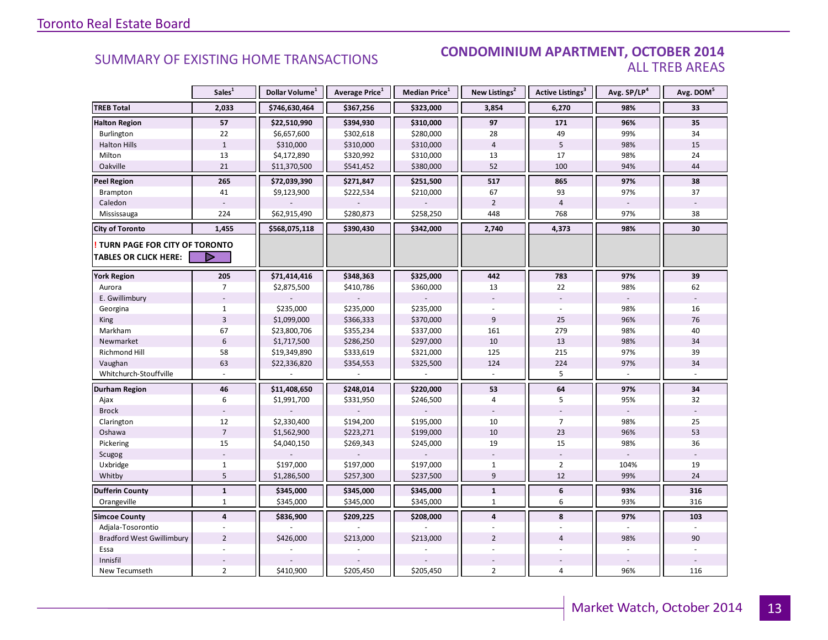#### **Industrial Leasing SUMMARY OF EXISTING HOME TRANSACTIONS CONDOMINIUM APARTMENT, OCTOBER 2014** ALL TREB AREAS

|                                  | Sales <sup>1</sup> | Dollar Volume <sup>1</sup> | Average Price <sup>1</sup> | <b>Median Price</b> <sup>1</sup> | New Listings <sup>2</sup> | Active Listings <sup>3</sup> | Avg. SP/LP <sup>4</sup> | Avg. DOM <sup>5</sup> |
|----------------------------------|--------------------|----------------------------|----------------------------|----------------------------------|---------------------------|------------------------------|-------------------------|-----------------------|
| <b>TREB Total</b>                | 2,033              | \$746,630,464              | \$367,256                  | \$323,000                        | 3,854                     | 6,270                        | 98%                     | 33                    |
| <b>Halton Region</b>             | 57                 | \$22,510,990               | \$394,930                  | \$310,000                        | 97                        | 171                          | 96%                     | 35                    |
| Burlington                       | 22                 | \$6,657,600                | \$302,618                  | \$280,000                        | 28                        | 49                           | 99%                     | 34                    |
| <b>Halton Hills</b>              | $\mathbf{1}$       | \$310,000                  | \$310,000                  | \$310,000                        | $\overline{4}$            | 5                            | 98%                     | 15                    |
| Milton                           | 13                 | \$4,172,890                | \$320,992                  | \$310,000                        | 13                        | 17                           | 98%                     | 24                    |
| Oakville                         | 21                 | \$11,370,500               | \$541,452                  | \$380,000                        | 52                        | 100                          | 94%                     | 44                    |
| <b>Peel Region</b>               | 265                | \$72,039,390               | \$271,847                  | \$251,500                        | 517                       | 865                          | 97%                     | 38                    |
| Brampton                         | 41                 | \$9,123,900                | \$222,534                  | \$210,000                        | 67                        | 93                           | 97%                     | 37                    |
| Caledon                          |                    |                            |                            |                                  | $\overline{2}$            | $\overline{4}$               |                         |                       |
| Mississauga                      | 224                | \$62,915,490               | \$280,873                  | \$258,250                        | 448                       | 768                          | 97%                     | 38                    |
| <b>City of Toronto</b>           | 1,455              | \$568,075,118              | \$390,430                  | \$342,000                        | 2,740                     | 4,373                        | 98%                     | 30                    |
| TURN PAGE FOR CITY OF TORONTO    |                    |                            |                            |                                  |                           |                              |                         |                       |
| <b>TABLES OR CLICK HERE:</b>     | D                  |                            |                            |                                  |                           |                              |                         |                       |
| <b>York Region</b>               | 205                | \$71,414,416               | \$348,363                  | \$325,000                        | 442                       | 783                          | 97%                     | 39                    |
| Aurora                           | $\overline{7}$     | \$2,875,500                | \$410,786                  | \$360,000                        | 13                        | 22                           | 98%                     | 62                    |
| E. Gwillimbury                   |                    |                            |                            |                                  |                           |                              |                         |                       |
| Georgina                         | 1                  | \$235,000                  | \$235,000                  | \$235,000                        |                           |                              | 98%                     | 16                    |
| King                             | $\overline{3}$     | \$1,099,000                | \$366,333                  | \$370,000                        | 9                         | 25                           | 96%                     | 76                    |
| Markham                          | 67                 | \$23,800,706               | \$355,234                  | \$337,000                        | 161                       | 279                          | 98%                     | 40                    |
| Newmarket                        | $\boldsymbol{6}$   | \$1,717,500                | \$286,250                  | \$297,000                        | 10                        | 13                           | 98%                     | 34                    |
| <b>Richmond Hill</b>             | 58                 | \$19,349,890               | \$333,619                  | \$321,000                        | 125                       | 215                          | 97%                     | 39                    |
| Vaughan                          | 63                 | \$22,336,820               | \$354,553                  | \$325,500                        | 124                       | 224                          | 97%                     | 34                    |
| Whitchurch-Stouffville           |                    |                            |                            |                                  |                           | 5                            |                         |                       |
| Durham Region                    | 46                 | \$11,408,650               | \$248,014                  | \$220,000                        | 53                        | 64                           | 97%                     | 34                    |
| Ajax                             | 6                  | \$1,991,700                | \$331,950                  | \$246,500                        | 4                         | 5                            | 95%                     | 32                    |
| <b>Brock</b>                     |                    |                            |                            |                                  |                           |                              |                         |                       |
| Clarington                       | 12                 | \$2,330,400                | \$194,200                  | \$195,000                        | 10                        | $\overline{7}$               | 98%                     | 25                    |
| Oshawa                           | $\overline{7}$     | \$1,562,900                | \$223,271                  | \$199,000                        | 10                        | 23                           | 96%                     | 53                    |
| Pickering                        | 15                 | \$4,040,150                | \$269,343                  | \$245,000                        | 19                        | 15                           | 98%                     | 36                    |
| Scugog                           |                    |                            |                            |                                  |                           |                              |                         |                       |
| Uxbridge                         | $\mathbf{1}$       | \$197,000                  | \$197,000                  | \$197,000                        | $\mathbf{1}$              | $\overline{2}$               | 104%                    | 19                    |
| Whitby                           | 5                  | \$1,286,500                | \$257,300                  | \$237,500                        | 9                         | 12                           | 99%                     | 24                    |
| <b>Dufferin County</b>           | $\mathbf{1}$       | \$345,000                  | \$345,000                  | \$345,000                        | $\mathbf{1}$              | 6                            | 93%                     | 316                   |
| Orangeville                      | $\mathbf{1}$       | \$345,000                  | \$345,000                  | \$345,000                        | $\mathbf{1}$              | 6                            | 93%                     | 316                   |
| <b>Simcoe County</b>             | $\overline{4}$     | \$836,900                  | \$209,225                  | \$208,000                        | $\overline{4}$            | 8                            | 97%                     | 103                   |
| Adjala-Tosorontio                |                    |                            |                            |                                  |                           |                              |                         |                       |
| <b>Bradford West Gwillimbury</b> | $\overline{2}$     | \$426,000                  | \$213,000                  | \$213,000                        | $\overline{2}$            | $\overline{4}$               | 98%                     | 90                    |
| Essa                             |                    |                            |                            |                                  |                           |                              |                         |                       |
| Innisfil                         |                    |                            |                            |                                  |                           |                              |                         |                       |
| New Tecumseth                    | $\overline{2}$     | \$410,900                  | \$205,450                  | \$205,450                        | $\overline{2}$            | $\overline{4}$               | 96%                     | 116                   |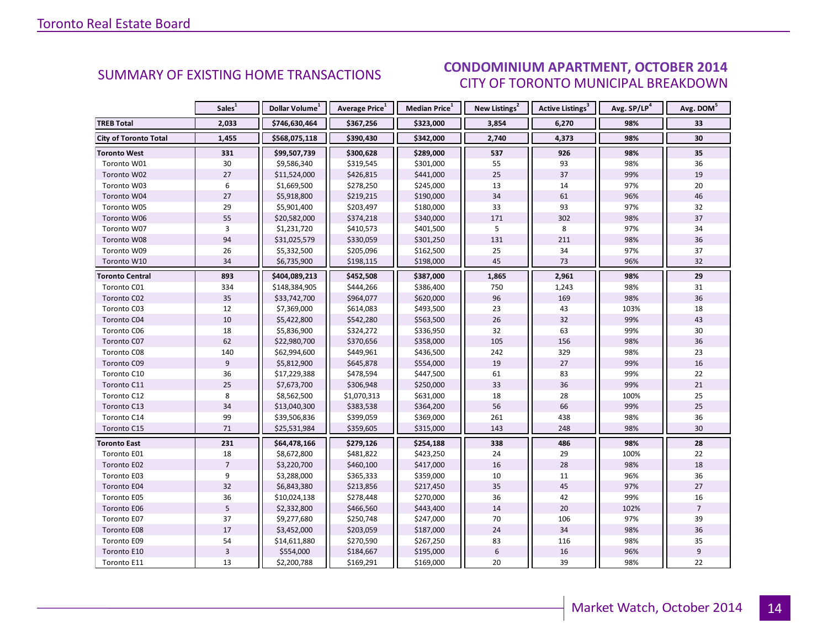#### $O(TORED 2014)$ CITY OF TORONTO MUNICIPAL BREAKDOWN **CONDOMINIUM APARTMENT, OCTOBER 2014**<br>CITY OF TOPONTO MUNICIPAL REAKDOMAL

<span id="page-13-0"></span>

|                              | Sales <sup>1</sup> | Dollar Volume <sup>1</sup> | Average Price <sup>1</sup> | Median Price <sup>1</sup> | New Listings <sup>2</sup> | <b>Active Listings<sup>3</sup></b> | Avg. SP/LP <sup>4</sup> | Avg. DOM <sup>5</sup> |
|------------------------------|--------------------|----------------------------|----------------------------|---------------------------|---------------------------|------------------------------------|-------------------------|-----------------------|
| <b>TREB Total</b>            | 2,033              | \$746,630,464              | \$367,256                  | \$323,000                 | 3,854                     | 6,270                              | 98%                     | 33                    |
| <b>City of Toronto Total</b> | 1,455              | \$568,075,118              | \$390,430                  | \$342,000                 | 2,740                     | 4,373                              | 98%                     | 30                    |
| <b>Toronto West</b>          | 331                | \$99,507,739               | \$300,628                  | \$289,000                 | 537                       | 926                                | 98%                     | 35                    |
| Toronto W01                  | 30                 | \$9,586,340                | \$319,545                  | \$301,000                 | 55                        | 93                                 | 98%                     | 36                    |
| Toronto W02                  | 27                 | \$11,524,000               | \$426,815                  | \$441,000                 | 25                        | 37                                 | 99%                     | 19                    |
| Toronto W03                  | 6                  | \$1,669,500                | \$278,250                  | \$245,000                 | 13                        | 14                                 | 97%                     | 20                    |
| Toronto W04                  | 27                 | \$5,918,800                | \$219,215                  | \$190,000                 | 34                        | 61                                 | 96%                     | 46                    |
| Toronto W05                  | 29                 | \$5,901,400                | \$203,497                  | \$180,000                 | 33                        | 93                                 | 97%                     | 32                    |
| Toronto W06                  | 55                 | \$20,582,000               | \$374,218                  | \$340,000                 | 171                       | 302                                | 98%                     | 37                    |
| Toronto W07                  | 3                  | \$1,231,720                | \$410,573                  | \$401,500                 | 5                         | 8                                  | 97%                     | 34                    |
| Toronto W08                  | 94                 | \$31,025,579               | \$330,059                  | \$301,250                 | 131                       | 211                                | 98%                     | 36                    |
| Toronto W09                  | 26                 | \$5,332,500                | \$205,096                  | \$162,500                 | 25                        | 34                                 | 97%                     | 37                    |
| Toronto W10                  | 34                 | \$6,735,900                | \$198,115                  | \$198,000                 | 45                        | 73                                 | 96%                     | 32                    |
| <b>Toronto Central</b>       | 893                | \$404,089,213              | \$452,508                  | \$387,000                 | 1,865                     | 2,961                              | 98%                     | 29                    |
| Toronto C01                  | 334                | \$148,384,905              | \$444,266                  | \$386,400                 | 750                       | 1,243                              | 98%                     | 31                    |
| Toronto C02                  | 35                 | \$33,742,700               | \$964,077                  | \$620,000                 | 96                        | 169                                | 98%                     | 36                    |
| Toronto C03                  | 12                 | \$7,369,000                | \$614,083                  | \$493,500                 | 23                        | 43                                 | 103%                    | 18                    |
| Toronto C04                  | 10                 | \$5,422,800                | \$542,280                  | \$563,500                 | 26                        | 32                                 | 99%                     | 43                    |
| Toronto C06                  | 18                 | \$5,836,900                | \$324,272                  | \$336,950                 | 32                        | 63                                 | 99%                     | 30                    |
| Toronto C07                  | 62                 | \$22,980,700               | \$370,656                  | \$358,000                 | 105                       | 156                                | 98%                     | 36                    |
| Toronto C08                  | 140                | \$62,994,600               | \$449,961                  | \$436,500                 | 242                       | 329                                | 98%                     | 23                    |
| Toronto C09                  | 9                  | \$5,812,900                | \$645,878                  | \$554,000                 | 19                        | 27                                 | 99%                     | 16                    |
| Toronto C10                  | 36                 | \$17,229,388               | \$478,594                  | \$447,500                 | 61                        | 83                                 | 99%                     | 22                    |
| Toronto C11                  | 25                 | \$7,673,700                | \$306,948                  | \$250,000                 | 33                        | 36                                 | 99%                     | 21                    |
| Toronto C12                  | 8                  | \$8,562,500                | \$1,070,313                | \$631,000                 | 18                        | 28                                 | 100%                    | 25                    |
| Toronto C13                  | 34                 | \$13,040,300               | \$383,538                  | \$364,200                 | 56                        | 66                                 | 99%                     | 25                    |
| Toronto C14                  | 99                 | \$39,506,836               | \$399,059                  | \$369,000                 | 261                       | 438                                | 98%                     | 36                    |
| Toronto C15                  | 71                 | \$25,531,984               | \$359,605                  | \$315,000                 | 143                       | 248                                | 98%                     | 30                    |
| <b>Toronto East</b>          | 231                | \$64,478,166               | \$279,126                  | \$254,188                 | 338                       | 486                                | 98%                     | 28                    |
| Toronto E01                  | 18                 | \$8,672,800                | \$481,822                  | \$423,250                 | 24                        | 29                                 | 100%                    | 22                    |
| Toronto E02                  | $\overline{7}$     | \$3,220,700                | \$460,100                  | \$417,000                 | 16                        | 28                                 | 98%                     | 18                    |
| Toronto E03                  | 9                  | \$3,288,000                | \$365,333                  | \$359,000                 | 10                        | 11                                 | 96%                     | 36                    |
| Toronto E04                  | 32                 | \$6,843,380                | \$213,856                  | \$217,450                 | 35                        | 45                                 | 97%                     | 27                    |
| Toronto E05                  | 36                 | \$10,024,138               | \$278,448                  | \$270,000                 | 36                        | 42                                 | 99%                     | 16                    |
| Toronto E06                  | 5                  | \$2,332,800                | \$466,560                  | \$443,400                 | 14                        | 20                                 | 102%                    | $\overline{7}$        |
| Toronto E07                  | 37                 | \$9,277,680                | \$250,748                  | \$247,000                 | 70                        | 106                                | 97%                     | 39                    |
| Toronto E08                  | $17\,$             | \$3,452,000                | \$203,059                  | \$187,000                 | 24                        | 34                                 | 98%                     | 36                    |
| Toronto E09                  | 54                 | \$14,611,880               | \$270,590                  | \$267,250                 | 83                        | 116                                | 98%                     | 35                    |
| Toronto E10                  | $\mathsf 3$        | \$554,000                  | \$184,667                  | \$195,000                 | $\boldsymbol{6}$          | 16                                 | 96%                     | 9                     |
| Toronto E11                  | 13                 | \$2,200,788                | \$169,291                  | \$169,000                 | 20                        | 39                                 | 98%                     | 22                    |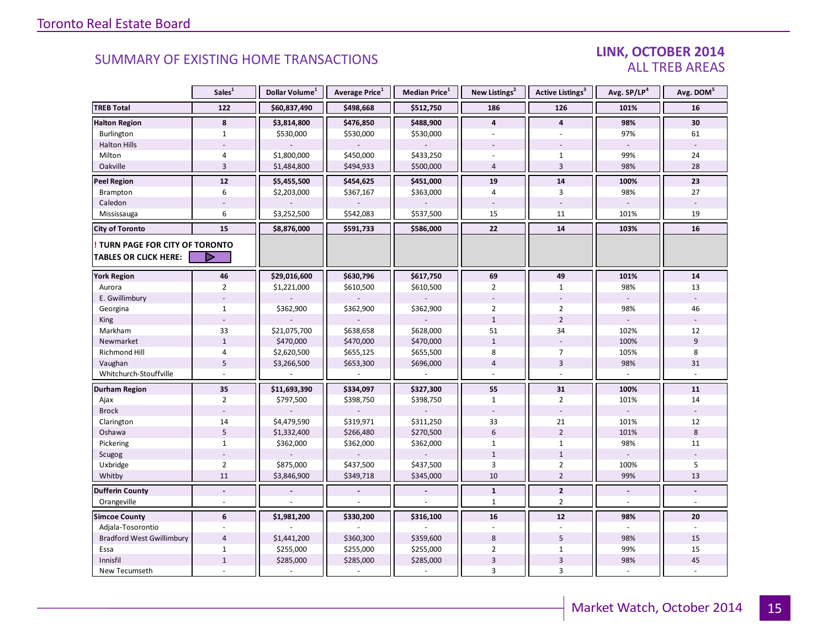### LINK, OCTOBER 2014 ALL TREB AREAS

|                                  | Sales <sup>1</sup> | Dollar Volume <sup>1</sup> | Average Price <sup>1</sup> | Median Price <sup>1</sup> | New Listings <sup>2</sup> | Active Listings <sup>3</sup> | Avg. SP/LP <sup>4</sup> | Avg. DOM <sup>5</sup> |
|----------------------------------|--------------------|----------------------------|----------------------------|---------------------------|---------------------------|------------------------------|-------------------------|-----------------------|
| <b>TREB Total</b>                | 122                | \$60,837,490               | \$498,668                  | \$512,750                 | 186                       | 126                          | 101%                    | 16                    |
| <b>Halton Region</b>             | 8                  | \$3,814,800                | \$476,850                  | \$488,900                 | $\overline{4}$            | 4                            | 98%                     | 30                    |
| Burlington                       | $\mathbf{1}$       | \$530,000                  | \$530,000                  | \$530,000                 |                           |                              | 97%                     | 61                    |
| <b>Halton Hills</b>              |                    |                            |                            |                           |                           |                              |                         |                       |
| Milton                           | 4                  | \$1,800,000                | \$450,000                  | \$433,250                 |                           | $\mathbf{1}$                 | 99%                     | 24                    |
| Oakville                         | $\overline{3}$     | \$1,484,800                | \$494,933                  | \$500,000                 | $\overline{4}$            | $\overline{3}$               | 98%                     | 28                    |
| <b>Peel Region</b>               | $12$               | \$5,455,500                | \$454,625                  | \$451,000                 | 19                        | 14                           | 100%                    | 23                    |
| Brampton                         | 6                  | \$2,203,000                | \$367,167                  | \$363,000                 | $\overline{4}$            | 3                            | 98%                     | 27                    |
| Caledon                          |                    |                            |                            |                           |                           |                              |                         |                       |
| Mississauga                      | 6                  | \$3,252,500                | \$542,083                  | \$537,500                 | 15                        | 11                           | 101%                    | 19                    |
| <b>City of Toronto</b>           | 15                 | \$8,876,000                | \$591,733                  | \$586,000                 | 22                        | 14                           | 103%                    | 16                    |
| TURN PAGE FOR CITY OF TORONTO    |                    |                            |                            |                           |                           |                              |                         |                       |
| <b>TABLES OR CLICK HERE:</b>     | D                  |                            |                            |                           |                           |                              |                         |                       |
| <b>York Region</b>               | 46                 | \$29,016,600               | \$630,796                  | \$617,750                 | 69                        | 49                           | 101%                    | ${\bf 14}$            |
| Aurora                           | $\overline{2}$     | \$1,221,000                | \$610,500                  | \$610,500                 | $\overline{2}$            | $\mathbf{1}$                 | 98%                     | 13                    |
| E. Gwillimbury                   |                    |                            |                            |                           |                           |                              |                         |                       |
| Georgina                         | $\mathbf{1}$       | \$362,900                  | \$362,900                  | \$362,900                 | $\overline{2}$            | $\overline{2}$               | 98%                     | 46                    |
| King                             |                    |                            |                            |                           | $\mathbf{1}$              | $\overline{2}$               |                         |                       |
| Markham                          | 33                 | \$21,075,700               | \$638,658                  | \$628,000                 | 51                        | 34                           | 102%                    | 12                    |
| Newmarket                        | $\mathbf 1$        | \$470,000                  | \$470,000                  | \$470,000                 | $\mathbf{1}$              | $\sim$                       | 100%                    | 9                     |
| <b>Richmond Hill</b>             | $\overline{4}$     | \$2,620,500                | \$655,125                  | \$655,500                 | 8                         | $\overline{7}$               | 105%                    | 8                     |
| Vaughan                          | 5                  | \$3,266,500                | \$653,300                  | \$696,000                 | $\overline{4}$            | $\overline{3}$               | 98%                     | 31                    |
| Whitchurch-Stouffville           |                    |                            |                            |                           |                           | ÷,                           |                         |                       |
| <b>Durham Region</b>             | 35                 | \$11,693,390               | \$334,097                  | \$327,300                 | 55                        | 31                           | 100%                    | 11                    |
| Ajax                             | $\overline{2}$     | \$797,500                  | \$398,750                  | \$398,750                 | $\mathbf{1}$              | $\overline{2}$               | 101%                    | 14                    |
| <b>Brock</b>                     |                    |                            |                            |                           |                           | $\sim$                       |                         |                       |
| Clarington                       | 14                 | \$4,479,590                | \$319,971                  | \$311,250                 | 33                        | 21                           | 101%                    | 12                    |
| Oshawa                           | 5                  | \$1,332,400                | \$266,480                  | \$270,500                 | 6                         | $\overline{2}$               | 101%                    | $8\phantom{1}$        |
| Pickering                        | $\mathbf{1}$       | \$362,000                  | \$362,000                  | \$362,000                 | $\mathbf{1}$              | $\mathbf{1}$                 | 98%                     | 11                    |
| Scugog                           |                    |                            |                            |                           | $\mathbf{1}$              | $\mathbf 1$                  |                         |                       |
| Uxbridge                         | $\overline{2}$     | \$875,000                  | \$437,500                  | \$437,500                 | 3                         | $\overline{2}$               | 100%                    | 5                     |
| Whitby                           | 11                 | \$3,846,900                | \$349,718                  | \$345,000                 | 10                        | $\overline{2}$               | 99%                     | 13                    |
| <b>Dufferin County</b>           | $\blacksquare$     |                            |                            |                           | $\mathbf{1}$              | $\mathbf{2}$                 | $\overline{a}$          | L.                    |
| Orangeville                      | $\sim$             |                            |                            |                           | $\mathbf{1}$              | $\overline{2}$               | ÷.                      | ÷.                    |
| <b>Simcoe County</b>             | 6                  | \$1,981,200                | \$330,200                  | \$316,100                 | 16                        | 12                           | 98%                     | 20                    |
| Adjala-Tosorontio                |                    |                            |                            |                           |                           |                              |                         |                       |
| <b>Bradford West Gwillimbury</b> | $\overline{4}$     | \$1,441,200                | \$360,300                  | \$359,600                 | 8                         | 5                            | 98%                     | 15                    |
| Essa                             | $\mathbf{1}$       | \$255,000                  | \$255,000                  | \$255,000                 | $\overline{2}$            | $\mathbf{1}$                 | 99%                     | 15                    |
| Innisfil                         | $\mathbf{1}$       | \$285,000                  | \$285,000                  | \$285,000                 | 3                         | $\ensuremath{\mathsf{3}}$    | 98%                     | 45                    |
| New Tecumseth                    |                    |                            |                            |                           | $\overline{3}$            | $\overline{3}$               |                         |                       |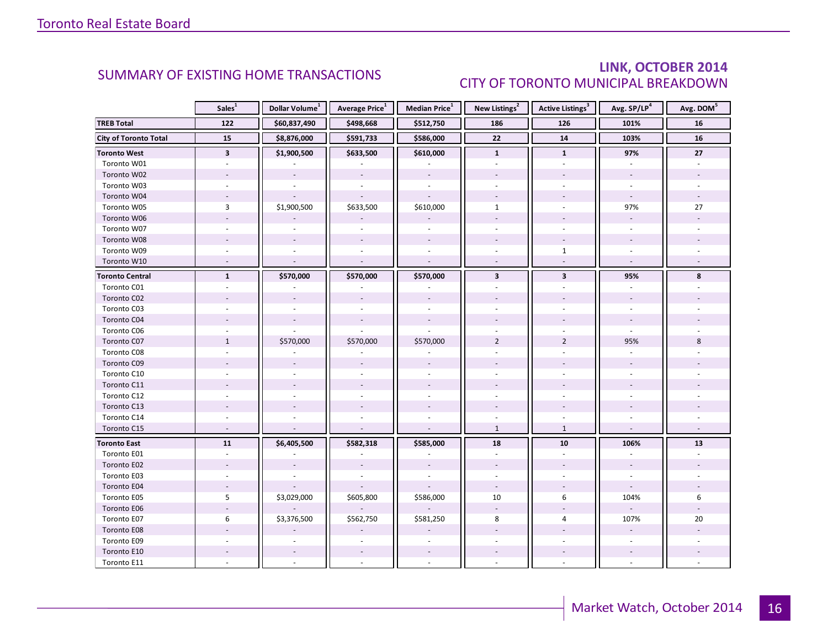### LINK, OCTOBER 2014 CITY OF TORONTO MUNICIPAL BREAKDOWN

<span id="page-15-0"></span>

|                              | Sales <sup>1</sup>       | Dollar Volume <sup>1</sup> | Average Price <sup>1</sup> | Median Price <sup>1</sup> | New Listings <sup>2</sup> | Active Listings <sup>3</sup> | Avg. SP/LP <sup>4</sup>  | Avg. DOM <sup>5</sup> |
|------------------------------|--------------------------|----------------------------|----------------------------|---------------------------|---------------------------|------------------------------|--------------------------|-----------------------|
| <b>TREB Total</b>            | 122                      | \$60,837,490               | \$498,668                  | \$512,750                 | 186                       | 126                          | 101%                     | 16                    |
| <b>City of Toronto Total</b> | 15                       | \$8,876,000                | \$591,733                  | \$586,000                 | $\overline{22}$           | 14                           | 103%                     | 16                    |
| <b>Toronto West</b>          | $\mathbf{3}$             | \$1,900,500                | \$633,500                  | \$610,000                 | $\mathbf{1}$              | $\mathbf{1}$                 | 97%                      | 27                    |
| Toronto W01                  |                          |                            |                            |                           |                           |                              |                          |                       |
| Toronto W02                  |                          |                            |                            |                           |                           |                              |                          |                       |
| Toronto W03                  | $\overline{\phantom{a}}$ | ÷.                         |                            | $\sim$                    | $\sim$                    |                              | $\sim$                   |                       |
| Toronto W04                  |                          |                            |                            |                           |                           |                              |                          |                       |
| Toronto W05                  | 3                        | \$1,900,500                | \$633,500                  | \$610,000                 | $\mathbf{1}$              |                              | 97%                      | 27                    |
| Toronto W06                  | $\overline{a}$           |                            |                            |                           |                           |                              |                          |                       |
| Toronto W07                  | $\overline{\phantom{a}}$ |                            |                            |                           |                           |                              | $\overline{a}$           |                       |
| Toronto W08                  |                          |                            |                            |                           |                           |                              |                          |                       |
| Toronto W09                  |                          |                            |                            |                           |                           | $\mathbf{1}$                 |                          |                       |
| Toronto W10                  | $\sim$                   | $\sim$                     | $\overline{a}$             | $\mathbb{L}$              | $\sim$                    | $\sim$                       | $\sim$                   |                       |
| <b>Toronto Central</b>       | $\mathbf{1}$             | \$570,000                  | \$570,000                  | \$570,000                 | $\overline{\mathbf{3}}$   | $\overline{\mathbf{3}}$      | 95%                      | 8                     |
| Toronto C01                  |                          |                            |                            |                           |                           |                              |                          |                       |
| Toronto C02                  |                          |                            |                            |                           |                           |                              |                          |                       |
| Toronto C03                  |                          |                            |                            |                           |                           |                              |                          |                       |
| Toronto C04                  |                          |                            |                            |                           |                           |                              |                          |                       |
| Toronto C06                  |                          |                            |                            |                           |                           |                              |                          |                       |
| Toronto C07                  | $\mathbf{1}$             | \$570,000                  | \$570,000                  | \$570,000                 | $\overline{2}$            | $\overline{2}$               | 95%                      | 8                     |
| Toronto C08                  |                          |                            |                            |                           |                           |                              |                          |                       |
| Toronto C09                  |                          |                            |                            |                           |                           |                              |                          |                       |
| Toronto C10                  |                          |                            |                            |                           |                           |                              |                          |                       |
| Toronto C11                  |                          |                            |                            |                           |                           |                              |                          |                       |
| Toronto C12                  |                          |                            |                            |                           |                           |                              |                          |                       |
| Toronto C13                  |                          |                            |                            |                           |                           |                              |                          |                       |
| Toronto C14                  |                          |                            |                            |                           |                           |                              |                          |                       |
| Toronto C15                  |                          |                            |                            |                           | $\mathbf{1}$              | $\mathbf{1}$                 |                          |                       |
| <b>Toronto East</b>          | 11                       | \$6,405,500                | \$582,318                  | \$585,000                 | 18                        | 10                           | 106%                     | 13                    |
| Toronto E01                  | $\overline{a}$           |                            |                            |                           | $\sim$                    | $\mathbf{r}$                 | $\overline{a}$           |                       |
| Toronto E02                  |                          |                            |                            |                           |                           |                              | $\overline{a}$           |                       |
| Toronto E03                  |                          |                            |                            |                           |                           |                              |                          |                       |
| Toronto E04                  | $\mathcal{L}$            |                            |                            |                           | $\sim$                    |                              | $\mathcal{L}$            |                       |
| Toronto E05                  | 5                        | \$3,029,000                | \$605,800                  | \$586,000                 | 10                        | 6                            | 104%                     | 6                     |
| Toronto E06                  |                          |                            |                            |                           |                           |                              |                          |                       |
| Toronto E07                  | 6                        | \$3,376,500                | \$562,750                  | \$581,250                 | 8                         | 4                            | 107%                     | 20                    |
| Toronto E08                  |                          |                            |                            |                           |                           |                              | $\omega$                 |                       |
| Toronto E09                  |                          |                            |                            |                           |                           |                              | $\overline{\phantom{a}}$ |                       |
| Toronto E10                  |                          |                            |                            |                           |                           |                              | $\overline{\phantom{a}}$ |                       |
| Toronto E11                  |                          |                            |                            |                           |                           |                              | $\sim$                   |                       |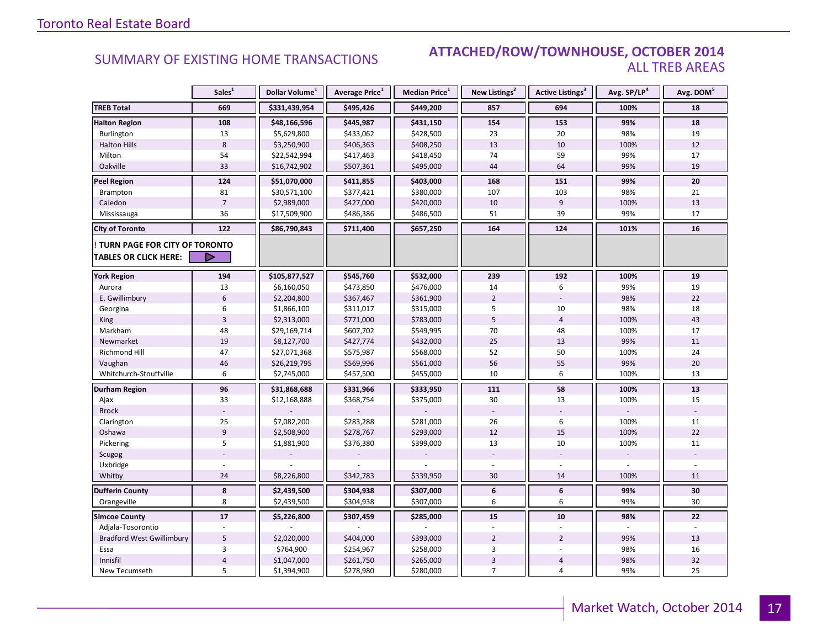### **Industrial Leasing SUMMARY OF EXISTING HOME TRANSACTIONS ATTACHED/ROW/TOWNHOUSE, OCTOBER 2014** ALL TREB AREAS

|                                  | Sales <sup>1</sup> | Dollar Volume <sup>1</sup> | Average Price <sup>1</sup> | <b>Median Price</b> <sup>1</sup> | New Listings <sup>2</sup> | <b>Active Listings</b> <sup>3</sup> | Avg. SP/LP4 | Avg. DOM <sup>5</sup> |
|----------------------------------|--------------------|----------------------------|----------------------------|----------------------------------|---------------------------|-------------------------------------|-------------|-----------------------|
| <b>TREB Total</b>                | 669                | \$331,439,954              | \$495,426                  | \$449,200                        | 857                       | 694                                 | 100%        | 18                    |
| <b>Halton Region</b>             | 108                | \$48,166,596               | \$445,987                  | \$431,150                        | 154                       | 153                                 | 99%         | 18                    |
| Burlington                       | 13                 | \$5,629,800                | \$433,062                  | \$428,500                        | 23                        | 20                                  | 98%         | 19                    |
| <b>Halton Hills</b>              | $\,8\,$            | \$3,250,900                | \$406,363                  | \$408,250                        | 13                        | 10                                  | 100%        | 12                    |
| Milton                           | 54                 | \$22,542,994               | \$417,463                  | \$418,450                        | 74                        | 59                                  | 99%         | 17                    |
| Oakville                         | 33                 | \$16,742,902               | \$507,361                  | \$495,000                        | 44                        | 64                                  | 99%         | 19                    |
| <b>Peel Region</b>               | 124                | \$51,070,000               | \$411,855                  | \$403,000                        | 168                       | 151                                 | 99%         | 20                    |
| Brampton                         | 81                 | \$30,571,100               | \$377,421                  | \$380,000                        | 107                       | 103                                 | 98%         | 21                    |
| Caledon                          | $\overline{7}$     | \$2,989,000                | \$427,000                  | \$420,000                        | 10                        | 9                                   | 100%        | 13                    |
| Mississauga                      | 36                 | \$17,509,900               | \$486,386                  | \$486,500                        | 51                        | 39                                  | 99%         | 17                    |
| <b>City of Toronto</b>           | 122                | \$86,790,843               | \$711,400                  | \$657,250                        | 164                       | 124                                 | 101%        | 16                    |
| TURN PAGE FOR CITY OF TORONTO    |                    |                            |                            |                                  |                           |                                     |             |                       |
| <b>TABLES OR CLICK HERE:</b>     | D                  |                            |                            |                                  |                           |                                     |             |                       |
| <b>York Region</b>               | 194                | \$105,877,527              | \$545,760                  | \$532,000                        | 239                       | 192                                 | 100%        | 19                    |
| Aurora                           | 13                 | \$6,160,050                | \$473,850                  | \$476,000                        | 14                        | 6                                   | 99%         | 19                    |
| E. Gwillimbury                   | 6                  | \$2,204,800                | \$367,467                  | \$361,900                        | $\overline{2}$            |                                     | 98%         | 22                    |
| Georgina                         | 6                  | \$1,866,100                | \$311,017                  | \$315,000                        | 5                         | 10                                  | 98%         | 18                    |
| <b>King</b>                      | $\overline{3}$     | \$2,313,000                | \$771,000                  | \$783,000                        | 5                         | $\overline{4}$                      | 100%        | 43                    |
| Markham                          | 48                 | \$29,169,714               | \$607,702                  | \$549,995                        | 70                        | 48                                  | 100%        | 17                    |
| Newmarket                        | 19                 | \$8,127,700                | \$427,774                  | \$432,000                        | 25                        | 13                                  | 99%         | 11                    |
| Richmond Hill                    | 47                 | \$27,071,368               | \$575,987                  | \$568,000                        | 52                        | 50                                  | 100%        | 24                    |
| Vaughan                          | 46                 | \$26,219,795               | \$569,996                  | \$561,000                        | 56                        | 55                                  | 99%         | 20                    |
| Whitchurch-Stouffville           | 6                  | \$2,745,000                | \$457,500                  | \$455,000                        | 10                        | 6                                   | 100%        | 13                    |
| Durham Region                    | 96                 | \$31,868,688               | \$331,966                  | \$333,950                        | 111                       | 58                                  | 100%        | 13                    |
| Ajax                             | 33                 | \$12,168,888               | \$368,754                  | \$375,000                        | 30                        | 13                                  | 100%        | 15                    |
| <b>Brock</b>                     |                    |                            |                            |                                  |                           |                                     |             |                       |
| Clarington                       | 25                 | \$7,082,200                | \$283,288                  | \$281,000                        | 26                        | 6                                   | 100%        | 11                    |
| Oshawa                           | $\overline{9}$     | \$2,508,900                | \$278,767                  | \$293,000                        | 12                        | 15                                  | 100%        | 22                    |
| Pickering                        | 5                  | \$1,881,900                | \$376,380                  | \$399,000                        | 13                        | 10                                  | 100%        | 11                    |
| Scugog                           |                    |                            |                            |                                  |                           |                                     |             |                       |
| Uxbridge                         |                    |                            |                            |                                  |                           |                                     |             |                       |
| Whitby                           | 24                 | \$8,226,800                | \$342,783                  | \$339,950                        | 30                        | 14                                  | 100%        | 11                    |
| <b>Dufferin County</b>           | 8                  | \$2,439,500                | \$304,938                  | \$307,000                        | 6                         | 6                                   | 99%         | 30                    |
| Orangeville                      | 8                  | \$2,439,500                | \$304,938                  | \$307,000                        | 6                         | 6                                   | 99%         | 30                    |
| <b>Simcoe County</b>             | 17                 | \$5,226,800                | \$307,459                  | \$285,000                        | 15                        | 10                                  | 98%         | 22                    |
| Adjala-Tosorontio                |                    |                            |                            |                                  |                           |                                     |             |                       |
| <b>Bradford West Gwillimbury</b> | 5                  | \$2,020,000                | \$404,000                  | \$393,000                        | $\overline{2}$            | $\overline{2}$                      | 99%         | 13                    |
| Essa                             | 3                  | \$764,900                  | \$254,967                  | \$258,000                        | 3                         |                                     | 98%         | 16                    |
| Innisfil                         | $\sqrt{4}$         | \$1,047,000                | \$261,750                  | \$265,000                        | 3                         | $\overline{4}$                      | 98%         | 32                    |
| New Tecumseth                    | 5                  | \$1,394,900                | \$278,980                  | \$280,000                        | $\overline{7}$            | $\overline{4}$                      | 99%         | 25                    |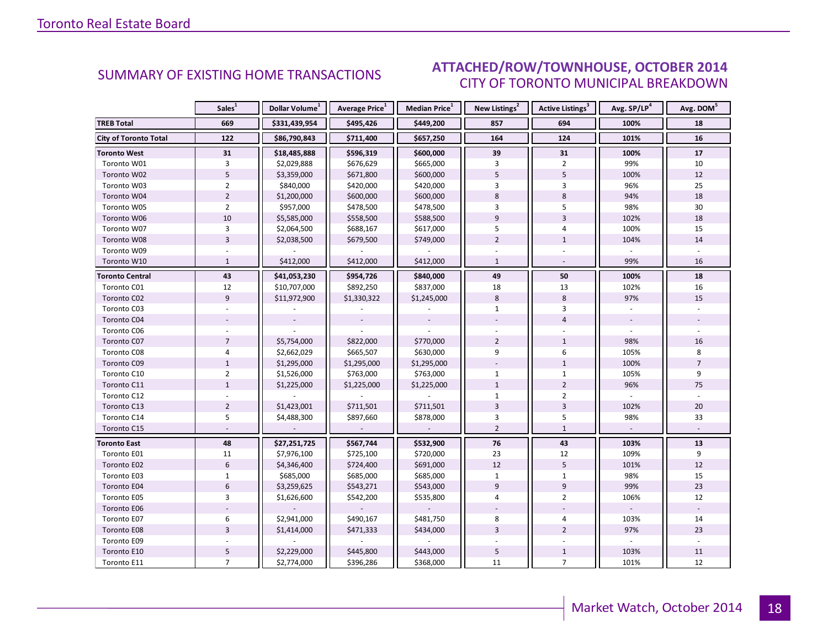#### $O(TORED 2014)$ CITY OF TORONTO MUNICIPAL BREAKDOWN SUMMARY OF EXISTING HOME TRANSACTIONS **ATTACHED/ROW/TOWNHOUSE, OCTOBER 2014**

<span id="page-17-0"></span>

|                              | Sales <sup>1</sup> | Dollar Volume <sup>1</sup> | Average Price <sup>1</sup> | Median Price <sup>1</sup> | New Listings <sup>2</sup> | Active Listings <sup>3</sup> | Avg. SP/LP <sup>4</sup> | Avg. DOM <sup>5</sup> |
|------------------------------|--------------------|----------------------------|----------------------------|---------------------------|---------------------------|------------------------------|-------------------------|-----------------------|
| <b>TREB Total</b>            | 669                | \$331,439,954              | \$495,426                  | \$449,200                 | 857                       | 694                          | 100%                    | 18                    |
| <b>City of Toronto Total</b> | 122                | \$86,790,843               | \$711,400                  | \$657,250                 | 164                       | 124                          | 101%                    | 16                    |
| <b>Toronto West</b>          | 31                 | \$18,485,888               | \$596,319                  | \$600,000                 | 39                        | 31                           | 100%                    | 17                    |
| Toronto W01                  | 3                  | \$2,029,888                | \$676,629                  | \$665,000                 | 3                         | $\overline{2}$               | 99%                     | 10                    |
| Toronto W02                  | $\overline{5}$     | \$3,359,000                | \$671,800                  | \$600,000                 | 5                         | 5                            | 100%                    | 12                    |
| Toronto W03                  | $\overline{2}$     | \$840,000                  | \$420,000                  | \$420,000                 | $\overline{3}$            | 3                            | 96%                     | 25                    |
| Toronto W04                  | $\overline{2}$     | \$1,200,000                | \$600,000                  | \$600,000                 | 8                         | 8                            | 94%                     | 18                    |
| Toronto W05                  | $\overline{2}$     | \$957,000                  | \$478,500                  | \$478,500                 | 3                         | 5                            | 98%                     | 30                    |
| Toronto W06                  | 10                 | \$5,585,000                | \$558,500                  | \$588,500                 | $\overline{9}$            | $\overline{3}$               | 102%                    | 18                    |
| Toronto W07                  | $\overline{3}$     | \$2,064,500                | \$688,167                  | \$617,000                 | 5                         | 4                            | 100%                    | 15                    |
| Toronto W08                  | $\overline{3}$     | \$2,038,500                | \$679,500                  | \$749,000                 | $\overline{2}$            | $\mathbf{1}$                 | 104%                    | 14                    |
| Toronto W09                  |                    |                            |                            |                           |                           |                              |                         |                       |
| Toronto W10                  | $\mathbf{1}$       | \$412,000                  | \$412,000                  | \$412,000                 | $\mathbf{1}$              | $\sim$                       | 99%                     | 16                    |
| <b>Toronto Central</b>       | 43                 | \$41,053,230               | \$954,726                  | \$840,000                 | 49                        | 50                           | 100%                    | 18                    |
| Toronto C01                  | 12                 | \$10,707,000               | \$892,250                  | \$837,000                 | 18                        | 13                           | 102%                    | 16                    |
| Toronto C02                  | $\overline{9}$     | \$11,972,900               | \$1,330,322                | \$1,245,000               | 8                         | 8                            | 97%                     | 15                    |
| Toronto C03                  |                    |                            |                            |                           | $\mathbf{1}$              | 3                            |                         |                       |
| Toronto C04                  |                    |                            |                            |                           |                           | $\overline{4}$               |                         |                       |
| Toronto C06                  |                    |                            |                            |                           |                           |                              |                         |                       |
| Toronto C07                  | $\overline{7}$     | \$5,754,000                | \$822,000                  | \$770,000                 | $\overline{2}$            | $\mathbf{1}$                 | 98%                     | 16                    |
| Toronto C08                  | 4                  | \$2,662,029                | \$665,507                  | \$630,000                 | 9                         | 6                            | 105%                    | 8                     |
| Toronto C09                  | $\mathbf{1}$       | \$1,295,000                | \$1,295,000                | \$1,295,000               |                           | $\mathbf{1}$                 | 100%                    | $\overline{7}$        |
| Toronto C10                  | $\overline{2}$     | \$1,526,000                | \$763,000                  | \$763,000                 | $\mathbf{1}$              | $\mathbf{1}$                 | 105%                    | 9                     |
| Toronto C11                  | $\mathbf{1}$       | \$1,225,000                | \$1,225,000                | \$1,225,000               | $\mathbf{1}$              | $\overline{2}$               | 96%                     | 75                    |
| Toronto C12                  |                    |                            |                            |                           | $\mathbf{1}$              | $\overline{2}$               |                         |                       |
| Toronto C13                  | $\overline{2}$     | \$1,423,001                | \$711,501                  | \$711,501                 | $\overline{3}$            | $\overline{3}$               | 102%                    | 20                    |
| Toronto C14                  | 5                  | \$4,488,300                | \$897,660                  | \$878,000                 | $\overline{3}$            | 5                            | 98%                     | 33                    |
| Toronto C15                  |                    |                            |                            | $\overline{\phantom{a}}$  | $\overline{2}$            | $\mathbf{1}$                 |                         |                       |
| <b>Toronto East</b>          | 48                 | \$27,251,725               | \$567,744                  | \$532,900                 | 76                        | 43                           | 103%                    | 13                    |
| Toronto E01                  | 11                 | \$7,976,100                | \$725,100                  | \$720,000                 | 23                        | 12                           | 109%                    | 9                     |
| Toronto E02                  | 6                  | \$4,346,400                | \$724,400                  | \$691,000                 | 12                        | 5                            | 101%                    | 12                    |
| Toronto E03                  | $\mathbf{1}$       | \$685,000                  | \$685,000                  | \$685,000                 | $\mathbf{1}$              | $\mathbf{1}$                 | 98%                     | 15                    |
| Toronto E04                  | $6\,$              | \$3,259,625                | \$543,271                  | \$543,000                 | $\overline{9}$            | $\overline{9}$               | 99%                     | 23                    |
| Toronto E05                  | 3                  | \$1,626,600                | \$542,200                  | \$535,800                 | 4                         | $\overline{2}$               | 106%                    | 12                    |
| Toronto E06                  |                    |                            |                            |                           |                           |                              |                         |                       |
| Toronto E07                  | 6                  | \$2,941,000                | \$490,167                  | \$481,750                 | 8                         | 4                            | 103%                    | 14                    |
| Toronto E08                  | $\overline{3}$     | \$1,414,000                | \$471,333                  | \$434,000                 | $\overline{3}$            | $\overline{2}$               | 97%                     | 23                    |
| Toronto E09                  |                    |                            |                            |                           |                           |                              |                         |                       |
| Toronto E10                  | 5                  | \$2,229,000                | \$445,800                  | \$443,000                 | 5                         | $\mathbf{1}$                 | 103%                    | 11                    |
| Toronto E11                  | $\overline{7}$     | \$2,774,000                | \$396,286                  | \$368,000                 | 11                        | $\overline{7}$               | 101%                    | 12                    |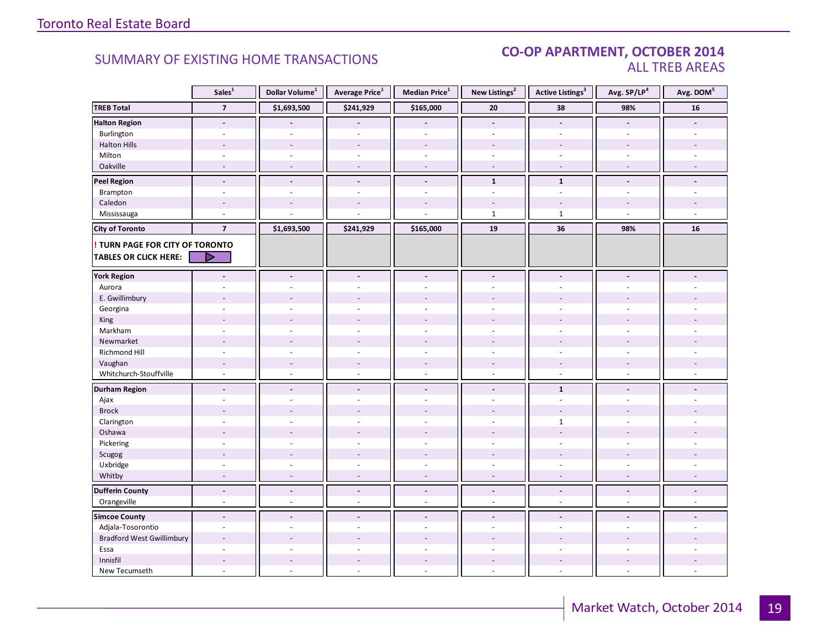#### **Industrial Leasing SUMMARY OF EXISTING HOME TRANSACTIONS CO-OP APARTMENT, OCTOBER 2014** ALL TREB AREAS

| \$241,929<br>\$165,000<br>38<br><b>TREB Total</b><br>$\overline{7}$<br>\$1,693,500<br>20<br>98%<br><b>Halton Region</b><br>$\blacksquare$<br>$\blacksquare$<br>$\blacksquare$<br>$\blacksquare$                | 16                       |
|----------------------------------------------------------------------------------------------------------------------------------------------------------------------------------------------------------------|--------------------------|
|                                                                                                                                                                                                                |                          |
|                                                                                                                                                                                                                |                          |
| Burlington<br>$\overline{a}$<br>$\overline{a}$<br>$\overline{a}$                                                                                                                                               |                          |
| <b>Halton Hills</b><br>$\sim$<br>$\overline{a}$<br>$\sim$<br>$\overline{a}$<br>$\overline{a}$<br>$\overline{a}$                                                                                                |                          |
| Milton<br>$\omega$<br>$\overline{\phantom{a}}$<br>$\sim$<br>$\overline{\phantom{a}}$<br>$\overline{\phantom{a}}$<br>$\sim$<br>$\sim$                                                                           |                          |
| Oakville<br>$\sim$<br>$\sim$<br>$\sim$<br>$\sim$<br>$\sim$<br>$\sim$<br>$\sim$                                                                                                                                 | ÷                        |
| <b>Peel Region</b><br>$\mathbf{1}$<br>$\mathbf{1}$<br>$\blacksquare$<br>$\frac{1}{2}$<br>$\blacksquare$<br>$\tilde{\phantom{a}}$<br>$\overline{\phantom{a}}$                                                   |                          |
| Brampton<br>÷.<br>$\omega$<br>$\sim$<br>÷,<br>$\overline{a}$<br>$\bar{a}$<br>$\sim$                                                                                                                            |                          |
| Caledon                                                                                                                                                                                                        |                          |
| Mississauga<br>$\mathbf{1}$<br>$\mathbf{1}$<br>÷.                                                                                                                                                              |                          |
| \$1,693,500<br>\$241,929<br>\$165,000<br>19<br>36<br>98%<br><b>City of Toronto</b><br>$\overline{\mathbf{z}}$                                                                                                  | 16                       |
| <b>! TURN PAGE FOR CITY OF TORONTO</b>                                                                                                                                                                         |                          |
| <b>TABLES OR CLICK HERE:</b><br>- 2                                                                                                                                                                            |                          |
|                                                                                                                                                                                                                |                          |
| <b>York Region</b><br>$\blacksquare$<br>$\blacksquare$<br>$\blacksquare$<br>$\blacksquare$<br>$\blacksquare$<br>$\blacksquare$<br>$\blacksquare$                                                               |                          |
| Aurora<br>$\bar{a}$<br>÷,                                                                                                                                                                                      |                          |
| E. Gwillimbury                                                                                                                                                                                                 |                          |
| Georgina                                                                                                                                                                                                       |                          |
| King                                                                                                                                                                                                           |                          |
| Markham<br>$\overline{a}$<br>$\overline{a}$<br>$\sim$<br>÷.<br>÷.<br>÷<br>÷.                                                                                                                                   |                          |
| Newmarket                                                                                                                                                                                                      |                          |
| Richmond Hill<br>$\sim$<br>÷,                                                                                                                                                                                  |                          |
| Vaughan<br>$\overline{\phantom{a}}$<br>$\overline{\phantom{a}}$<br>$\sim$<br>$\overline{\phantom{a}}$<br>$\overline{\phantom{a}}$<br>$\overline{\phantom{a}}$                                                  |                          |
| Whitchurch-Stouffville<br>$\omega$<br>ä,<br>$\omega$<br>$\omega$<br>$\sim$<br>$\sim$<br>$\sim$                                                                                                                 |                          |
| <b>Durham Region</b><br>$\mathbf{1}$<br>$\frac{1}{2}$<br>$\overline{\phantom{a}}$<br>$\overline{\phantom{a}}$<br>$\overline{\phantom{a}}$<br>$\overline{\phantom{a}}$<br>$\blacksquare$                        |                          |
| Ajax<br>ä,<br>ä,<br>÷.<br>$\sim$<br>$\bar{a}$<br>÷.                                                                                                                                                            |                          |
| <b>Brock</b>                                                                                                                                                                                                   |                          |
| Clarington<br>$\mathbf{1}$<br>$\overline{a}$<br>÷.<br>÷.<br>÷.<br>÷<br>$\sim$                                                                                                                                  |                          |
| Oshawa<br>$\overline{\phantom{a}}$                                                                                                                                                                             |                          |
| Pickering<br>$\overline{a}$<br>$\overline{a}$                                                                                                                                                                  |                          |
| Scugog<br>$\overline{\phantom{a}}$<br>$\overline{\phantom{a}}$<br>$\overline{\phantom{a}}$<br>$\sim$<br>$\overline{\phantom{a}}$<br>$\blacksquare$                                                             |                          |
| Uxbridge<br>÷,<br>ä,<br>$\overline{\phantom{a}}$<br>$\sim$<br>$\overline{\phantom{a}}$<br>$\overline{\phantom{a}}$<br>$\sim$                                                                                   |                          |
| Whitby<br>$\sim$<br>$\sim$<br>$\overline{\phantom{a}}$<br>$\overline{\phantom{a}}$<br>$\sim$<br>$\overline{\phantom{a}}$<br>$\sim$                                                                             | $\sim$                   |
| <b>Dufferin County</b><br>$\overline{\phantom{a}}$<br>$\overline{\phantom{a}}$<br>$\overline{\phantom{a}}$<br>$\overline{\phantom{a}}$<br>$\overline{\phantom{a}}$<br>$\centerdot$<br>$\overline{\phantom{a}}$ | $\overline{\phantom{a}}$ |
| Orangeville<br>$\omega$<br>$\sim$<br>ä,<br>$\omega$<br>$\omega$<br>$\omega$<br>$\omega$                                                                                                                        | ÷.                       |
| <b>Simcoe County</b><br>$\overline{\phantom{a}}$<br>$\blacksquare$<br>$\overline{a}$<br>$\blacksquare$<br>$\blacksquare$<br>$\overline{a}$                                                                     |                          |
| Adjala-Tosorontio<br>$\sim$<br>$\sim$<br>ä,<br>$\bar{a}$<br>$\overline{\phantom{a}}$<br>÷,<br>$\sim$                                                                                                           |                          |
| <b>Bradford West Gwillimbury</b><br>$\sim$                                                                                                                                                                     |                          |
| Essa                                                                                                                                                                                                           |                          |
| Innisfil<br>$\sim$<br>$\overline{\phantom{a}}$<br>$\overline{\phantom{a}}$<br>$\overline{\phantom{a}}$<br>$\overline{\phantom{a}}$<br>$\overline{\phantom{a}}$                                                 |                          |
| New Tecumseth<br>$\sim$<br>L.<br>$\overline{a}$<br>$\omega$<br>$\omega$<br>$\sim$<br>$\sim$                                                                                                                    |                          |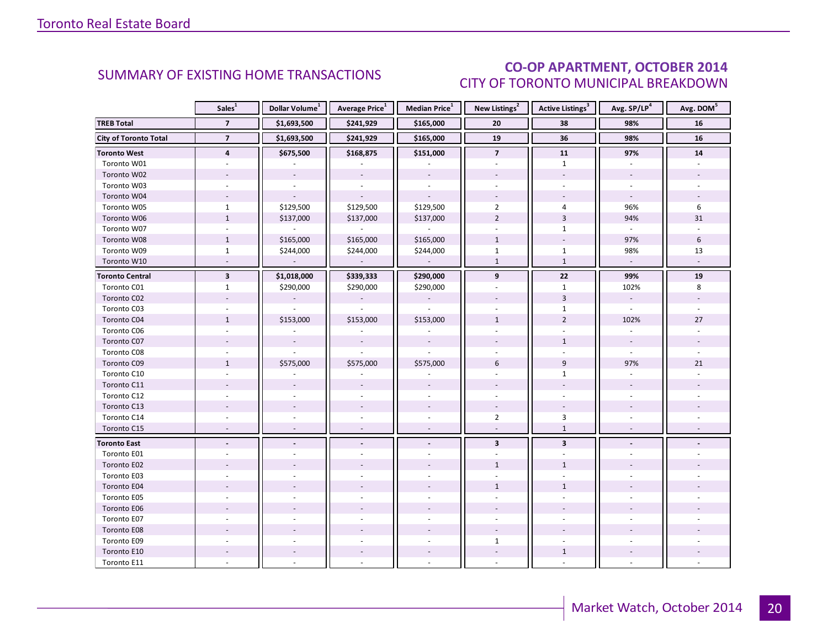# CO-OP APARTMENT, OCTOBER 2014 CITY OF TORONTO MUNICIPAL BREAKDOWN

<span id="page-19-0"></span>

|                              | Sales <sup>1</sup>       | Dollar Volume <sup>1</sup> | Average Price <sup>1</sup>  | Median Price <sup>1</sup> | New Listings <sup>2</sup> | <b>Active Listings<sup>3</sup></b> | Avg. SP/LP <sup>4</sup>  | Avg. DOM <sup>5</sup> |
|------------------------------|--------------------------|----------------------------|-----------------------------|---------------------------|---------------------------|------------------------------------|--------------------------|-----------------------|
| <b>TREB Total</b>            | $\overline{7}$           | \$1,693,500                | \$241,929                   | \$165,000                 | 20                        | 38                                 | 98%                      | 16                    |
| <b>City of Toronto Total</b> | $\overline{7}$           | \$1,693,500                | \$241,929                   | \$165,000                 | 19                        | 36                                 | 98%                      | 16                    |
| <b>Toronto West</b>          | $\overline{\mathbf{4}}$  | \$675,500                  | \$168,875                   | \$151,000                 | $\overline{7}$            | 11                                 | 97%                      | ${\bf 14}$            |
| Toronto W01                  |                          |                            |                             |                           |                           | $\mathbf{1}$                       |                          |                       |
| Toronto W02                  |                          |                            |                             |                           |                           |                                    |                          |                       |
| Toronto W03                  |                          |                            | ÷.                          | $\sim$                    |                           |                                    |                          |                       |
| Toronto W04                  |                          |                            |                             |                           |                           |                                    |                          |                       |
| Toronto W05                  | $\mathbf{1}$             | \$129,500                  | \$129,500                   | \$129,500                 | $\overline{2}$            | 4                                  | 96%                      | 6                     |
| Toronto W06                  | $\mathbf{1}$             | \$137,000                  | \$137,000                   | \$137,000                 | $\overline{2}$            | $\overline{3}$                     | 94%                      | 31                    |
| Toronto W07                  |                          | $\overline{\phantom{a}}$   | $\mathcal{L}_{\mathcal{A}}$ | $\sim$                    |                           | $\mathbf{1}$                       | $\omega$                 |                       |
| Toronto W08                  | $\mathbf{1}$             | \$165,000                  | \$165,000                   | \$165,000                 | $\mathbf{1}$              |                                    | 97%                      | 6                     |
| Toronto W09                  | $\mathbf{1}$             | \$244,000                  | \$244,000                   | \$244,000                 | $\mathbf{1}$              | $\mathbf{1}$                       | 98%                      | 13                    |
| Toronto W10                  |                          |                            |                             |                           | $\mathbf{1}$              | $\mathbf{1}$                       | $\omega$                 |                       |
| <b>Toronto Central</b>       | $\mathbf 3$              | \$1,018,000                | \$339,333                   | \$290,000                 | 9                         | ${\bf 22}$                         | 99%                      | 19                    |
| Toronto C01                  | $\mathbf{1}$             | \$290,000                  | \$290,000                   | \$290,000                 |                           | $\mathbf{1}$                       | 102%                     | 8                     |
| Toronto C02                  |                          | $\overline{\phantom{a}}$   | $\overline{\phantom{a}}$    |                           |                           | $\overline{3}$                     | $\overline{\phantom{a}}$ |                       |
| Toronto C03                  | ÷.                       | ä,                         | $\overline{\phantom{a}}$    | $\mathcal{L}$             |                           | $\mathbf{1}$                       | $\omega$                 | ÷.                    |
| Toronto C04                  | $\mathbf{1}$             | \$153,000                  | \$153,000                   | \$153,000                 | $\mathbf{1}$              | $\overline{2}$                     | 102%                     | 27                    |
| Toronto C06                  |                          |                            |                             |                           |                           |                                    |                          |                       |
| Toronto C07                  |                          |                            | $\overline{\phantom{a}}$    |                           |                           | $\mathbf{1}$                       | $\overline{\phantom{a}}$ |                       |
| Toronto C08                  |                          |                            |                             |                           |                           |                                    | $\omega$                 |                       |
| Toronto C09                  | $\mathbf{1}$             | \$575,000                  | \$575,000                   | \$575,000                 | 6                         | 9                                  | 97%                      | 21                    |
| Toronto C10                  |                          |                            |                             |                           |                           | $\mathbf{1}$                       |                          |                       |
| Toronto C11                  |                          |                            |                             |                           |                           |                                    |                          |                       |
| Toronto C12                  |                          |                            |                             |                           |                           |                                    |                          |                       |
| Toronto C13                  |                          |                            |                             |                           |                           |                                    |                          |                       |
| Toronto C14                  |                          |                            |                             |                           | $\overline{2}$            | 3                                  |                          |                       |
| Toronto C15                  | $\overline{\phantom{a}}$ | $\overline{\phantom{a}}$   | $\sim$                      | $\sim$                    | $\overline{\phantom{a}}$  | $\mathbf{1}$                       |                          |                       |
| <b>Toronto East</b>          |                          |                            | $\overline{a}$              | $\blacksquare$            | $\overline{\mathbf{3}}$   | $\overline{\mathbf{3}}$            |                          |                       |
| Toronto E01                  |                          |                            |                             |                           |                           |                                    |                          |                       |
| Toronto E02                  |                          |                            |                             |                           | $\mathbf{1}$              | $\mathbf{1}$                       |                          |                       |
| Toronto E03                  |                          |                            |                             |                           |                           |                                    |                          |                       |
| Toronto E04                  |                          |                            |                             |                           | $\mathbf{1}$              | $\mathbf{1}$                       |                          |                       |
| Toronto E05                  |                          |                            |                             |                           |                           |                                    |                          |                       |
| Toronto E06                  |                          |                            |                             |                           |                           |                                    |                          |                       |
| Toronto E07                  |                          |                            |                             |                           |                           |                                    |                          |                       |
| Toronto E08                  |                          |                            |                             |                           |                           |                                    |                          |                       |
| Toronto E09                  |                          |                            |                             |                           | $\mathbf{1}$              |                                    |                          |                       |
| Toronto E10                  |                          |                            |                             |                           | $\overline{\phantom{a}}$  | $\mathbf{1}$                       |                          |                       |
| Toronto E11                  |                          |                            |                             |                           |                           |                                    |                          |                       |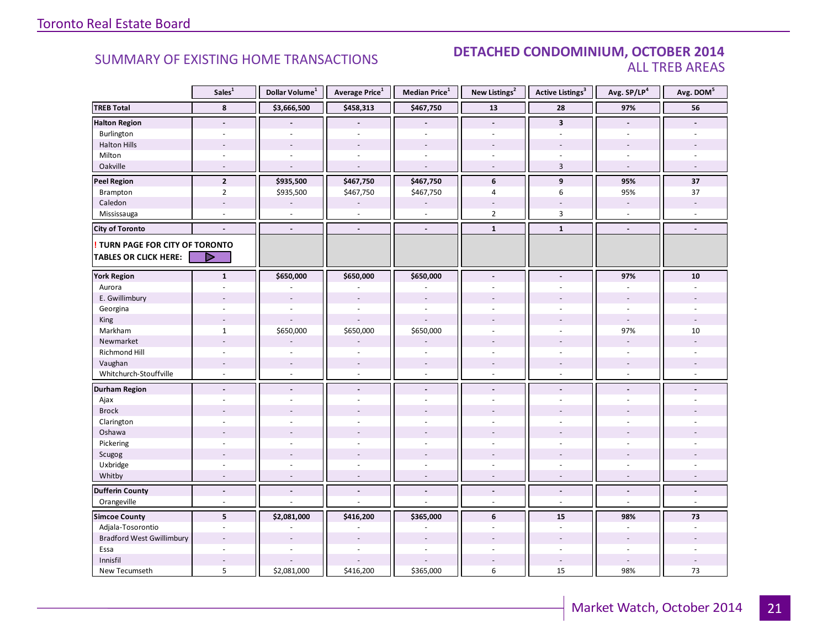### **Industrial Leasing SUMMARY OF EXISTING HOME TRANSACTIONS DETACHED CONDOMINIUM, OCTOBER 2014** ALL TREB AREAS

|                                  | Sales <sup>1</sup>       | Dollar Volume <sup>1</sup> | Average Price <sup>1</sup> | Median Price <sup>1</sup> | New Listings <sup>2</sup> | Active Listings <sup>3</sup> | Avg. SP/LP4              | Avg. DOM <sup>5</sup> |
|----------------------------------|--------------------------|----------------------------|----------------------------|---------------------------|---------------------------|------------------------------|--------------------------|-----------------------|
| <b>TREB Total</b>                | 8                        | \$3,666,500                | \$458,313                  | \$467,750                 | 13                        | 28                           | 97%                      | 56                    |
| <b>Halton Region</b>             | $\tilde{\phantom{a}}$    |                            |                            |                           | $\blacksquare$            | $\overline{\mathbf{3}}$      | $\tilde{\phantom{a}}$    |                       |
| Burlington                       | ÷.                       | $\sim$                     | $\overline{a}$             | $\mathcal{L}$             | $\overline{a}$            | ÷                            | ÷.                       |                       |
| <b>Halton Hills</b>              |                          |                            | ÷,                         |                           |                           |                              |                          |                       |
| Milton                           | $\sim$                   | $\sim$                     | ÷,                         | $\overline{\phantom{a}}$  | $\sim$                    |                              | $\sim$                   |                       |
| Oakville                         | $\sim$                   | $\overline{a}$             | ÷,                         | $\sim$                    | $\sim$                    | $\overline{3}$               | $\sim$                   | $\overline{a}$        |
| <b>Peel Region</b>               | $\overline{2}$           | \$935,500                  | \$467,750                  | \$467,750                 | 6                         | 9                            | 95%                      | 37                    |
| Brampton                         | $\overline{2}$           | \$935,500                  | \$467,750                  | \$467,750                 | $\overline{4}$            | 6                            | 95%                      | 37                    |
| Caledon                          | $\sim$                   |                            |                            |                           | $\blacksquare$            |                              | $\overline{\phantom{a}}$ |                       |
| Mississauga                      | $\overline{a}$           | $\sim$                     | ÷,                         | $\mathcal{L}$             | $\overline{2}$            | $\overline{3}$               | ÷.                       |                       |
| <b>City of Toronto</b>           | $\overline{a}$           | $\blacksquare$             | $\overline{a}$             | $\blacksquare$            | $\mathbf{1}$              | $\mathbf{1}$                 | $\blacksquare$           | $\overline{a}$        |
| TURN PAGE FOR CITY OF TORONTO    |                          |                            |                            |                           |                           |                              |                          |                       |
| <b>TABLES OR CLICK HERE:</b>     | D                        |                            |                            |                           |                           |                              |                          |                       |
| <b>York Region</b>               | $\mathbf{1}$             | \$650,000                  | \$650,000                  | \$650,000                 | $\blacksquare$            |                              | 97%                      | 10                    |
| Aurora                           |                          |                            |                            |                           |                           |                              |                          |                       |
| E. Gwillimbury                   |                          |                            |                            |                           |                           |                              |                          |                       |
| Georgina                         |                          |                            | ä,                         | $\overline{a}$            |                           |                              |                          |                       |
| King                             | ÷,                       |                            |                            |                           |                           |                              | $\mathbf{r}$             |                       |
| Markham                          | $\mathbf{1}$             | \$650,000                  | \$650,000                  | \$650,000                 | $\sim$                    | $\sim$                       | 97%                      | 10                    |
| Newmarket                        | $\sim$                   |                            |                            |                           |                           |                              |                          |                       |
| <b>Richmond Hill</b>             |                          |                            |                            |                           |                           |                              |                          |                       |
| Vaughan                          | $\overline{\phantom{a}}$ | $\overline{\phantom{a}}$   | $\overline{\phantom{a}}$   | $\overline{\phantom{a}}$  |                           |                              |                          |                       |
| Whitchurch-Stouffville           | $\omega$                 | $\omega$                   | ä,                         | $\omega$                  | $\omega$                  | $\omega$                     | $\sim$                   |                       |
| <b>Durham Region</b>             | $\blacksquare$           | $\blacksquare$             | $\overline{a}$             | $\blacksquare$            | $\blacksquare$            | $\blacksquare$               | $\blacksquare$           |                       |
| Ajax                             | $\sim$                   |                            | ÷                          | ÷.                        | $\sim$                    | $\overline{a}$               |                          |                       |
| <b>Brock</b>                     |                          |                            |                            |                           |                           |                              |                          |                       |
| Clarington                       |                          |                            |                            |                           |                           |                              |                          |                       |
| Oshawa                           |                          |                            |                            |                           |                           |                              |                          |                       |
| Pickering                        | $\overline{a}$           |                            |                            | $\overline{a}$            | $\overline{a}$            | ÷.                           |                          |                       |
| Scugog                           |                          |                            |                            |                           |                           |                              |                          |                       |
| Uxbridge                         | ÷,                       |                            |                            |                           | $\overline{a}$            | ÷,                           |                          |                       |
| Whitby                           | $\overline{a}$           |                            |                            |                           |                           |                              |                          |                       |
| <b>Dufferin County</b>           | $\overline{a}$           | $\overline{a}$             | $\overline{a}$             | $\blacksquare$            | $\blacksquare$            | $\overline{a}$               | $\overline{a}$           | $\blacksquare$        |
| Orangeville                      | $\sim$                   | $\overline{a}$             | L.                         | ÷,                        | $\sim$                    | $\overline{a}$               | $\sim$                   | ÷.                    |
| <b>Simcoe County</b>             | 5                        | \$2,081,000                | \$416,200                  | \$365,000                 | 6                         | 15                           | 98%                      | 73                    |
| Adjala-Tosorontio                | $\sim$                   |                            |                            |                           | ÷,                        | $\bar{a}$                    |                          |                       |
| <b>Bradford West Gwillimbury</b> |                          |                            |                            |                           |                           |                              |                          |                       |
| Essa                             | ÷,                       | $\overline{a}$             | ÷.                         | $\overline{a}$            | ÷                         | ÷.                           | $\omega$                 |                       |
| Innisfil                         |                          |                            |                            |                           |                           |                              |                          |                       |
| New Tecumseth                    | 5                        | \$2,081,000                | \$416,200                  | \$365,000                 | 6                         | 15                           | 98%                      | 73                    |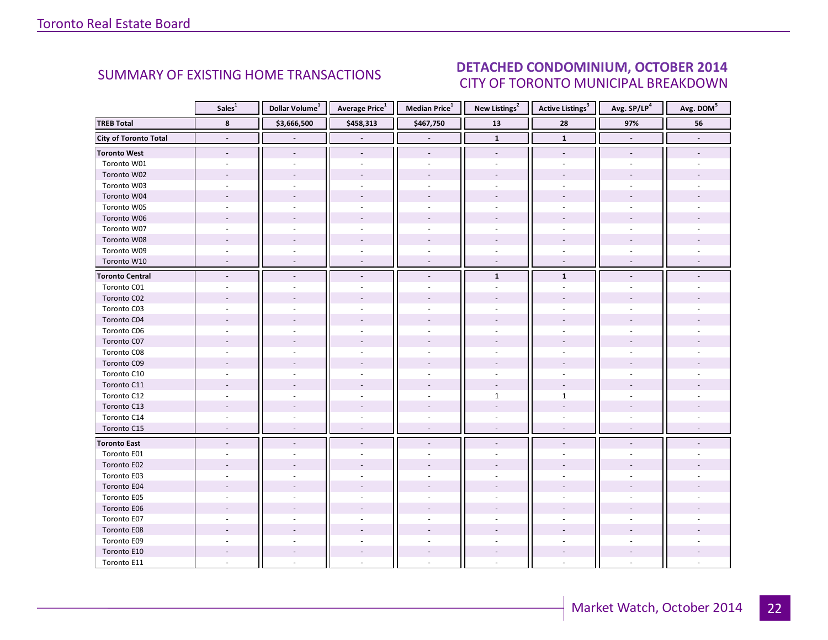#### $O(TORED 2014)$ CITY OF TORONTO MUNICIPAL BREAKDOWN SUMMARY OF EXISTING HOME TRANSACTIONS **DETACHED CONDOMINIUM, OCTOBER 2014**

<span id="page-21-0"></span>

|                              | Sales <sup>1</sup>       | Dollar Volume <sup>1</sup> | Average Price <sup>1</sup> | Median Price $^1$        | New Listings <sup>2</sup> | Active Listings <sup>3</sup> | Avg. SP/LP <sup>4</sup>  |                |
|------------------------------|--------------------------|----------------------------|----------------------------|--------------------------|---------------------------|------------------------------|--------------------------|----------------|
| <b>TREB Total</b>            | 8                        | \$3,666,500                | \$458,313                  | \$467,750                | $\overline{13}$           | 28                           | 97%                      | 56             |
| <b>City of Toronto Total</b> | $\overline{\phantom{a}}$ | $\blacksquare$             | $\overline{\phantom{a}}$   | $\blacksquare$           | $\mathbf{1}$              | $\mathbf 1$                  | $\overline{\phantom{a}}$ | $\blacksquare$ |
| <b>Toronto West</b>          | $\overline{\phantom{a}}$ | $\overline{\phantom{a}}$   | $\blacksquare$             | $\overline{\phantom{a}}$ | $\overline{\phantom{a}}$  | $\overline{\phantom{a}}$     | $\overline{\phantom{a}}$ |                |
| Toronto W01                  |                          |                            |                            | ÷.                       |                           |                              |                          |                |
| Toronto W02                  |                          |                            |                            |                          |                           |                              |                          |                |
| Toronto W03                  |                          |                            |                            |                          |                           |                              |                          |                |
| Toronto W04                  |                          |                            |                            |                          |                           |                              |                          |                |
| Toronto W05                  |                          |                            | ä,                         | $\overline{a}$           | ÷                         |                              |                          |                |
| Toronto W06                  |                          |                            |                            |                          |                           |                              |                          |                |
| Toronto W07                  |                          |                            |                            |                          |                           |                              |                          |                |
| Toronto W08                  |                          |                            |                            |                          |                           |                              |                          |                |
| Toronto W09                  |                          |                            |                            |                          |                           |                              |                          |                |
| Toronto W10                  | $\overline{a}$           |                            |                            |                          | $\sim$                    | $\sim$                       |                          |                |
| <b>Toronto Central</b>       | $\overline{\phantom{a}}$ |                            | $\overline{a}$             | $\overline{a}$           | $\mathbf{1}$              | ${\bf 1}$                    |                          |                |
| Toronto C01                  | $\sim$                   |                            |                            |                          |                           |                              |                          |                |
| Toronto C02                  |                          |                            |                            |                          |                           |                              |                          |                |
| Toronto C03                  |                          |                            | ä,                         | $\overline{\phantom{a}}$ |                           |                              |                          |                |
| Toronto C04                  |                          |                            |                            |                          |                           |                              |                          |                |
| Toronto C06                  |                          |                            |                            |                          |                           |                              |                          |                |
| Toronto C07                  |                          |                            |                            |                          |                           |                              |                          |                |
| Toronto C08                  |                          |                            |                            | ä,                       |                           |                              |                          |                |
| Toronto C09                  |                          |                            |                            |                          |                           |                              |                          |                |
| Toronto C10                  |                          |                            |                            |                          |                           |                              |                          |                |
| Toronto C11                  |                          |                            |                            |                          | $\sim$                    | $\sim$                       |                          |                |
| Toronto C12                  |                          |                            | ä,                         |                          | $\mathbf{1}$              | $\mathbf{1}$                 |                          |                |
| Toronto C13                  |                          |                            |                            |                          |                           |                              |                          |                |
| Toronto C14                  |                          |                            |                            |                          |                           |                              |                          |                |
| Toronto C15                  | $\overline{\phantom{a}}$ | $\sim$                     | $\overline{\phantom{a}}$   | $\sim$                   | $\sim$                    | $\sim$                       | $\sim$                   |                |
| <b>Toronto East</b>          | $\blacksquare$           |                            | $\overline{\phantom{a}}$   | ÷.                       |                           |                              |                          |                |
| Toronto E01                  |                          |                            |                            |                          |                           |                              |                          |                |
| Toronto E02                  |                          |                            |                            |                          |                           |                              |                          |                |
| Toronto E03                  |                          |                            |                            |                          |                           |                              |                          |                |
| Toronto E04                  |                          |                            |                            |                          |                           |                              |                          |                |
| Toronto E05                  |                          |                            |                            |                          |                           |                              |                          |                |
| Toronto E06                  |                          |                            |                            |                          |                           |                              |                          |                |
| Toronto E07                  |                          |                            |                            | ä,                       |                           |                              |                          |                |
| Toronto E08                  |                          |                            |                            |                          |                           |                              |                          |                |
| Toronto E09                  |                          |                            |                            |                          |                           |                              |                          |                |
| Toronto E10                  |                          |                            |                            |                          |                           |                              |                          |                |
| Toronto E11                  |                          |                            |                            |                          |                           |                              |                          |                |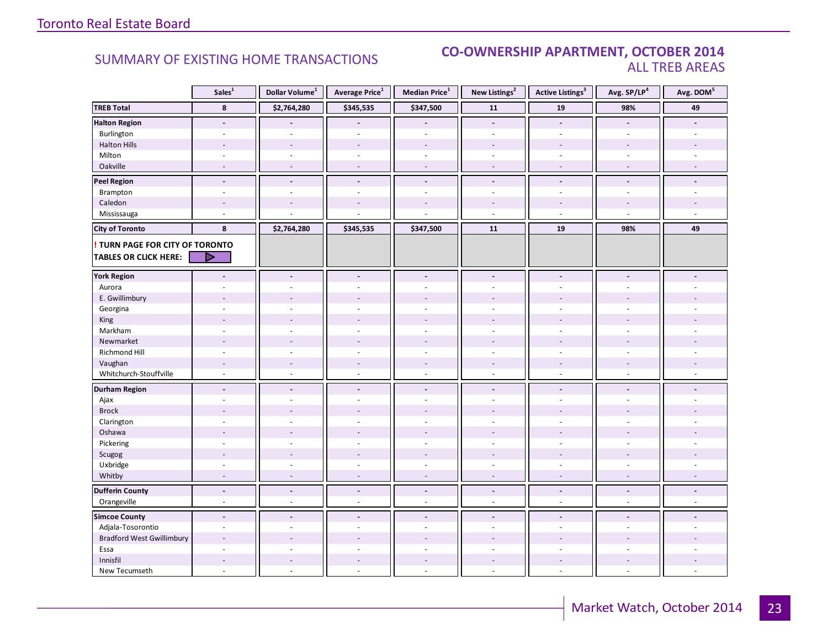### **Industrial Leasing CO-OWNERSHIP APARTMENT, OCTOBER 2014**<br>ALL TREB AREAS ALL TREB AREAS

|                                        | Sales <sup>1</sup>       | Dollar Volume <sup>1</sup> | Average Price <sup>1</sup>     | Median Price <sup>1</sup> | New Listings <sup>2</sup> | <b>Active Listings<sup>3</sup></b> | Avg. SP/LP <sup>4</sup>  |                          |
|----------------------------------------|--------------------------|----------------------------|--------------------------------|---------------------------|---------------------------|------------------------------------|--------------------------|--------------------------|
| <b>TREB Total</b>                      | 8                        | \$2,764,280                | \$345,535                      | \$347,500                 | 11                        | 19                                 | 98%                      | 49                       |
| <b>Halton Region</b>                   | $\overline{\phantom{a}}$ |                            |                                |                           | $\overline{\phantom{a}}$  | $\blacksquare$                     | $\overline{\phantom{a}}$ |                          |
| Burlington                             | $\sim$                   | $\sim$                     | ä,                             | $\omega$                  | $\omega$                  | ÷.                                 | $\omega$                 |                          |
| <b>Halton Hills</b>                    |                          |                            |                                |                           |                           |                                    |                          |                          |
| Milton                                 | $\overline{\phantom{a}}$ | $\sim$                     | $\overline{\phantom{a}}$       | $\sim$                    | ÷.                        | $\sim$                             | $\sim$                   |                          |
| Oakville                               | $\sim$                   | $\sim$                     | ÷,                             | $\overline{\phantom{a}}$  | $\overline{\phantom{a}}$  | $\sim$                             | $\overline{\phantom{a}}$ |                          |
| <b>Peel Region</b>                     | $\Box$                   | $\overline{a}$             | $\overline{a}$                 | $\blacksquare$            | $\blacksquare$            | $\overline{a}$                     | $\blacksquare$           | $\overline{\phantom{a}}$ |
| Brampton                               | $\sim$                   | $\sim$                     | ÷.                             | ÷.                        | $\overline{\phantom{a}}$  | $\sim$                             | $\sim$                   | $\sim$                   |
| Caledon                                | $\sim$                   |                            |                                |                           | $\overline{a}$            | $\overline{a}$                     |                          |                          |
| Mississauga                            | $\sim$                   |                            |                                |                           | $\bar{a}$                 | ÷.                                 | $\sim$                   | u,                       |
| <b>City of Toronto</b>                 | 8                        | \$2,764,280                | \$345,535                      | \$347,500                 | 11                        | 19                                 | 98%                      | 49                       |
| <b>! TURN PAGE FOR CITY OF TORONTO</b> |                          |                            |                                |                           |                           |                                    |                          |                          |
| <b>TABLES OR CLICK HERE:</b>           | D                        |                            |                                |                           |                           |                                    |                          |                          |
| <b>York Region</b>                     |                          |                            | $\frac{1}{2}$                  | $\blacksquare$            | $\overline{a}$            |                                    |                          |                          |
|                                        |                          |                            |                                |                           |                           |                                    |                          |                          |
| Aurora                                 |                          |                            |                                |                           |                           |                                    |                          |                          |
| E. Gwillimbury                         |                          |                            |                                | $\overline{a}$            |                           |                                    |                          |                          |
| Georgina                               |                          |                            |                                |                           |                           |                                    |                          |                          |
| King                                   |                          |                            |                                |                           |                           |                                    |                          |                          |
| Markham                                | $\overline{\phantom{a}}$ | $\sim$                     | ÷,                             | $\overline{\phantom{a}}$  | ÷.                        | $\sim$                             | $\sim$                   |                          |
| Newmarket                              | $\overline{a}$           |                            |                                |                           |                           |                                    |                          |                          |
| Richmond Hill                          |                          |                            |                                |                           |                           |                                    |                          |                          |
| Vaughan                                | $\overline{\phantom{a}}$ | $\sim$                     | $\overline{\phantom{a}}$<br>ä, | $\overline{\phantom{a}}$  | $\blacksquare$            | $\blacksquare$                     |                          |                          |
| Whitchurch-Stouffville                 | $\omega$                 | $\sim$                     |                                | $\omega$                  | $\omega$                  | $\mathcal{L}_{\mathcal{A}}$        | $\sim$                   |                          |
| <b>Durham Region</b>                   | $\blacksquare$           | $\blacksquare$             | $\blacksquare$                 | $\overline{\phantom{a}}$  | $\blacksquare$            | $\blacksquare$                     | $\blacksquare$           |                          |
| Ajax                                   | $\sim$                   |                            | ä,                             | $\sim$                    | ÷.                        | $\sim$                             |                          |                          |
| <b>Brock</b>                           | $\overline{\phantom{a}}$ |                            |                                |                           |                           |                                    |                          |                          |
| Clarington                             | ÷,                       |                            |                                |                           |                           |                                    |                          |                          |
| Oshawa                                 |                          |                            |                                |                           |                           |                                    |                          |                          |
| Pickering                              | $\sim$                   | $\sim$                     | $\overline{a}$                 | $\overline{a}$            | $\bar{a}$                 | $\sim$                             | $\sim$                   |                          |
| Scugog                                 |                          |                            |                                |                           |                           |                                    |                          |                          |
| Uxbridge                               | $\sim$                   | ÷.                         | ÷,                             | $\sim$                    | $\sim$                    | $\sim$                             | ÷.                       |                          |
| Whitby                                 | $\overline{\phantom{a}}$ | $\sim$                     | ÷,                             | $\overline{a}$            | $\overline{\phantom{a}}$  | $\overline{\phantom{a}}$           |                          |                          |
| <b>Dufferin County</b>                 | $\mathbf{L}$             | $\blacksquare$             | $\Box$                         | $\Box$                    | $\blacksquare$            | $\Box$                             | $\blacksquare$           | $\omega$                 |
| Orangeville                            | $\blacksquare$           | $\sim$                     | ä,                             | $\omega$                  | $\omega$                  | $\omega$                           | $\sim$                   | $\omega$                 |
| <b>Simcoe County</b>                   | $\blacksquare$           | $\blacksquare$             | $\blacksquare$                 | $\overline{\phantom{a}}$  | $\blacksquare$            | $\overline{a}$                     | $\overline{a}$           |                          |
| Adjala-Tosorontio                      | $\sim$                   | ÷.                         | L.                             | $\overline{a}$            | ÷                         | $\overline{a}$                     |                          |                          |
| <b>Bradford West Gwillimbury</b>       |                          |                            |                                |                           |                           |                                    |                          |                          |
| Essa                                   | ÷.                       |                            |                                |                           | ÷                         | ÷.                                 |                          |                          |
| Innisfil                               | $\sim$                   | $\overline{\phantom{a}}$   | $\overline{\phantom{a}}$       | $\sim$                    | $\overline{\phantom{a}}$  | $\overline{\phantom{a}}$           |                          |                          |
| New Tecumseth                          | $\overline{\phantom{a}}$ |                            | L,                             | $\overline{\phantom{a}}$  | $\overline{a}$            | $\bar{a}$                          |                          |                          |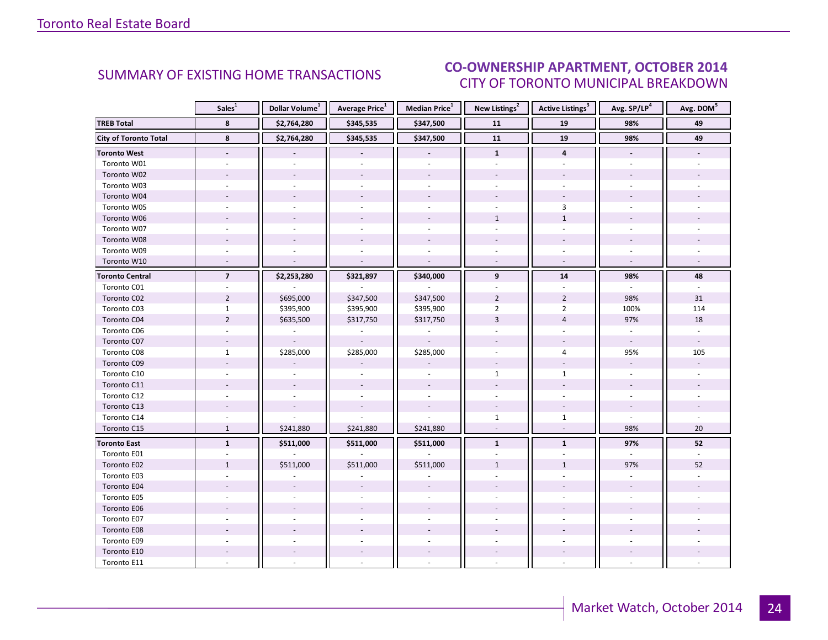#### $O(TORED 2014)$ CITY OF TORONTO MUNICIPAL BREAKDOWN **CO-OWNERSHIP APARTMENT, OCTOBER 2014**<br>CITY OF TOPONTO MUNICIPAL REAKDOMAL

<span id="page-23-0"></span>

|                              | Sales <sup>1</sup>       | Dollar Volume <sup>1</sup> | Average Price <sup>1</sup> | Median Price <sup>1</sup> | New Listings <sup>2</sup> | Active Listings <sup>3</sup> | Avg. SP/LP <sup>4</sup>  | Avg. DOM <sup>5</sup> |
|------------------------------|--------------------------|----------------------------|----------------------------|---------------------------|---------------------------|------------------------------|--------------------------|-----------------------|
| <b>TREB Total</b>            | 8                        | \$2,764,280                | \$345,535                  | \$347,500                 | 11                        | 19                           | 98%                      | 49                    |
| <b>City of Toronto Total</b> | 8                        | \$2,764,280                | \$345,535                  | \$347,500                 | 11                        | 19                           | 98%                      | 49                    |
| <b>Toronto West</b>          | $\overline{\phantom{a}}$ |                            |                            | $\overline{\phantom{a}}$  | $\mathbf{1}$              | 4                            | $\overline{\phantom{a}}$ |                       |
| Toronto W01                  |                          |                            |                            |                           |                           |                              |                          |                       |
| Toronto W02                  |                          |                            |                            |                           |                           |                              |                          |                       |
| Toronto W03                  |                          |                            |                            |                           |                           |                              |                          |                       |
| Toronto W04                  |                          |                            |                            |                           |                           |                              |                          |                       |
| Toronto W05                  |                          |                            |                            |                           |                           | $\mathbf{3}$                 |                          |                       |
| Toronto W06                  |                          |                            |                            |                           | $\mathbf{1}$              | $\mathbf{1}$                 |                          |                       |
| Toronto W07                  |                          |                            |                            |                           | $\overline{a}$            |                              |                          |                       |
| Toronto W08                  |                          |                            |                            |                           |                           |                              |                          |                       |
| Toronto W09                  |                          |                            |                            |                           |                           |                              |                          |                       |
| Toronto W10                  |                          |                            |                            | $\overline{a}$            |                           |                              | $\overline{a}$           |                       |
| <b>Toronto Central</b>       | $\overline{\mathbf{z}}$  | \$2,253,280                | \$321,897                  | \$340,000                 | 9                         | 14                           | 98%                      | 48                    |
| Toronto C01                  |                          |                            |                            |                           |                           |                              |                          |                       |
| Toronto C02                  | $\overline{2}$           | \$695,000                  | \$347,500                  | \$347,500                 | $\overline{2}$            | $\overline{2}$               | 98%                      | 31                    |
| Toronto C03                  | $\mathbf{1}$             | \$395,900                  | \$395,900                  | \$395,900                 | $\overline{2}$            | $\overline{2}$               | 100%                     | 114                   |
| Toronto C04                  | $\overline{2}$           | \$635,500                  | \$317,750                  | \$317,750                 | $\overline{3}$            | $\overline{4}$               | 97%                      | 18                    |
| Toronto C06                  |                          |                            |                            |                           |                           |                              |                          |                       |
| Toronto C07                  | $\overline{\phantom{a}}$ |                            |                            |                           |                           | $\sim$                       | $\overline{\phantom{a}}$ |                       |
| Toronto C08                  | $\mathbf{1}$             | \$285,000                  | \$285,000                  | \$285,000                 |                           | 4                            | 95%                      | 105                   |
| Toronto C09                  |                          |                            |                            |                           |                           |                              | $\overline{\phantom{a}}$ |                       |
| Toronto C10                  |                          |                            |                            |                           | $\mathbf{1}$              | $\mathbf{1}$                 |                          |                       |
| Toronto C11                  |                          |                            |                            |                           |                           |                              |                          |                       |
| Toronto C12                  |                          |                            |                            | $\overline{\phantom{a}}$  |                           | $\sim$                       | ÷.                       |                       |
| Toronto C13                  |                          |                            |                            |                           |                           |                              |                          |                       |
| Toronto C14                  |                          |                            |                            |                           | $\mathbf{1}$              | $\mathbf{1}$                 |                          |                       |
| Toronto C15                  | $\mathbf{1}$             | \$241,880                  | \$241,880                  | \$241,880                 | $\sim$                    | $\overline{\phantom{a}}$     | 98%                      | 20                    |
| <b>Toronto East</b>          | $\mathbf{1}$             | \$511,000                  | \$511,000                  | \$511,000                 | $\mathbf{1}$              | $\mathbf{1}$                 | 97%                      | 52                    |
| Toronto E01                  |                          |                            |                            |                           |                           |                              | $\mathbf{r}$             |                       |
| Toronto E02                  | $\mathbf{1}$             | \$511,000                  | \$511,000                  | \$511,000                 | $\mathbf{1}$              | $\mathbf{1}$                 | 97%                      | 52                    |
| Toronto E03                  |                          |                            |                            |                           |                           |                              |                          |                       |
| Toronto E04                  |                          |                            |                            |                           |                           |                              |                          |                       |
| Toronto E05                  |                          |                            |                            |                           |                           |                              |                          |                       |
| Toronto E06                  |                          |                            |                            |                           |                           |                              |                          |                       |
| Toronto E07                  |                          |                            |                            | $\overline{a}$            |                           |                              |                          |                       |
| Toronto E08                  |                          |                            |                            |                           |                           |                              |                          |                       |
| Toronto E09                  |                          |                            |                            |                           |                           |                              |                          |                       |
| Toronto E10                  |                          |                            |                            | $\overline{\phantom{a}}$  |                           | $\overline{\phantom{a}}$     |                          |                       |
| Toronto E11                  |                          |                            |                            | $\overline{a}$            |                           |                              |                          |                       |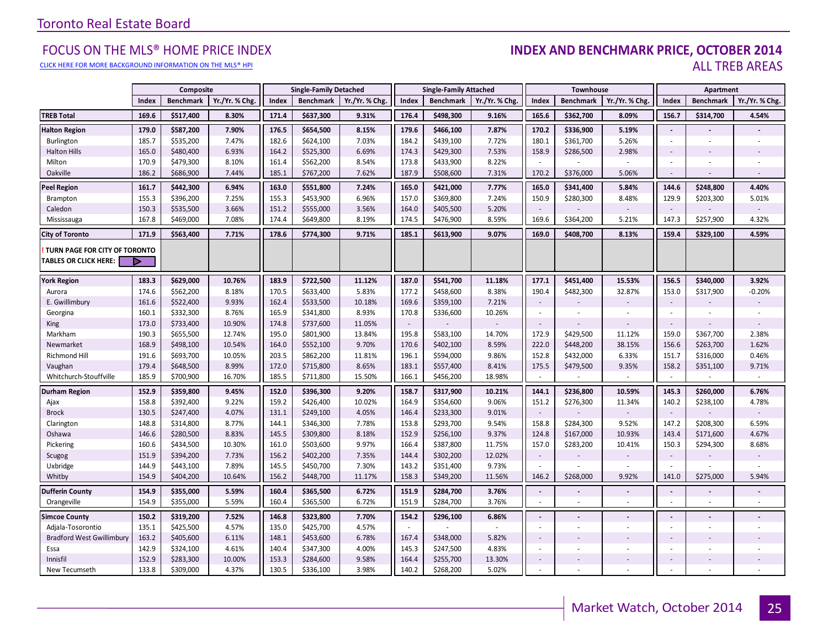#### [CLICK HERE FOR MORE BACKGROUND INFORMATION ON THE MLS® HPI](http://www.torontorealestateboard.com/market_news/home_price_index/index.htm)

#### FOCUS ON THE MLS® HOME PRICE INDEX **INDEX AND BENCHMARK PRICE, OCTOBER 2014**<br>Elick here for more background information on the mls® hpi ALL TREB AREAS

|                                                               | Composite |                  |                | <b>Single-Family Detached</b> |                  | <b>Single-Family Attached</b> |        | Townhouse        |               |                          | Apartment                |                          |                          |                  |                |
|---------------------------------------------------------------|-----------|------------------|----------------|-------------------------------|------------------|-------------------------------|--------|------------------|---------------|--------------------------|--------------------------|--------------------------|--------------------------|------------------|----------------|
|                                                               | Index     | <b>Benchmark</b> | Yr./Yr. % Chg. | Index                         | <b>Benchmark</b> | Yr./Yr. % Chg.                | Index  | <b>Benchmark</b> | Yr./Yr. % Chg | Index                    | <b>Benchmark</b>         | Yr./Yr. % Chg            | Index                    | <b>Benchmark</b> | Yr./Yr. % Chg. |
| <b>TREB Total</b>                                             | 169.6     | \$517,400        | 8.30%          | 171.4                         | \$637,300        | 9.31%                         | 176.4  | \$498,300        | 9.16%         | 165.6                    | \$362,700                | 8.09%                    | 156.7                    | \$314,700        | 4.54%          |
| <b>Halton Region</b>                                          | 179.0     | \$587,200        | 7.90%          | 176.5                         | \$654,500        | 8.15%                         | 179.6  | \$466,100        | 7.87%         | 170.2                    | \$336,900                | 5.19%                    | $\sim$                   |                  |                |
| Burlington                                                    | 185.7     | \$535,200        | 7.47%          | 182.6                         | \$624,100        | 7.03%                         | 184.2  | \$439,100        | 7.72%         | 180.1                    | \$361,700                | 5.26%                    | $\sim$                   |                  |                |
| <b>Halton Hills</b>                                           | 165.0     | \$480,400        | 6.93%          | 164.2                         | \$525,300        | 6.69%                         | 174.3  | \$429,300        | 7.53%         | 158.9                    | \$286,500                | 2.98%                    | $\sim$                   |                  |                |
| Milton                                                        | 170.9     | \$479,300        | 8.10%          | 161.4                         | \$562,200        | 8.54%                         | 173.8  | \$433,900        | 8.22%         | $\sim$                   |                          |                          |                          |                  |                |
| Oakville                                                      | 186.2     | \$686,900        | 7.44%          | 185.1                         | \$767,200        | 7.62%                         | 187.9  | \$508,600        | 7.31%         | 170.2                    | \$376,000                | 5.06%                    | $\mathbf{r}$             |                  |                |
| <b>Peel Region</b>                                            | 161.7     | \$442,300        | 6.94%          | 163.0                         | \$551,800        | 7.24%                         | 165.0  | \$421,000        | 7.77%         | 165.0                    | \$341,400                | 5.84%                    | 144.6                    | \$248,800        | 4.40%          |
| Brampton                                                      | 155.3     | \$396,200        | 7.25%          | 155.3                         | \$453,900        | 6.96%                         | 157.0  | \$369,800        | 7.24%         | 150.9                    | \$280,300                | 8.48%                    | 129.9                    | \$203,300        | 5.01%          |
| Caledon                                                       | 150.3     | \$535,500        | 3.66%          | 151.2                         | \$555,000        | 3.56%                         | 164.0  | \$405,500        | 5.20%         |                          |                          |                          | $\blacksquare$           |                  |                |
| Mississauga                                                   | 167.8     | \$469,000        | 7.08%          | 174.4                         | \$649,800        | 8.19%                         | 174.5  | \$476,900        | 8.59%         | 169.6                    | \$364,200                | 5.21%                    | 147.3                    | \$257,900        | 4.32%          |
| <b>City of Toronto</b>                                        | 171.9     | \$563,400        | 7.71%          | 178.6                         | \$774,300        | 9.71%                         | 185.1  | \$613,900        | 9.07%         | 169.0                    | \$408,700                | 8.13%                    | 159.4                    | \$329,100        | 4.59%          |
| TURN PAGE FOR CITY OF TORONTO<br><b>TABLES OR CLICK HERE:</b> | Þ         |                  |                |                               |                  |                               |        |                  |               |                          |                          |                          |                          |                  |                |
| <b>York Region</b>                                            | 183.3     | \$629,000        | 10.76%         | 183.9                         | \$722,500        | 11.12%                        | 187.0  | \$541,700        | 11.18%        | 177.1                    | \$451,400                | 15.53%                   | 156.5                    | \$340,000        | 3.92%          |
| Aurora                                                        | 174.6     | \$562,200        | 8.18%          | 170.5                         | \$633,400        | 5.83%                         | 177.2  | \$458,600        | 8.38%         | 190.4                    | \$482,300                | 32.87%                   | 153.0                    | \$317,900        | $-0.20%$       |
| E. Gwillimbury                                                | 161.6     | \$522,400        | 9.93%          | 162.4                         | \$533,500        | 10.18%                        | 169.6  | \$359,100        | 7.21%         | $\overline{\phantom{a}}$ |                          |                          | $\overline{\phantom{a}}$ |                  |                |
| Georgina                                                      | 160.1     | \$332,300        | 8.76%          | 165.9                         | \$341,800        | 8.93%                         | 170.8  | \$336,600        | 10.26%        | $\sim$                   |                          |                          | $\sim$                   |                  |                |
| King                                                          | 173.0     | \$733,400        | 10.90%         | 174.8                         | \$737,600        | 11.05%                        | $\sim$ |                  |               | $\overline{\phantom{a}}$ |                          |                          | $\sim$                   |                  |                |
| Markham                                                       | 190.3     | \$655,500        | 12.74%         | 195.0                         | \$801,900        | 13.84%                        | 195.8  | \$583,100        | 14.70%        | 172.9                    | \$429,500                | 11.12%                   | 159.0                    | \$367,700        | 2.38%          |
| Newmarket                                                     | 168.9     | \$498,100        | 10.54%         | 164.0                         | \$552,100        | 9.70%                         | 170.6  | \$402,100        | 8.59%         | 222.0                    | \$448,200                | 38.15%                   | 156.6                    | \$263,700        | 1.62%          |
| Richmond Hill                                                 | 191.6     | \$693,700        | 10.05%         | 203.5                         | \$862,200        | 11.81%                        | 196.1  | \$594,000        | 9.86%         | 152.8                    | \$432,000                | 6.33%                    | 151.7                    | \$316,000        | 0.46%          |
| Vaughan                                                       | 179.4     | \$648,500        | 8.99%          | 172.0                         | \$715,800        | 8.65%                         | 183.1  | \$557,400        | 8.41%         | 175.5                    | \$479,500                | 9.35%                    | 158.2                    | \$351,100        | 9.71%          |
| Whitchurch-Stouffville                                        | 185.9     | \$700,900        | 16.70%         | 185.5                         | \$711,800        | 15.50%                        | 166.1  | \$456,200        | 18.98%        | $\sim$                   |                          | $\overline{\phantom{a}}$ | $\sim$                   |                  | $\sim$         |
| <b>Durham Region</b>                                          | 152.9     | \$359,800        | 9.45%          | 152.0                         | \$396,300        | 9.20%                         | 158.7  | \$317,900        | 10.21%        | 144.1                    | \$236,800                | 10.59%                   | 145.3                    | \$260,000        | 6.76%          |
| Ajax                                                          | 158.8     | \$392,400        | 9.22%          | 159.2                         | \$426,400        | 10.02%                        | 164.9  | \$354,600        | 9.06%         | 151.2                    | \$276,300                | 11.34%                   | 140.2                    | \$238,100        | 4.78%          |
| <b>Brock</b>                                                  | 130.5     | \$247,400        | 4.07%          | 131.1                         | \$249,100        | 4.05%                         | 146.4  | \$233,300        | 9.01%         | $\overline{\phantom{a}}$ |                          |                          | $\sim$                   |                  |                |
| Clarington                                                    | 148.8     | \$314,800        | 8.77%          | 144.1                         | \$346,300        | 7.78%                         | 153.8  | \$293,700        | 9.54%         | 158.8                    | \$284,300                | 9.52%                    | 147.2                    | \$208,300        | 6.59%          |
| Oshawa                                                        | 146.6     | \$280,500        | 8.83%          | 145.5                         | \$309,800        | 8.18%                         | 152.9  | \$256,100        | 9.37%         | 124.8                    | \$167,000                | 10.93%                   | 143.4                    | \$171,600        | 4.67%          |
| Pickering                                                     | 160.6     | \$434,500        | 10.30%         | 161.0                         | \$503,600        | 9.97%                         | 166.4  | \$387,800        | 11.75%        | 157.0                    | \$283,200                | 10.41%                   | 150.3                    | \$294,300        | 8.68%          |
| Scugog                                                        | 151.9     | \$394,200        | 7.73%          | 156.2                         | \$402,200        | 7.35%                         | 144.4  | \$302,200        | 12.02%        | $\sim$                   |                          |                          | $\overline{\phantom{a}}$ |                  |                |
| Uxbridge                                                      | 144.9     | \$443,100        | 7.89%          | 145.5                         | \$450,700        | 7.30%                         | 143.2  | \$351,400        | 9.73%         |                          |                          |                          |                          |                  |                |
| Whitby                                                        | 154.9     | \$404,200        | 10.64%         | 156.2                         | \$448,700        | 11.17%                        | 158.3  | \$349,200        | 11.56%        | 146.2                    | \$268,000                | 9.92%                    | 141.0                    | \$275,000        | 5.94%          |
| <b>Dufferin County</b>                                        | 154.9     | \$355,000        | 5.59%          | 160.4                         | \$365,500        | 6.72%                         | 151.9  | \$284,700        | 3.76%         | $\overline{\phantom{a}}$ |                          | $\overline{\phantom{a}}$ | $\sim$                   |                  |                |
| Orangeville                                                   | 154.9     | \$355,000        | 5.59%          | 160.4                         | \$365,500        | 6.72%                         | 151.9  | \$284,700        | 3.76%         | $\omega$                 | $\sim$                   | $\overline{\phantom{a}}$ | ÷                        | $\sim$           | $\sim$         |
| <b>Simcoe County</b>                                          | 150.2     | \$319,200        | 7.52%          | 146.8                         | \$323,800        | 7.70%                         | 154.2  | \$296,100        | 6.86%         | $\blacksquare$           |                          |                          | $\blacksquare$           |                  |                |
| Adjala-Tosorontio                                             | 135.1     | \$425,500        | 4.57%          | 135.0                         | \$425,700        | 4.57%                         | $\sim$ |                  |               | $\overline{\phantom{a}}$ | $\overline{\phantom{a}}$ | $\overline{\phantom{m}}$ | $\overline{\phantom{a}}$ | $\sim$           |                |
| <b>Bradford West Gwillimbury</b>                              | 163.2     | \$405,600        | 6.11%          | 148.1                         | \$453,600        | 6.78%                         | 167.4  | \$348,000        | 5.82%         | $\overline{\phantom{a}}$ |                          |                          | $\sim$                   |                  |                |
| Essa                                                          | 142.9     | \$324,100        | 4.61%          | 140.4                         | \$347,300        | 4.00%                         | 145.3  | \$247,500        | 4.83%         | $\sim$                   |                          | ٠                        | ×.                       |                  |                |
| Innisfil                                                      | 152.9     | \$283,300        | 10.00%         | 153.3                         | \$284,600        | 9.58%                         | 164.4  | \$255,700        | 13.30%        | $\overline{\phantom{a}}$ |                          |                          | $\sim$                   |                  |                |
| New Tecumseth                                                 | 133.8     | \$309,000        | 4.37%          | 130.5                         | \$336,100        | 3.98%                         | 140.2  | \$268,200        | 5.02%         | $\sim$                   |                          |                          |                          |                  |                |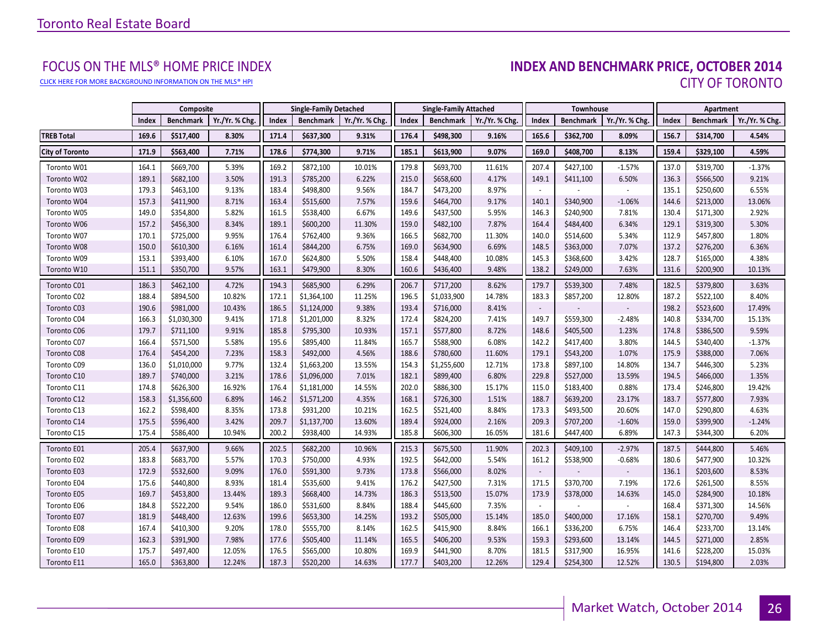[CLICK HERE FOR MORE BACKGROUND INFORMATION ON THE MLS® HPI](http://www.torontorealestateboard.com/market_news/home_price_index/index.htm)

# FOCUS ON THE MLS® HOME PRICE INDEX<br>**INDEX AND BENCHMARK PRICE, OCTOBER 2014** CITY OF TORONTO

|                        |       | Composite        |                |       | <b>Single-Family Detached</b> |                |       | <b>Single-Family Attached</b> |                |                          | Townhouse        |                |       | Apartment        |                |
|------------------------|-------|------------------|----------------|-------|-------------------------------|----------------|-------|-------------------------------|----------------|--------------------------|------------------|----------------|-------|------------------|----------------|
|                        | Index | <b>Benchmark</b> | Yr./Yr. % Chg. | Index | <b>Benchmark</b>              | Yr./Yr. % Chg. | Index | <b>Benchmark</b>              | Yr./Yr. % Chg. | Index                    | <b>Benchmark</b> | Yr./Yr. % Chg. | Index | <b>Benchmark</b> | Yr./Yr. % Chg. |
| <b>TREB Total</b>      | 169.6 | \$517,400        | 8.30%          | 171.4 | \$637,300                     | 9.31%          | 176.4 | \$498,300                     | 9.16%          | 165.6                    | \$362,700        | 8.09%          | 156.7 | \$314,700        | 4.54%          |
| <b>City of Toronto</b> | 171.9 | \$563,400        | 7.71%          | 178.6 | \$774,300                     | 9.71%          | 185.1 | \$613,900                     | 9.07%          | 169.0                    | \$408,700        | 8.13%          | 159.4 | \$329,100        | 4.59%          |
| Toronto W01            | 164.1 | \$669,700        | 5.39%          | 169.2 | \$872,100                     | 10.01%         | 179.8 | \$693,700                     | 11.61%         | 207.4                    | \$427,100        | $-1.57%$       | 137.0 | \$319,700        | $-1.37%$       |
| Toronto W02            | 189.1 | \$682,100        | 3.50%          | 191.3 | \$785,200                     | 6.22%          | 215.0 | \$658,600                     | 4.17%          | 149.1                    | \$411,100        | 6.50%          | 136.3 | \$566,500        | 9.21%          |
| Toronto W03            | 179.3 | \$463,100        | 9.13%          | 183.4 | \$498,800                     | 9.56%          | 184.7 | \$473,200                     | 8.97%          |                          |                  |                | 135.1 | \$250,600        | 6.55%          |
| Toronto W04            | 157.3 | \$411,900        | 8.71%          | 163.4 | \$515,600                     | 7.57%          | 159.6 | \$464,700                     | 9.17%          | 140.1                    | \$340,900        | $-1.06%$       | 144.6 | \$213,000        | 13.06%         |
| Toronto W05            | 149.0 | \$354,800        | 5.82%          | 161.5 | \$538,400                     | 6.67%          | 149.6 | \$437,500                     | 5.95%          | 146.3                    | \$240,900        | 7.81%          | 130.4 | \$171,300        | 2.92%          |
| Toronto W06            | 157.2 | \$456,300        | 8.34%          | 189.1 | \$600,200                     | 11.30%         | 159.0 | \$482,100                     | 7.87%          | 164.4                    | \$484,400        | 6.34%          | 129.1 | \$319,300        | 5.30%          |
| Toronto W07            | 170.1 | \$725,000        | 9.95%          | 176.4 | \$762,400                     | 9.36%          | 166.5 | \$682,700                     | 11.30%         | 140.0                    | \$514,600        | 5.34%          | 112.9 | \$457,800        | 1.80%          |
| Toronto W08            | 150.0 | \$610,300        | 6.16%          | 161.4 | \$844,200                     | 6.75%          | 169.0 | \$634,900                     | 6.69%          | 148.5                    | \$363,000        | 7.07%          | 137.2 | \$276,200        | 6.36%          |
| Toronto W09            | 153.1 | \$393,400        | 6.10%          | 167.0 | \$624,800                     | 5.50%          | 158.4 | \$448,400                     | 10.08%         | 145.3                    | \$368,600        | 3.42%          | 128.7 | \$165,000        | 4.38%          |
| Toronto W10            | 151.1 | \$350,700        | 9.57%          | 163.1 | \$479,900                     | 8.30%          | 160.6 | \$436,400                     | 9.48%          | 138.2                    | \$249,000        | 7.63%          | 131.6 | \$200,900        | 10.13%         |
| Toronto C01            | 186.3 | \$462,100        | 4.72%          | 194.3 | \$685,900                     | 6.29%          | 206.7 | \$717,200                     | 8.62%          | 179.7                    | \$539,300        | 7.48%          | 182.5 | \$379,800        | 3.63%          |
| Toronto C02            | 188.4 | \$894,500        | 10.82%         | 172.1 | \$1,364,100                   | 11.25%         | 196.5 | \$1,033,900                   | 14.78%         | 183.3                    | \$857,200        | 12.80%         | 187.2 | \$522,100        | 8.40%          |
| Toronto C03            | 190.6 | \$981,000        | 10.43%         | 186.5 | \$1,124,000                   | 9.38%          | 193.4 | \$716,000                     | 8.41%          | $\overline{\phantom{a}}$ |                  |                | 198.2 | \$523,600        | 17.49%         |
| Toronto C04            | 166.3 | \$1,030,300      | 9.41%          | 171.8 | \$1,201,000                   | 8.32%          | 172.4 | \$824,200                     | 7.41%          | 149.7                    | \$559,300        | $-2.48%$       | 140.8 | \$334,700        | 15.13%         |
| Toronto C06            | 179.7 | \$711,100        | 9.91%          | 185.8 | \$795,300                     | 10.93%         | 157.1 | \$577,800                     | 8.72%          | 148.6                    | \$405,500        | 1.23%          | 174.8 | \$386,500        | 9.59%          |
| Toronto C07            | 166.4 | \$571,500        | 5.58%          | 195.6 | \$895,400                     | 11.84%         | 165.7 | \$588,900                     | 6.08%          | 142.2                    | \$417,400        | 3.80%          | 144.5 | \$340,400        | $-1.37%$       |
| Toronto C08            | 176.4 | \$454,200        | 7.23%          | 158.3 | \$492,000                     | 4.56%          | 188.6 | \$780,600                     | 11.60%         | 179.1                    | \$543,200        | 1.07%          | 175.9 | \$388,000        | 7.06%          |
| Toronto C09            | 136.0 | \$1,010,000      | 9.77%          | 132.4 | \$1,663,200                   | 13.55%         | 154.3 | \$1,255,600                   | 12.71%         | 173.8                    | \$897,100        | 14.80%         | 134.7 | \$446,300        | 5.23%          |
| Toronto C10            | 189.7 | \$740,000        | 3.21%          | 178.6 | \$1,096,000                   | 7.01%          | 182.1 | \$899,400                     | 6.80%          | 229.8                    | \$527,000        | 13.59%         | 194.5 | \$466,000        | 1.35%          |
| Toronto C11            | 174.8 | \$626,300        | 16.92%         | 176.4 | \$1,181,000                   | 14.55%         | 202.0 | \$886,300                     | 15.17%         | 115.0                    | \$183,400        | 0.88%          | 173.4 | \$246,800        | 19.42%         |
| Toronto C12            | 158.3 | \$1,356,600      | 6.89%          | 146.2 | \$1,571,200                   | 4.35%          | 168.1 | \$726,300                     | 1.51%          | 188.7                    | \$639,200        | 23.17%         | 183.7 | \$577,800        | 7.93%          |
| Toronto C13            | 162.2 | \$598,400        | 8.35%          | 173.8 | \$931,200                     | 10.21%         | 162.5 | \$521,400                     | 8.84%          | 173.3                    | \$493,500        | 20.60%         | 147.0 | \$290,800        | 4.63%          |
| Toronto C14            | 175.5 | \$596,400        | 3.42%          | 209.7 | \$1,137,700                   | 13.60%         | 189.4 | \$924,000                     | 2.16%          | 209.3                    | \$707,200        | $-1.60%$       | 159.0 | \$399,900        | $-1.24%$       |
| Toronto C15            | 175.4 | \$586,400        | 10.94%         | 200.2 | \$938,400                     | 14.93%         | 185.8 | \$606,300                     | 16.05%         | 181.6                    | \$447,400        | 6.89%          | 147.3 | \$344,300        | 6.20%          |
| Toronto E01            | 205.4 | \$637,900        | 9.66%          | 202.5 | \$682,200                     | 10.96%         | 215.3 | \$675,500                     | 11.90%         | 202.3                    | \$409,100        | $-2.97%$       | 187.5 | \$444,800        | 5.46%          |
| Toronto E02            | 183.8 | \$683,700        | 5.57%          | 170.3 | \$750,000                     | 4.93%          | 192.5 | \$642,000                     | 5.54%          | 161.2                    | \$538,900        | $-0.68%$       | 180.6 | \$477,900        | 10.32%         |
| Toronto E03            | 172.9 | \$532,600        | 9.09%          | 176.0 | \$591,300                     | 9.73%          | 173.8 | \$566,000                     | 8.02%          | $\overline{\phantom{a}}$ |                  |                | 136.1 | \$203,600        | 8.53%          |
| Toronto E04            | 175.6 | \$440,800        | 8.93%          | 181.4 | \$535,600                     | 9.41%          | 176.2 | \$427,500                     | 7.31%          | 171.5                    | \$370,700        | 7.19%          | 172.6 | \$261,500        | 8.55%          |
| Toronto E05            | 169.7 | \$453,800        | 13.44%         | 189.3 | \$668,400                     | 14.73%         | 186.3 | \$513,500                     | 15.07%         | 173.9                    | \$378,000        | 14.63%         | 145.0 | \$284,900        | 10.18%         |
| Toronto E06            | 184.8 | \$522,200        | 9.54%          | 186.0 | \$531,600                     | 8.84%          | 188.4 | \$445,600                     | 7.35%          |                          |                  |                | 168.4 | \$371,300        | 14.56%         |
| Toronto E07            | 181.9 | \$448,400        | 12.63%         | 199.6 | \$653,300                     | 14.25%         | 193.2 | \$505,000                     | 15.14%         | 185.0                    | \$400,000        | 17.16%         | 158.1 | \$270,700        | 9.49%          |
| Toronto E08            | 167.4 | \$410,300        | 9.20%          | 178.0 | \$555,700                     | 8.14%          | 162.5 | \$415,900                     | 8.84%          | 166.1                    | \$336,200        | 6.75%          | 146.4 | \$233,700        | 13.14%         |
| Toronto E09            | 162.3 | \$391,900        | 7.98%          | 177.6 | \$505,400                     | 11.14%         | 165.5 | \$406,200                     | 9.53%          | 159.3                    | \$293,600        | 13.14%         | 144.5 | \$271,000        | 2.85%          |
| Toronto E10            | 175.7 | \$497,400        | 12.05%         | 176.5 | \$565,000                     | 10.80%         | 169.9 | \$441,900                     | 8.70%          | 181.5                    | \$317,900        | 16.95%         | 141.6 | \$228,200        | 15.03%         |
| Toronto E11            | 165.0 | \$363,800        | 12.24%         | 187.3 | \$520,200                     | 14.63%         | 177.7 | \$403,200                     | 12.26%         | 129.4                    | \$254,300        | 12.52%         | 130.5 | \$194,800        | 2.03%          |